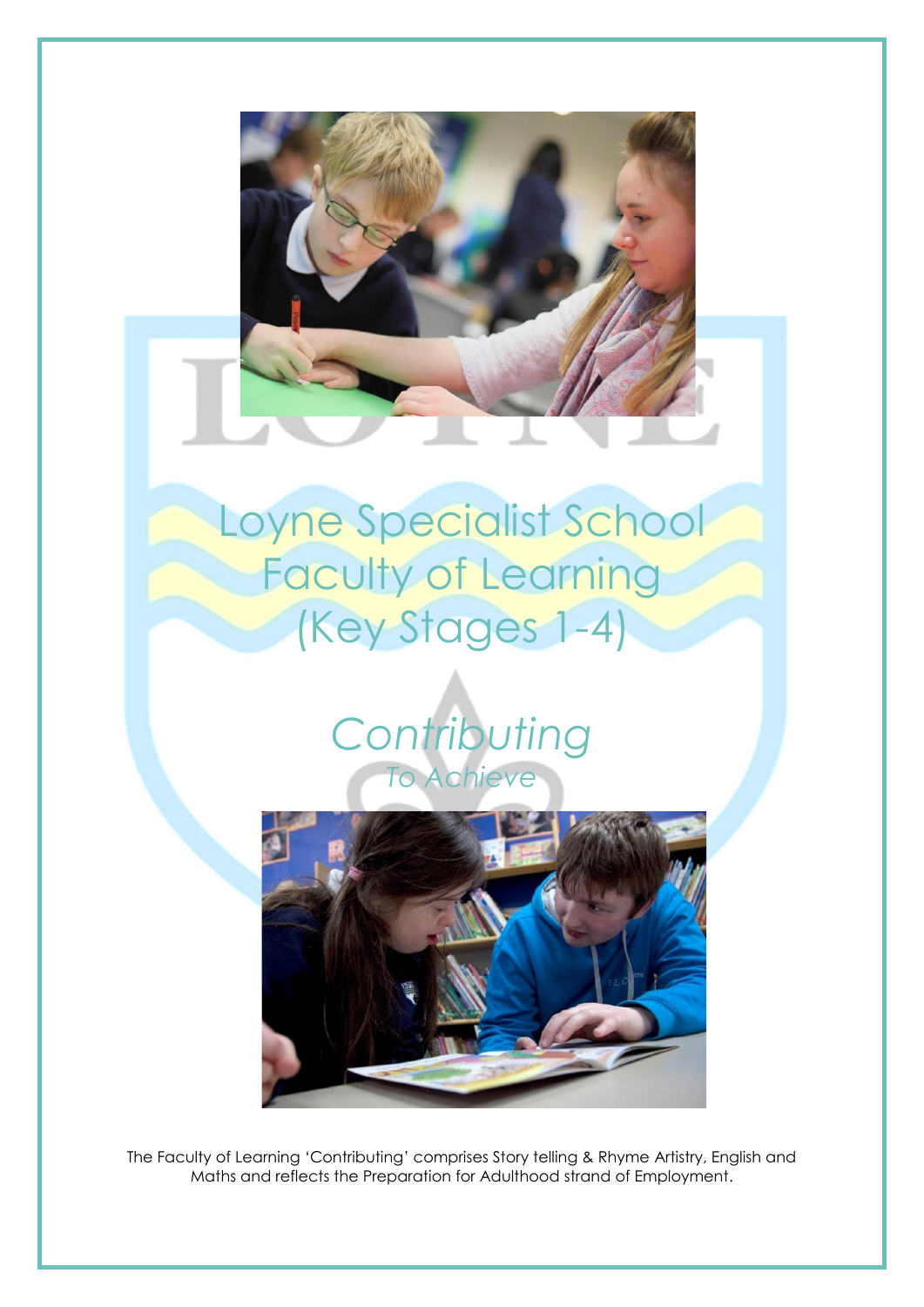# Loyne Specialist School **Faculty of Learning** (Key Stages 1-4)





The Faculty of Learning 'Contributing' comprises Story telling & Rhyme Artistry, English and Maths and reflects the Preparation for Adulthood strand of Employment.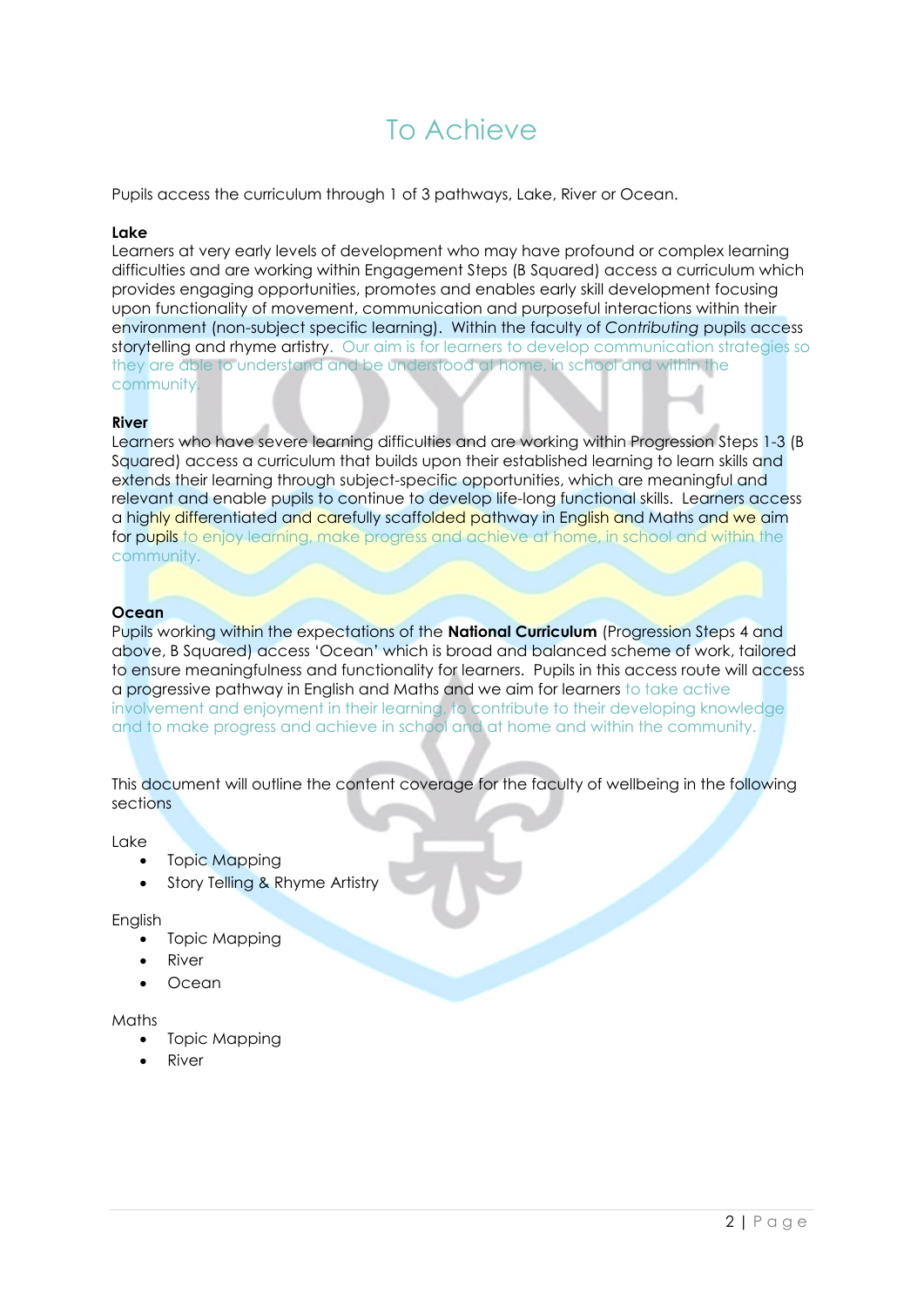### To Achieve

Pupils access the curriculum through 1 of 3 pathways, Lake, River or Ocean.

#### **Lake**

Learners at very early levels of development who may have profound or complex learning difficulties and are working within Engagement Steps (B Squared) access a curriculum which provides engaging opportunities, promotes and enables early skill development focusing upon functionality of movement, communication and purposeful interactions within their environment (non-subject specific learning). Within the faculty of *Contributing* pupils access storytelling and rhyme artistry. Our aim is for learners to develop communication strategies so they are able to understand and be understood at home, in school and within the community.

#### **River**

Learners who have severe learning difficulties and are working within Progression Steps 1-3 (B) Squared) access a curriculum that builds upon their established learning to learn skills and extends their learning through subject-specific opportunities, which are meaningful and relevant and enable pupils to continue to develop life-long functional skills. Learners access a highly differentiated and carefully scaffolded pathway in English and Maths and we aim for pupils to enjoy learning, make progress and achieve at home, in school and within the community.

#### **Ocean**

Pupils working within the expectations of the **National Curriculum** (Progression Steps 4 and above, B Squared) access 'Ocean' which is broad and balanced scheme of work, tailored to ensure meaningfulness and functionality for learners. Pupils in this access route will access a progressive pathway in English and Maths and we aim for learners to take active involvement and enjoyment in their learning, to contribute to their developing knowledge and to make progress and achieve in school and at home and within the community.

This document will outline the content coverage for the faculty of wellbeing in the following sections

#### Lake

- **Topic Mapping**
- Story Telling & Rhyme Artistry

English

- Topic Mapping
- **River**
- Ocean

#### Maths

- Topic Mapping
- River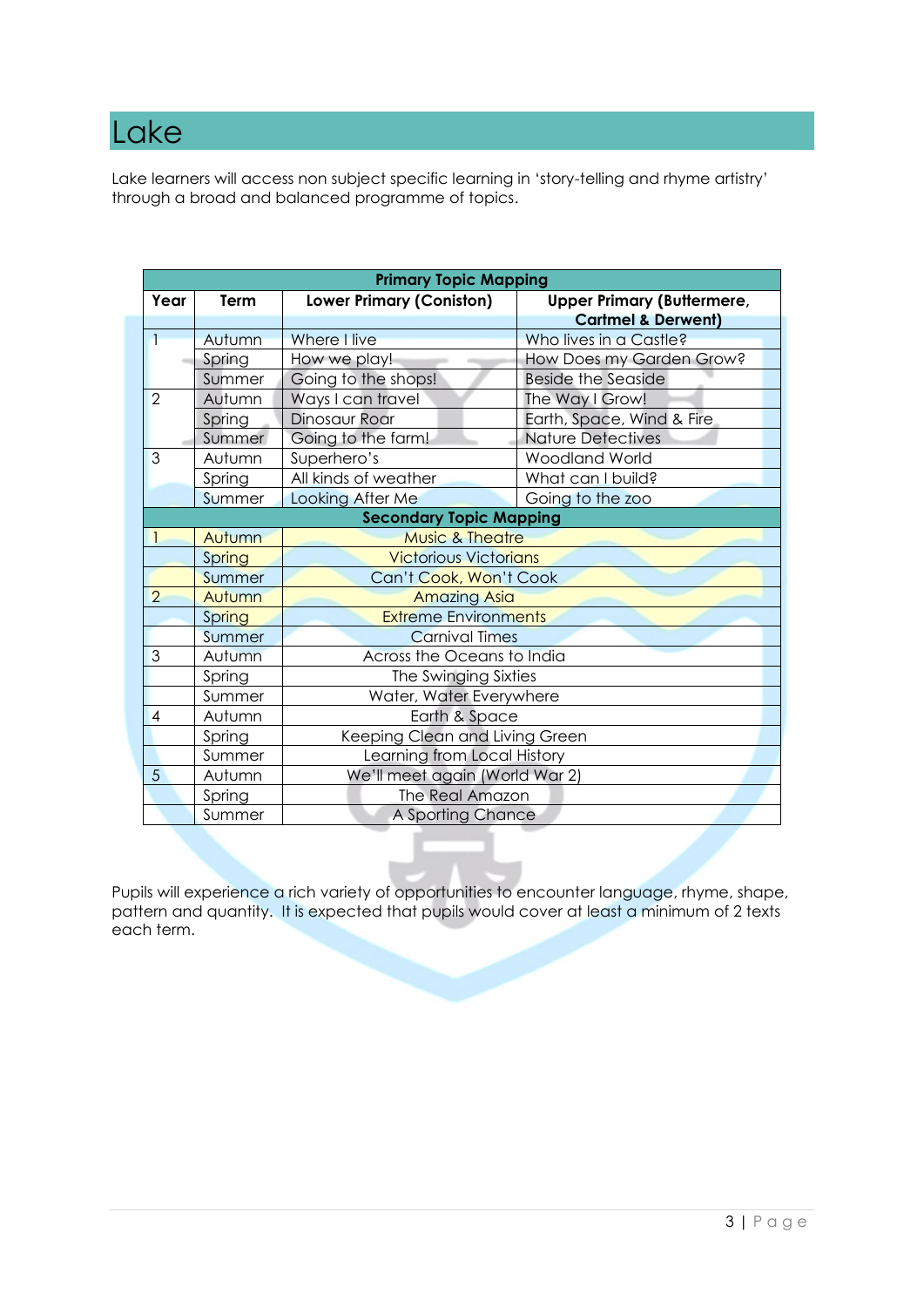### Lake

Lake learners will access non subject specific learning in 'story-telling and rhyme artistry' through a broad and balanced programme of topics.

|                | <b>Primary Topic Mapping</b> |                                                                      |                               |  |  |  |
|----------------|------------------------------|----------------------------------------------------------------------|-------------------------------|--|--|--|
| Year           | Term                         | <b>Lower Primary (Coniston)</b><br><b>Upper Primary (Buttermere,</b> |                               |  |  |  |
|                |                              |                                                                      | <b>Cartmel &amp; Derwent)</b> |  |  |  |
| 1              | Autumn                       | Where I live                                                         | Who lives in a Castle?        |  |  |  |
|                | Spring                       | How we play!                                                         | How Does my Garden Grow?      |  |  |  |
|                | Summer                       | Going to the shops!                                                  | <b>Beside the Seaside</b>     |  |  |  |
| 2              | Autumn                       | Ways I can travel                                                    | The Way I Grow!               |  |  |  |
|                | Spring                       | Dinosaur Roar                                                        | Earth, Space, Wind & Fire     |  |  |  |
|                | Summer                       | Going to the farm!                                                   | <b>Nature Detectives</b>      |  |  |  |
| 3              | Autumn                       | Superhero's                                                          | Woodland World                |  |  |  |
|                | Spring                       | All kinds of weather                                                 | What can I build?             |  |  |  |
|                | <b>Summer</b>                | Looking After Me                                                     | Going to the zoo              |  |  |  |
|                |                              | <b>Secondary Topic Mapping</b>                                       |                               |  |  |  |
|                | Autumn                       | <b>Music &amp; Theatre</b>                                           |                               |  |  |  |
|                | Spring                       | <b>Victorious Victorians</b>                                         |                               |  |  |  |
|                | Summer                       | Can't Cook, Won't Cook                                               |                               |  |  |  |
| $\overline{2}$ | Autumn                       |                                                                      | <b>Amazing Asia</b>           |  |  |  |
|                | Spring                       | <b>Extreme Environments</b>                                          |                               |  |  |  |
|                | Summer                       | <b>Carnival Times</b>                                                |                               |  |  |  |
| 3              | Autumn                       | Across the Oceans to India                                           |                               |  |  |  |
|                | Spring                       | The Swinging Sixties                                                 |                               |  |  |  |
|                | Summer                       | Water, Water Everywhere                                              |                               |  |  |  |
| $\overline{4}$ | Autumn                       | Earth & Space                                                        |                               |  |  |  |
|                | Spring                       | Keeping Clean and Living Green                                       |                               |  |  |  |
|                | Summer                       | Learning from Local History                                          |                               |  |  |  |
| 5              | Autumn                       | We'll meet again (World War 2)                                       |                               |  |  |  |
|                | Spring                       | The Real Amazon                                                      |                               |  |  |  |
|                | Summer                       | A Sporting Chance                                                    |                               |  |  |  |

Pupils will experience a rich variety of opportunities to encounter language, rhyme, shape, pattern and quantity. It is expected that pupils would cover at least a minimum of 2 texts each term.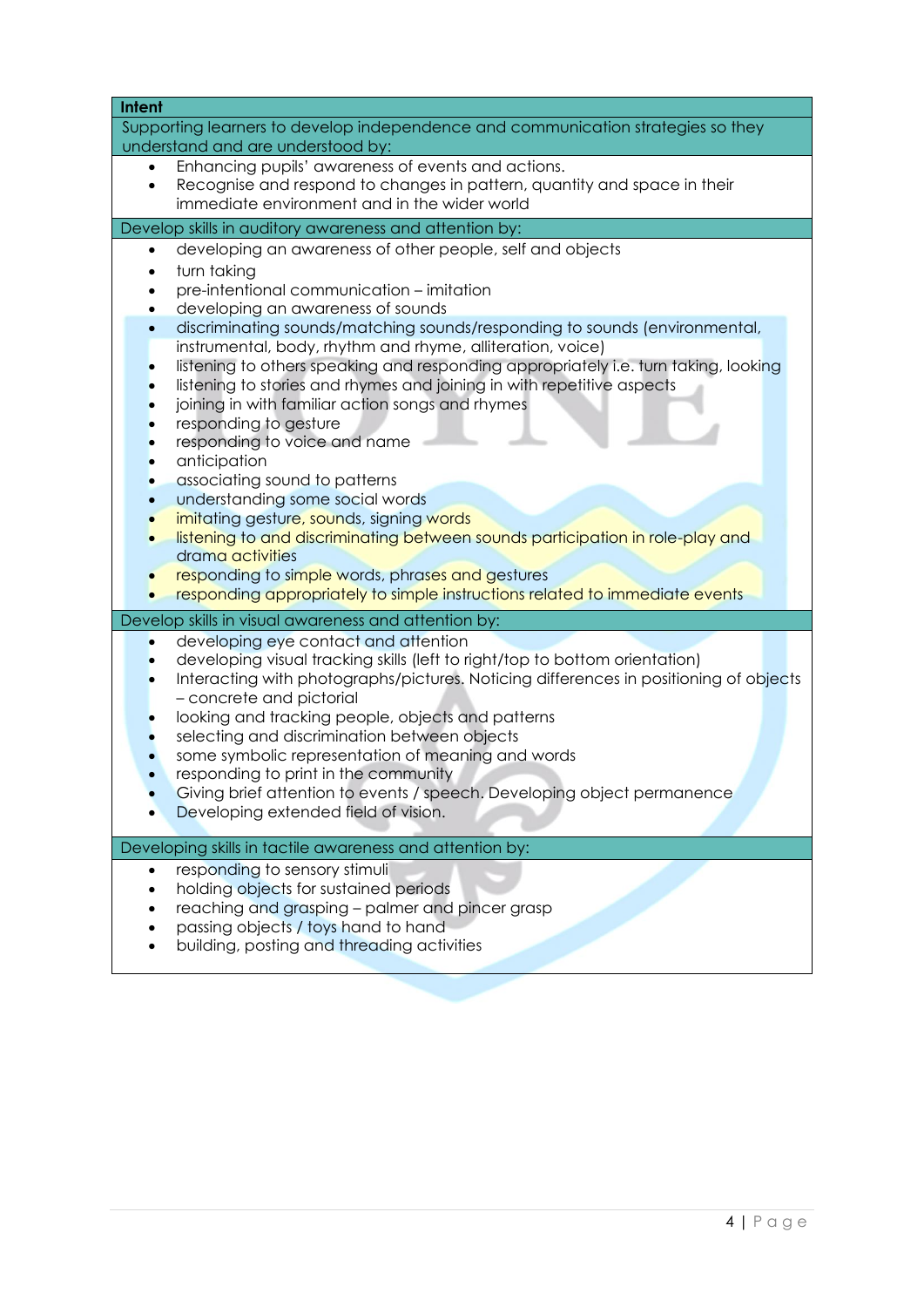| <b>Intent</b>                                                                              |
|--------------------------------------------------------------------------------------------|
| Supporting learners to develop independence and communication strategies so they           |
| understand and are understood by:                                                          |
| Enhancing pupils' awareness of events and actions.                                         |
| Recognise and respond to changes in pattern, quantity and space in their                   |
| immediate environment and in the wider world                                               |
| Develop skills in auditory awareness and attention by:                                     |
| developing an awareness of other people, self and objects<br>$\bullet$                     |
| turn taking                                                                                |
| pre-intentional communication - imitation                                                  |
| developing an awareness of sounds                                                          |
| discriminating sounds/matching sounds/responding to sounds (environmental,<br>$\bullet$    |
| instrumental, body, rhythm and rhyme, alliteration, voice)                                 |
| listening to others speaking and responding appropriately i.e. turn taking, looking        |
| listening to stories and rhymes and joining in with repetitive aspects                     |
| joining in with familiar action songs and rhymes                                           |
| responding to gesture<br>responding to voice and name                                      |
| anticipation                                                                               |
| associating sound to patterns                                                              |
| understanding some social words                                                            |
| imitating gesture, sounds, signing words                                                   |
| listening to and discriminating between sounds participation in role-play and<br>$\bullet$ |
| drama activities                                                                           |
| responding to simple words, phrases and gestures                                           |
| responding appropriately to simple instructions related to immediate events                |
| Develop skills in visual awareness and attention by:                                       |
| developing eye contact and attention                                                       |
| developing visual tracking skills (left to right/top to bottom orientation)                |
| Interacting with photographs/pictures. Noticing differences in positioning of objects      |
| - concrete and pictorial                                                                   |
| looking and tracking people, objects and patterns                                          |
| selecting and discrimination between objects                                               |
| some symbolic representation of meaning and words                                          |
| responding to print in the community                                                       |
| Giving brief attention to events / speech. Developing object permanence                    |
| Developing extended field of vision.                                                       |
| Developing skills in tactile awareness and attention by:                                   |
| responding to sensory stimuli<br>$\bullet$                                                 |
| holding objects for sustained periods                                                      |
| reaching and grasping - palmer and pincer grasp                                            |
| passing objects / toys hand to hand                                                        |
| building, posting and threading activities                                                 |
|                                                                                            |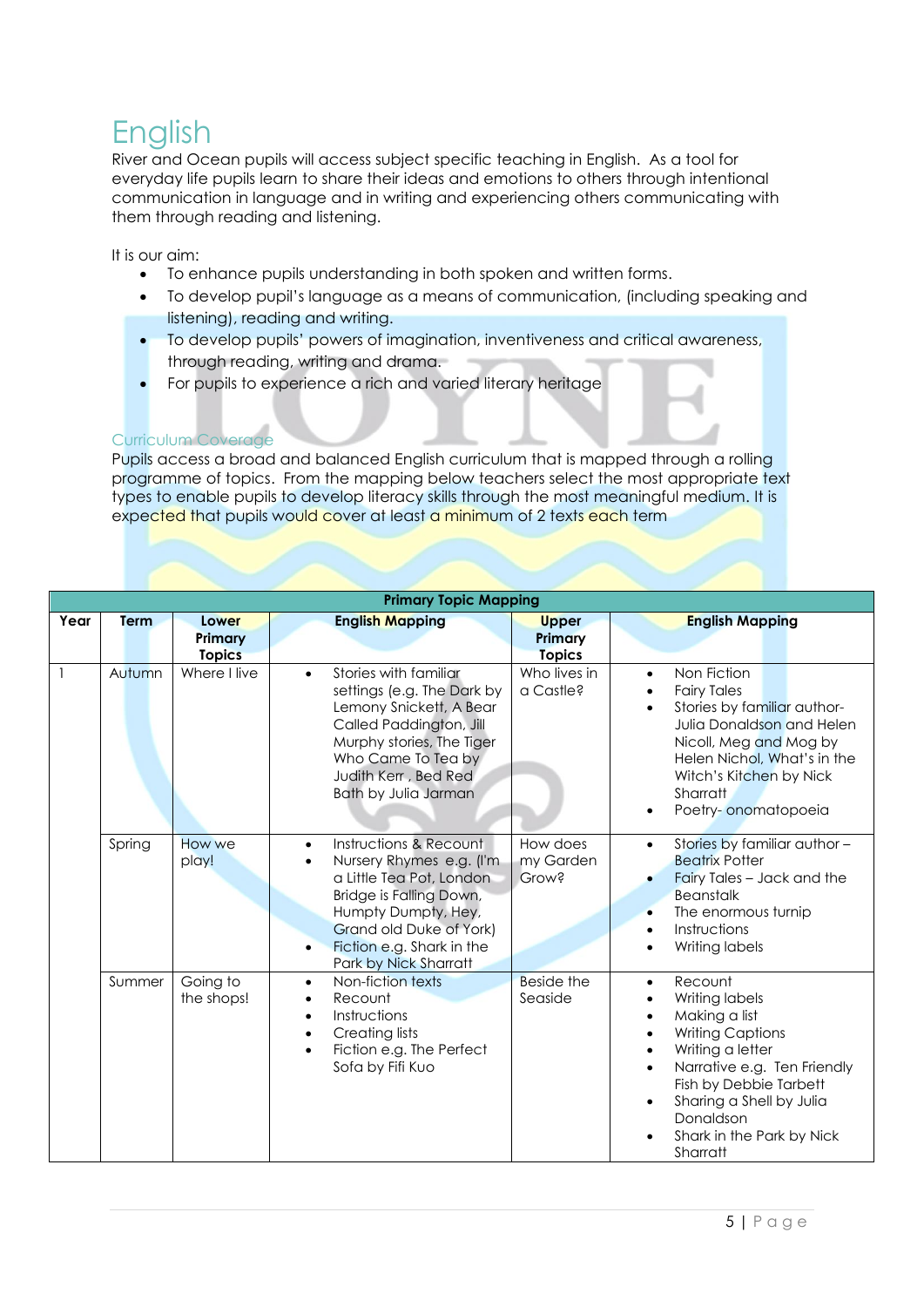## English

River and Ocean pupils will access subject specific teaching in English. As a tool for everyday life pupils learn to share their ideas and emotions to others through intentional communication in language and in writing and experiencing others communicating with them through reading and listening.

It is our aim:

- To enhance pupils understanding in both spoken and written forms.
- To develop pupil's language as a means of communication, (including speaking and listening), reading and writing.
- To develop pupils' powers of imagination, inventiveness and critical awareness, through reading, writing and drama.
- For pupils to experience a rich and varied literary heritage

#### Curriculum Coverage

Pupils access a broad and balanced English curriculum that is mapped through a rolling programme of topics. From the mapping below teachers select the most appropriate text types to enable pupils to develop literacy skills through the most meaningful medium. It is expected that pupils would cover at least a minimum of 2 texts each term

|      |        |                                   | <b>Primary Topic Mapping</b>                                                                                                                                                                                                                             |                                          |                                                                                                                                                                                                                                                                                          |
|------|--------|-----------------------------------|----------------------------------------------------------------------------------------------------------------------------------------------------------------------------------------------------------------------------------------------------------|------------------------------------------|------------------------------------------------------------------------------------------------------------------------------------------------------------------------------------------------------------------------------------------------------------------------------------------|
| Year | Term   | Lower<br>Primary<br><b>Topics</b> | <b>English Mapping</b>                                                                                                                                                                                                                                   | <b>Upper</b><br>Primary<br><b>Topics</b> | <b>English Mapping</b>                                                                                                                                                                                                                                                                   |
|      | Autumn | Where I live                      | Stories with familiar<br>$\bullet$<br>settings (e.g. The Dark by<br>Lemony Snickett, A Bear<br>Called Paddington, Jill<br>Murphy stories, The Tiger<br>Who Came To Tea by<br>Judith Kerr, Bed Red<br>Bath by Julia Jarman                                | Who lives in<br>a Castle?                | Non Fiction<br>$\bullet$<br><b>Fairy Tales</b><br>Stories by familiar author-<br>Julia Donaldson and Helen<br>Nicoll, Meg and Mog by<br>Helen Nichol, What's in the<br>Witch's Kitchen by Nick<br>Sharratt<br>Poetry-onomatopoeia                                                        |
|      | Spring | How we<br>play!                   | Instructions & Recount<br>$\bullet$<br>Nursery Rhymes e.g. (I'm<br>$\bullet$<br>a Little Tea Pot, London<br>Bridge is Falling Down,<br>Humpty Dumpty, Hey,<br>Grand old Duke of York)<br>Fiction e.g. Shark in the<br>$\bullet$<br>Park by Nick Sharratt | How does<br>my Garden<br><b>Grow?</b>    | Stories by familiar author -<br>$\bullet$<br><b>Beatrix Potter</b><br>Fairy Tales - Jack and the<br><b>Beanstalk</b><br>The enormous turnip<br>$\bullet$<br>Instructions<br>$\bullet$<br>Writing labels                                                                                  |
|      | Summer | Going to<br>the shops!            | Non-fiction texts<br>$\bullet$<br>Recount<br>$\bullet$<br>Instructions<br>$\bullet$<br><b>Creating lists</b><br>$\bullet$<br>Fiction e.g. The Perfect<br>$\bullet$<br>Sofa by Fifi Kuo                                                                   | <b>Beside the</b><br>Seaside             | Recount<br>$\bullet$<br>Writing labels<br>$\bullet$<br>Making a list<br>$\bullet$<br><b>Writing Captions</b><br>Writing a letter<br>Narrative e.g. Ten Friendly<br>$\bullet$<br>Fish by Debbie Tarbett<br>Sharing a Shell by Julia<br>Donaldson<br>Shark in the Park by Nick<br>Sharratt |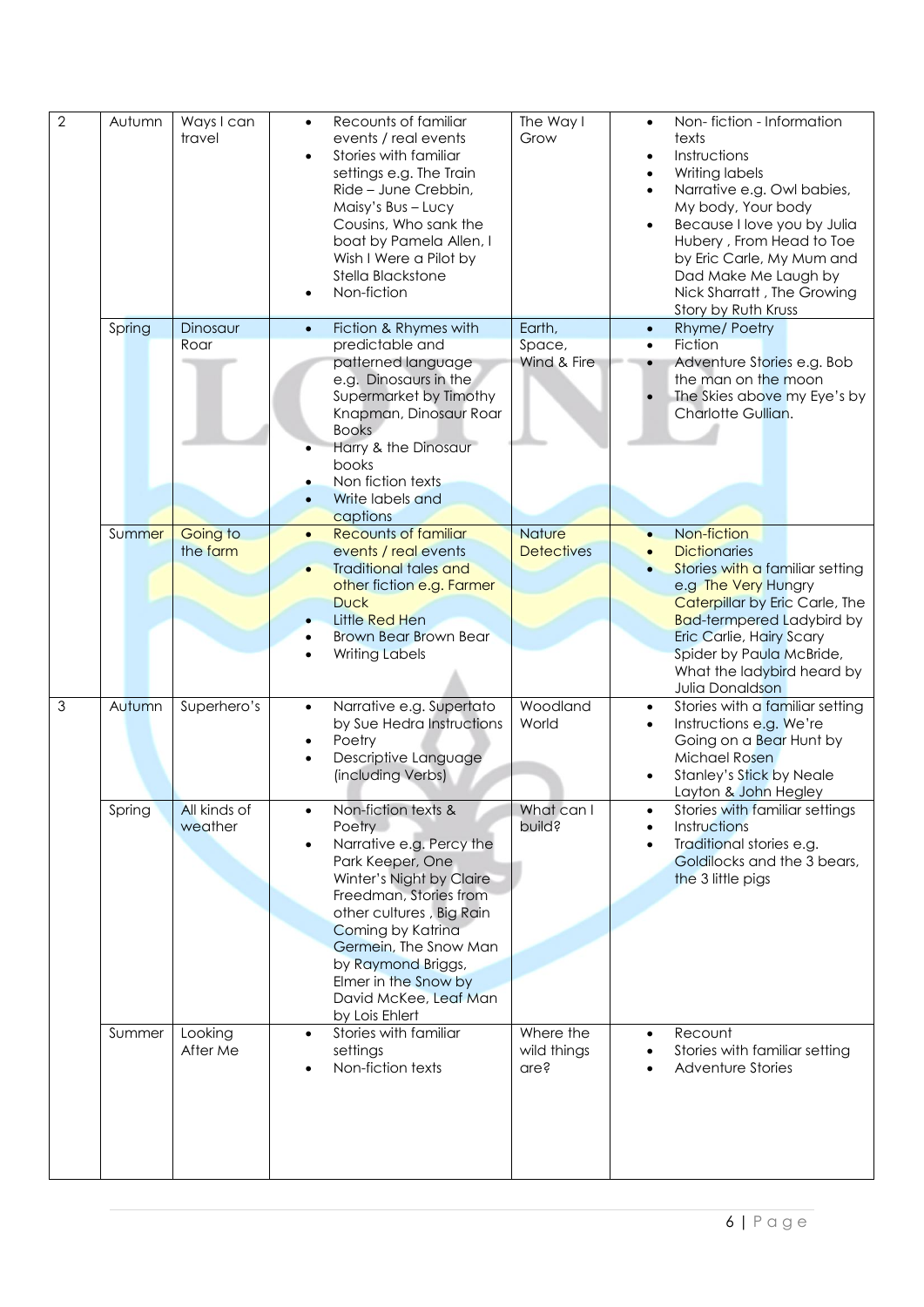| $\overline{2}$ | Autumn | Ways I can<br>travel    | $\bullet$<br>٠                      | Recounts of familiar<br>events / real events<br>Stories with familiar<br>settings e.g. The Train<br>Ride - June Crebbin,<br>Maisy's Bus - Lucy<br>Cousins, Who sank the<br>boat by Pamela Allen, I<br>Wish I Were a Pilot by<br>Stella Blackstone<br>Non-fiction                                       | The Way I<br>Grow                  | $\bullet$<br>$\bullet$<br>$\bullet$ | Non-fiction - Information<br>texts<br>Instructions<br>Writing labels<br>Narrative e.g. Owl babies,<br>My body, Your body<br>Because I love you by Julia<br>Hubery, From Head to Toe<br>by Eric Carle, My Mum and<br>Dad Make Me Laugh by<br>Nick Sharratt, The Growing<br>Story by Ruth Kruss |
|----------------|--------|-------------------------|-------------------------------------|--------------------------------------------------------------------------------------------------------------------------------------------------------------------------------------------------------------------------------------------------------------------------------------------------------|------------------------------------|-------------------------------------|-----------------------------------------------------------------------------------------------------------------------------------------------------------------------------------------------------------------------------------------------------------------------------------------------|
|                | Spring | Dinosaur<br>Roar        | $\bullet$                           | Fiction & Rhymes with<br>predictable and<br>patterned language<br>e.g. Dinosaurs in the<br>Supermarket by Timothy<br>Knapman, Dinosaur Roar<br><b>Books</b><br>Harry & the Dinosaur<br>books<br>Non fiction texts<br>Write labels and                                                                  | Earth,<br>Space,<br>Wind & Fire    | $\bullet$<br>$\bullet$<br>$\bullet$ | Rhyme/Poetry<br><b>Fiction</b><br>Adventure Stories e.g. Bob<br>the man on the moon<br>The Skies above my Eye's by<br>Charlotte Gullian.                                                                                                                                                      |
|                | Summer | Going to<br>the farm    | $\bullet$                           | captions<br><b>Recounts of familiar</b><br>events / real events<br><b>Traditional tales and</b><br>other fiction e.g. Farmer<br><b>Duck</b><br>Little Red Hen<br><b>Brown Bear Brown Bear</b><br><b>Writing Labels</b>                                                                                 | <b>Nature</b><br><b>Detectives</b> |                                     | Non-fiction<br><b>Dictionaries</b><br>Stories with a familiar setting<br>e.g The Very Hungry<br>Caterpillar by Eric Carle, The<br><b>Bad-termpered Ladybird by</b><br><b>Eric Carlie, Hairy Scary</b><br>Spider by Paula McBride,<br>What the ladybird heard by<br>Julia Donaldson            |
| $\mathfrak{Z}$ | Autumn | Superhero's             | $\bullet$<br>$\bullet$<br>$\bullet$ | Narrative e.g. Supertato<br>by Sue Hedra Instructions<br>Poetry<br>Descriptive Language<br>(including Verbs)                                                                                                                                                                                           | Woodland<br>World                  | $\bullet$                           | Stories with a familiar setting<br>Instructions e.g. We're<br>Going on a Bear Hunt by<br>Michael Rosen<br><b>Stanley's Stick by Neale</b><br>Layton & John Hegley                                                                                                                             |
|                | Spring | All kinds of<br>weather |                                     | Non-fiction texts &<br>Poetry<br>Narrative e.g. Percy the<br>Park Keeper, One<br>Winter's Night by Claire<br>Freedman, Stories from<br>other cultures, Big Rain<br>Coming by Katrina<br>Germein, The Snow Man<br>by Raymond Briggs,<br>Elmer in the Snow by<br>David McKee, Leaf Man<br>by Lois Ehlert | What can I<br>build?               |                                     | Stories with familiar settings<br>Instructions<br>Traditional stories e.g.<br>Goldilocks and the 3 bears,<br>the 3 little pigs                                                                                                                                                                |
|                | Summer | Looking<br>After Me     | $\bullet$                           | Stories with familiar<br>settings<br>Non-fiction texts                                                                                                                                                                                                                                                 | Where the<br>wild things<br>are?   | $\bullet$                           | Recount<br>Stories with familiar setting<br>Adventure Stories                                                                                                                                                                                                                                 |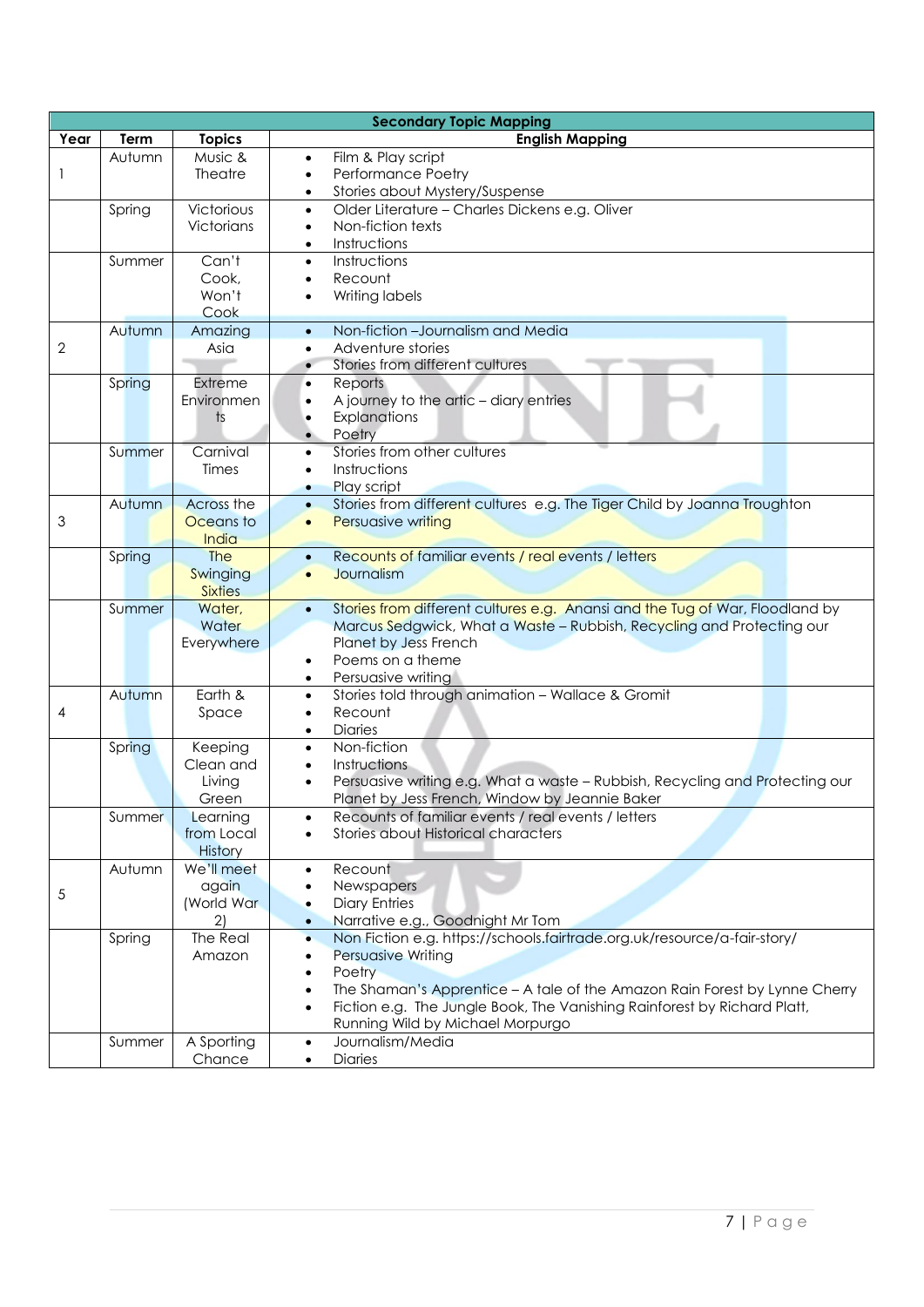|                |        |                   | <b>Secondary Topic Mapping</b>                                                                                            |
|----------------|--------|-------------------|---------------------------------------------------------------------------------------------------------------------------|
| Year           | Term   | <b>Topics</b>     | <b>English Mapping</b>                                                                                                    |
|                | Autumn | Music &           | Film & Play script<br>$\bullet$                                                                                           |
| 1              |        | <b>Theatre</b>    | Performance Poetry<br>$\bullet$                                                                                           |
|                |        |                   | Stories about Mystery/Suspense<br>$\bullet$                                                                               |
|                | Spring | Victorious        | Older Literature - Charles Dickens e.g. Oliver<br>$\bullet$                                                               |
|                |        | Victorians        | Non-fiction texts<br>$\bullet$                                                                                            |
|                |        |                   | Instructions<br>$\bullet$                                                                                                 |
|                | Summer | Can't             | Instructions<br>$\bullet$                                                                                                 |
|                |        | Cook,             | Recount                                                                                                                   |
|                |        | Won't             | Writing labels                                                                                                            |
|                |        | Cook              |                                                                                                                           |
|                | Autumn | Amazing           | Non-fiction - Journalism and Media<br>$\bullet$                                                                           |
| $\overline{2}$ |        | Asia              | Adventure stories<br>$\bullet$                                                                                            |
|                |        |                   | Stories from different cultures<br>$\bullet$                                                                              |
|                | Spring | Extreme           | Reports<br>$\bullet$                                                                                                      |
|                |        | Environmen        | A journey to the artic - diary entries<br>$\bullet$                                                                       |
|                |        | $\mathsf{ts}$     | Explanations<br>$\bullet$<br>Poetry                                                                                       |
|                | Summer | Carnival          | Stories from other cultures<br>$\bullet$                                                                                  |
|                |        | Times             | Instructions<br>$\bullet$                                                                                                 |
|                |        |                   | Play script<br>۰                                                                                                          |
|                | Autumn | <b>Across the</b> | Stories from different cultures e.g. The Tiger Child by Joanna Troughton<br>$\bullet$                                     |
| 3              |        | Oceans to         | Persuasive writing<br>$\bullet$                                                                                           |
|                |        | India             |                                                                                                                           |
|                | Spring | <b>The</b>        | Recounts of familiar events / real events / letters<br>$\bullet$                                                          |
|                |        | Swinging          | Journalism<br>$\bullet$                                                                                                   |
|                |        | <b>Sixties</b>    |                                                                                                                           |
|                | Summer | Water,            | Stories from different cultures e.g. Anansi and the Tug of War, Floodland by<br>$\bullet$                                 |
|                |        | Water             | Marcus Sedgwick, What a Waste - Rubbish, Recycling and Protecting our                                                     |
|                |        | Everywhere        | Planet by Jess French                                                                                                     |
|                |        |                   | Poems on a theme<br>٠                                                                                                     |
|                |        |                   | Persuasive writing<br>٠                                                                                                   |
|                | Autumn | Earth &           | Stories told through animation - Wallace & Gromit<br>$\bullet$<br>Recount                                                 |
| 4              |        | Space             | $\bullet$<br><b>Diaries</b><br>$\bullet$                                                                                  |
|                | Spring | Keeping           | Non-fiction<br>$\bullet$                                                                                                  |
|                |        | Clean and         | Instructions<br>$\bullet$                                                                                                 |
|                |        | Living            | Persuasive writing e.g. What a waste - Rubbish, Recycling and Protecting our                                              |
|                |        | Green             | Planet by Jess French, Window by Jeannie Baker                                                                            |
|                | Summer | Learning          | Recounts of familiar events / real events / letters                                                                       |
|                |        | from Local        | <b>Stories about Historical characters</b>                                                                                |
|                |        | History           |                                                                                                                           |
|                | Autumn | We'll meet        | Recount<br>$\bullet$                                                                                                      |
| $\sqrt{5}$     |        | again             | Newspapers<br>٠                                                                                                           |
|                |        | (World War        | <b>Diary Entries</b><br>$\bullet$                                                                                         |
|                |        | 2)                | Narrative e.g., Goodnight Mr Tom<br>$\bullet$                                                                             |
|                | Spring | The Real          | Non Fiction e.g. https://schools.fairtrade.org.uk/resource/a-fair-story/<br>$\bullet$                                     |
|                |        | Amazon            | Persuasive Writing<br>$\bullet$                                                                                           |
|                |        |                   | Poetry<br>$\bullet$                                                                                                       |
|                |        |                   | The Shaman's Apprentice - A tale of the Amazon Rain Forest by Lynne Cherry<br>$\bullet$                                   |
|                |        |                   | Fiction e.g. The Jungle Book, The Vanishing Rainforest by Richard Platt,<br>$\bullet$<br>Running Wild by Michael Morpurgo |
|                | Summer | A Sporting        | Journalism/Media<br>$\bullet$                                                                                             |
|                |        | Chance            | <b>Diaries</b>                                                                                                            |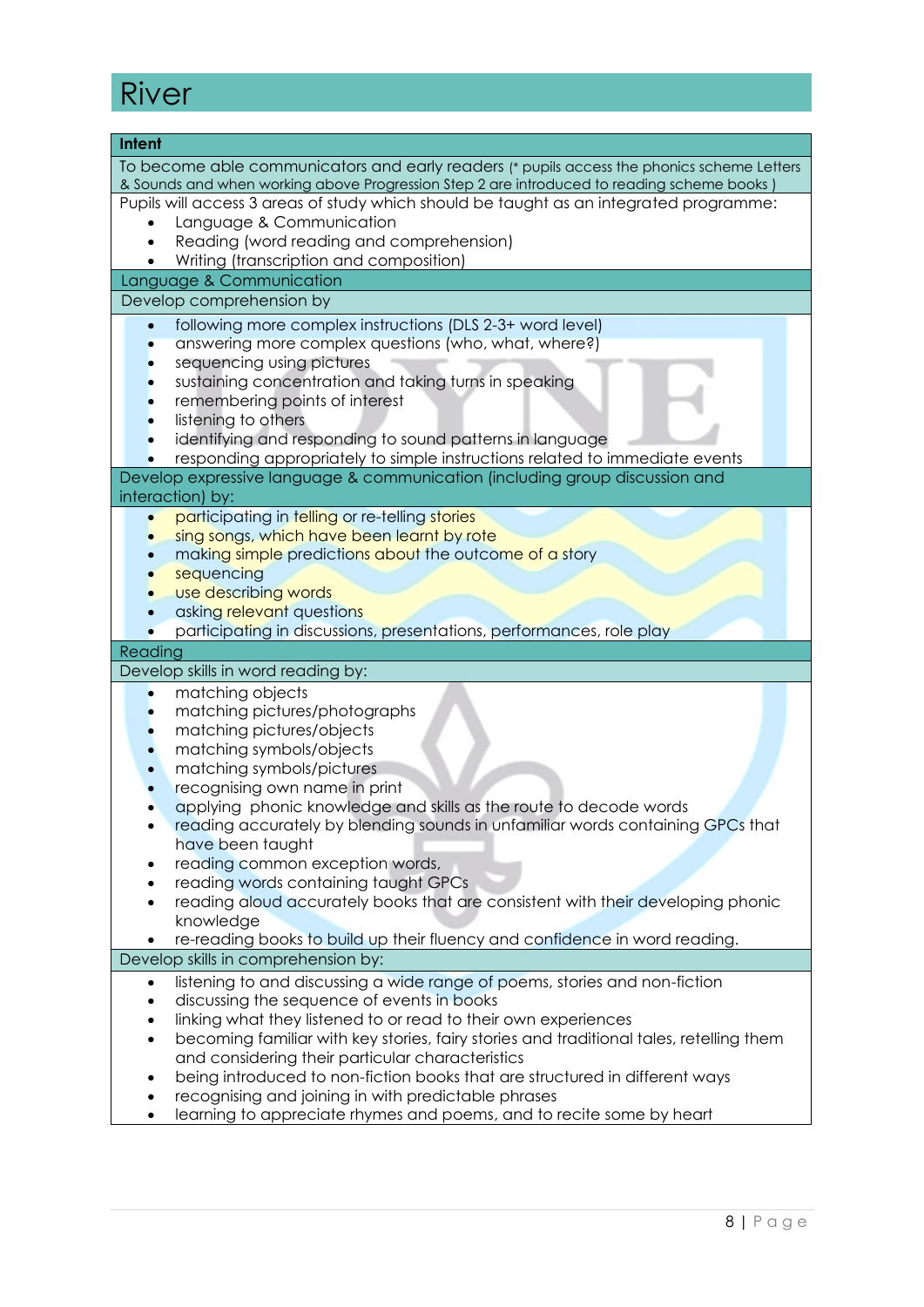## River

| Intent                                                                                                    |
|-----------------------------------------------------------------------------------------------------------|
| To become able communicators and early readers (* pupils access the phonics scheme Letters                |
| & Sounds and when working above Progression Step 2 are introduced to reading scheme books )               |
| Pupils will access 3 areas of study which should be taught as an integrated programme:                    |
| Language & Communication                                                                                  |
| Reading (word reading and comprehension)                                                                  |
| Writing (transcription and composition)                                                                   |
| Language & Communication                                                                                  |
| Develop comprehension by                                                                                  |
| following more complex instructions (DLS 2-3+ word level)                                                 |
| answering more complex questions (who, what, where?)                                                      |
| sequencing using pictures                                                                                 |
| sustaining concentration and taking turns in speaking<br>remembering points of interest                   |
| listening to others                                                                                       |
| identifying and responding to sound patterns in language                                                  |
| responding appropriately to simple instructions related to immediate events                               |
| Develop expressive language & communication (including group discussion and                               |
| interaction) by:                                                                                          |
| participating in telling or re-telling stories<br>$\bullet$                                               |
| sing songs, which have been learnt by rote                                                                |
| making simple predictions about the outcome of a story                                                    |
| sequencing                                                                                                |
| use describing words                                                                                      |
| asking relevant questions                                                                                 |
| participating in discussions, presentations, performances, role play                                      |
| Reading<br>Develop skills in word reading by:                                                             |
| matching objects<br>$\bullet$                                                                             |
| matching pictures/photographs                                                                             |
| matching pictures/objects                                                                                 |
| matching symbols/objects                                                                                  |
| matching symbols/pictures                                                                                 |
| recognising own name in print                                                                             |
| applying phonic knowledge and skills as the route to decode words                                         |
| reading accurately by blending sounds in unfamiliar words containing GPCs that                            |
| have been taught                                                                                          |
| reading common exception words,                                                                           |
| reading words containing taught GPCs                                                                      |
| reading aloud accurately books that are consistent with their developing phonic<br>$\bullet$<br>knowledge |
| re-reading books to build up their fluency and confidence in word reading.                                |
| Develop skills in comprehension by:                                                                       |
| listening to and discussing a wide range of poems, stories and non-fiction<br>$\bullet$                   |
| discussing the sequence of events in books<br>$\bullet$                                                   |
| linking what they listened to or read to their own experiences<br>٠                                       |
| becoming familiar with key stories, fairy stories and traditional tales, retelling them<br>$\bullet$      |
| and considering their particular characteristics                                                          |
| being introduced to non-fiction books that are structured in different ways<br>٠                          |
| recognising and joining in with predictable phrases                                                       |
| learning to appreciate rhymes and poems, and to recite some by heart<br>٠                                 |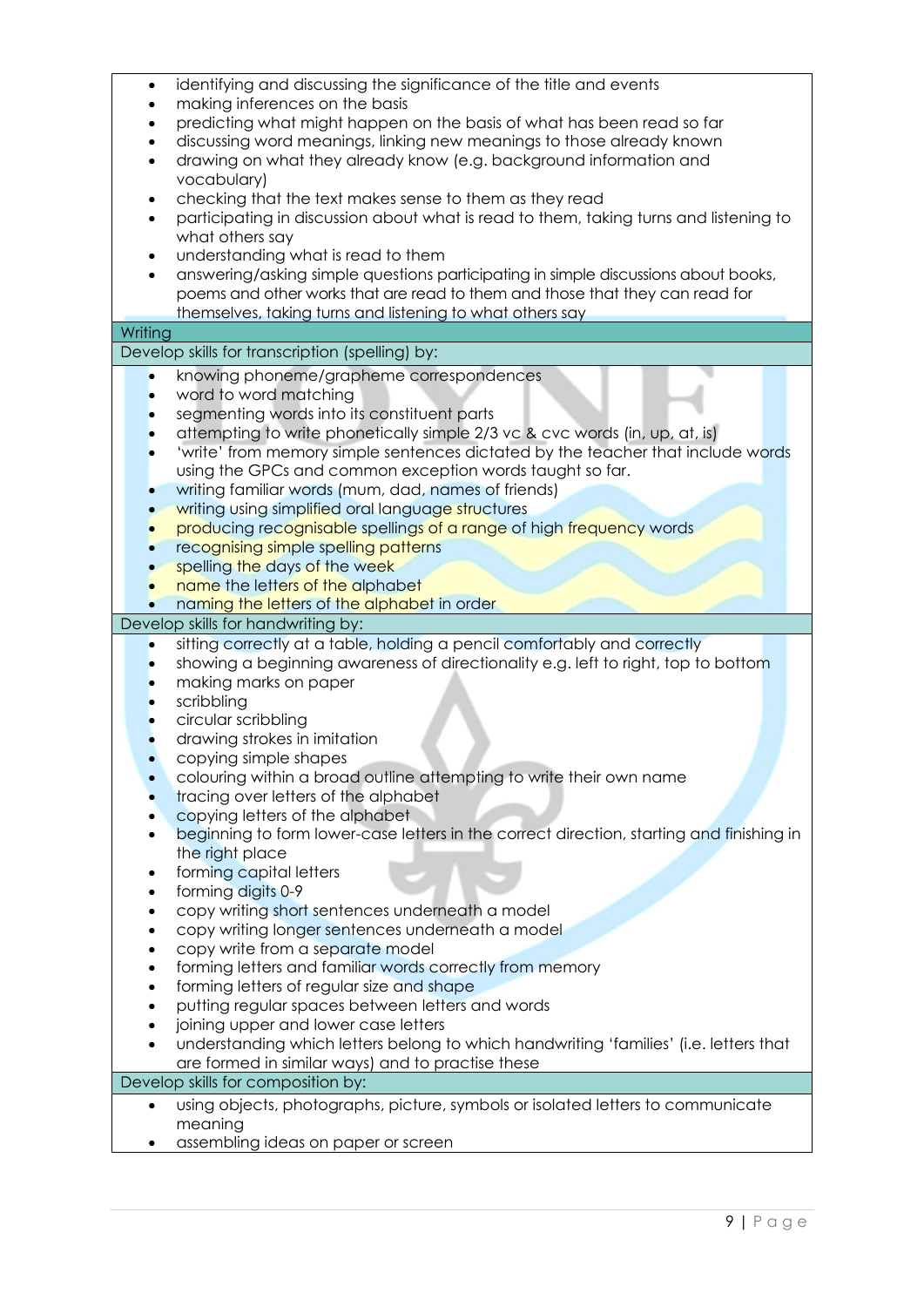| $\bullet$ | identifying and discussing the significance of the title and events                                                                                            |
|-----------|----------------------------------------------------------------------------------------------------------------------------------------------------------------|
|           | making inferences on the basis                                                                                                                                 |
|           | predicting what might happen on the basis of what has been read so far                                                                                         |
|           | discussing word meanings, linking new meanings to those already known                                                                                          |
| $\bullet$ | drawing on what they already know (e.g. background information and                                                                                             |
|           | vocabulary)                                                                                                                                                    |
| $\bullet$ | checking that the text makes sense to them as they read                                                                                                        |
| $\bullet$ | participating in discussion about what is read to them, taking turns and listening to                                                                          |
|           | what others say                                                                                                                                                |
|           | understanding what is read to them                                                                                                                             |
| $\bullet$ | answering/asking simple questions participating in simple discussions about books,                                                                             |
|           | poems and other works that are read to them and those that they can read for                                                                                   |
|           | themselves, taking turns and listening to what others say                                                                                                      |
| Writing   |                                                                                                                                                                |
|           | Develop skills for transcription (spelling) by:                                                                                                                |
| $\bullet$ | knowing phoneme/grapheme correspondences                                                                                                                       |
|           | word to word matching                                                                                                                                          |
|           |                                                                                                                                                                |
|           | segmenting words into its constituent parts                                                                                                                    |
|           | attempting to write phonetically simple 2/3 vc & cvc words (in, up, at, is)<br>'write' from memory simple sentences dictated by the teacher that include words |
| $\bullet$ | using the GPCs and common exception words taught so far.                                                                                                       |
|           | writing familiar words (mum, dad, names of friends)                                                                                                            |
|           |                                                                                                                                                                |
|           | writing using simplified oral language structures                                                                                                              |
|           | producing recognisable spellings of a range of high frequency words                                                                                            |
|           | recognising simple spelling patterns                                                                                                                           |
|           | spelling the days of the week                                                                                                                                  |
|           | name the letters of the alphabet                                                                                                                               |
|           | naming the letters of the alphabet in order                                                                                                                    |
|           |                                                                                                                                                                |
|           | Develop skills for handwriting by:                                                                                                                             |
|           | sitting correctly at a table, holding a pencil comfortably and correctly                                                                                       |
|           | showing a beginning awareness of directionality e.g. left to right, top to bottom                                                                              |
|           | making marks on paper                                                                                                                                          |
|           | scribbling                                                                                                                                                     |
|           | circular scribbling                                                                                                                                            |
|           | drawing strokes in imitation                                                                                                                                   |
|           | copying simple shapes                                                                                                                                          |
|           | colouring within a broad outline attempting to write their own name                                                                                            |
|           | tracing over letters of the alphabet                                                                                                                           |
|           | copying letters of the alphabet                                                                                                                                |
|           | beginning to form lower-case letters in the correct direction, starting and finishing in                                                                       |
|           | the right place                                                                                                                                                |
|           | forming capital letters                                                                                                                                        |
|           | forming digits 0-9                                                                                                                                             |
|           | copy writing short sentences underneath a model                                                                                                                |
|           | copy writing longer sentences underneath a model                                                                                                               |
|           | copy write from a separate model                                                                                                                               |
|           | forming letters and familiar words correctly from memory                                                                                                       |
|           | forming letters of regular size and shape                                                                                                                      |
|           | putting regular spaces between letters and words                                                                                                               |
|           | joining upper and lower case letters                                                                                                                           |
|           | understanding which letters belong to which handwriting 'families' (i.e. letters that                                                                          |
|           | are formed in similar ways) and to practise these                                                                                                              |
|           | Develop skills for composition by:                                                                                                                             |
| $\bullet$ | using objects, photographs, picture, symbols or isolated letters to communicate                                                                                |
|           | meaning<br>assembling ideas on paper or screen                                                                                                                 |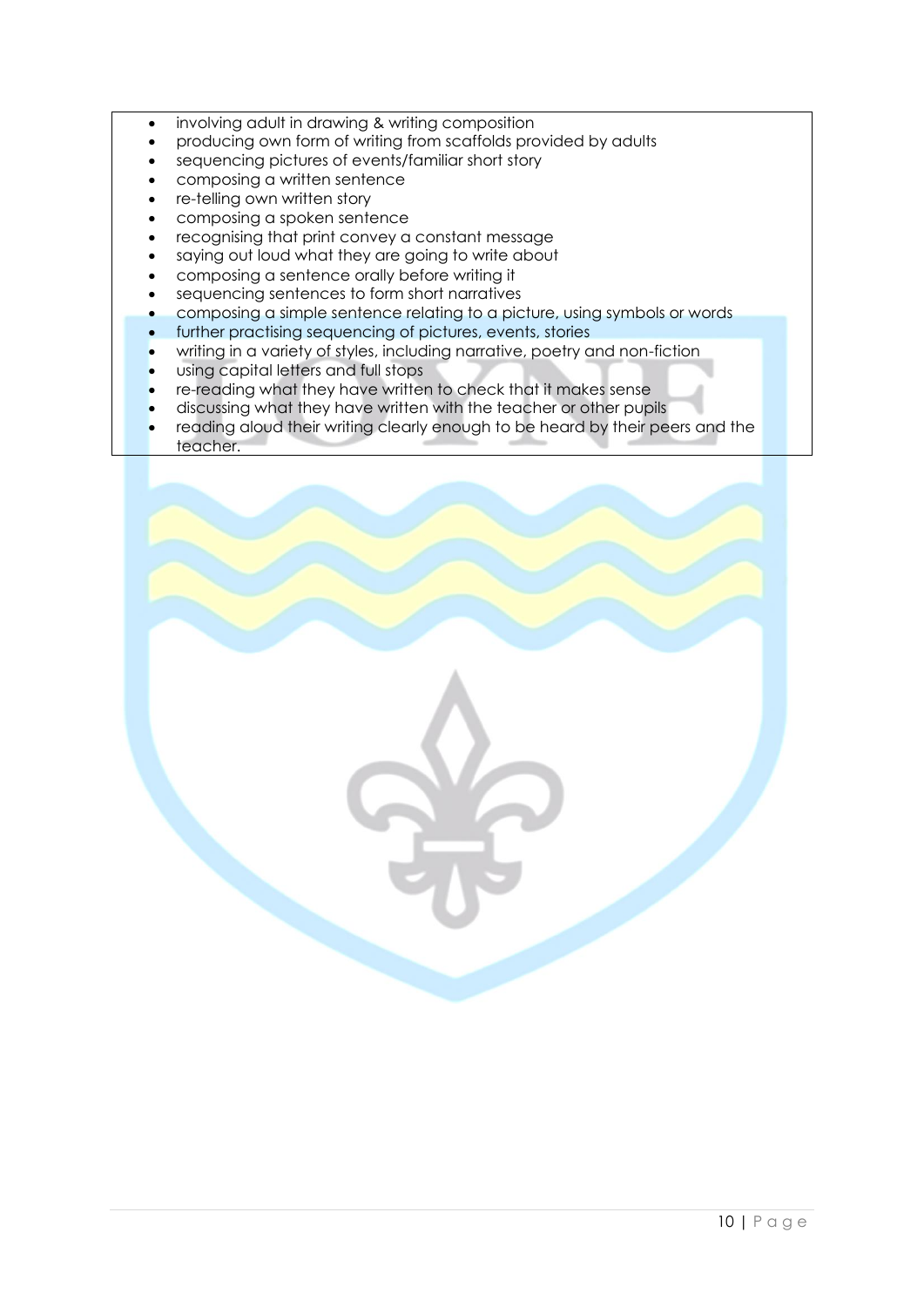- involving adult in drawing & writing composition
- producing own form of writing from scaffolds provided by adults
- sequencing pictures of events/familiar short story
- composing a written sentence
- re-telling own written story
- composing a spoken sentence
- recognising that print convey a constant message
- saying out loud what they are going to write about
- composing a sentence orally before writing it
- sequencing sentences to form short narratives
- composing a simple sentence relating to a picture, using symbols or words
- further practising sequencing of pictures, events, stories
- writing in a variety of styles, including narrative, poetry and non-fiction
- using capital letters and full stops
- re-reading what they have written to check that it makes sense
- discussing what they have written with the teacher or other pupils
- reading aloud their writing clearly enough to be heard by their peers and the teacher.

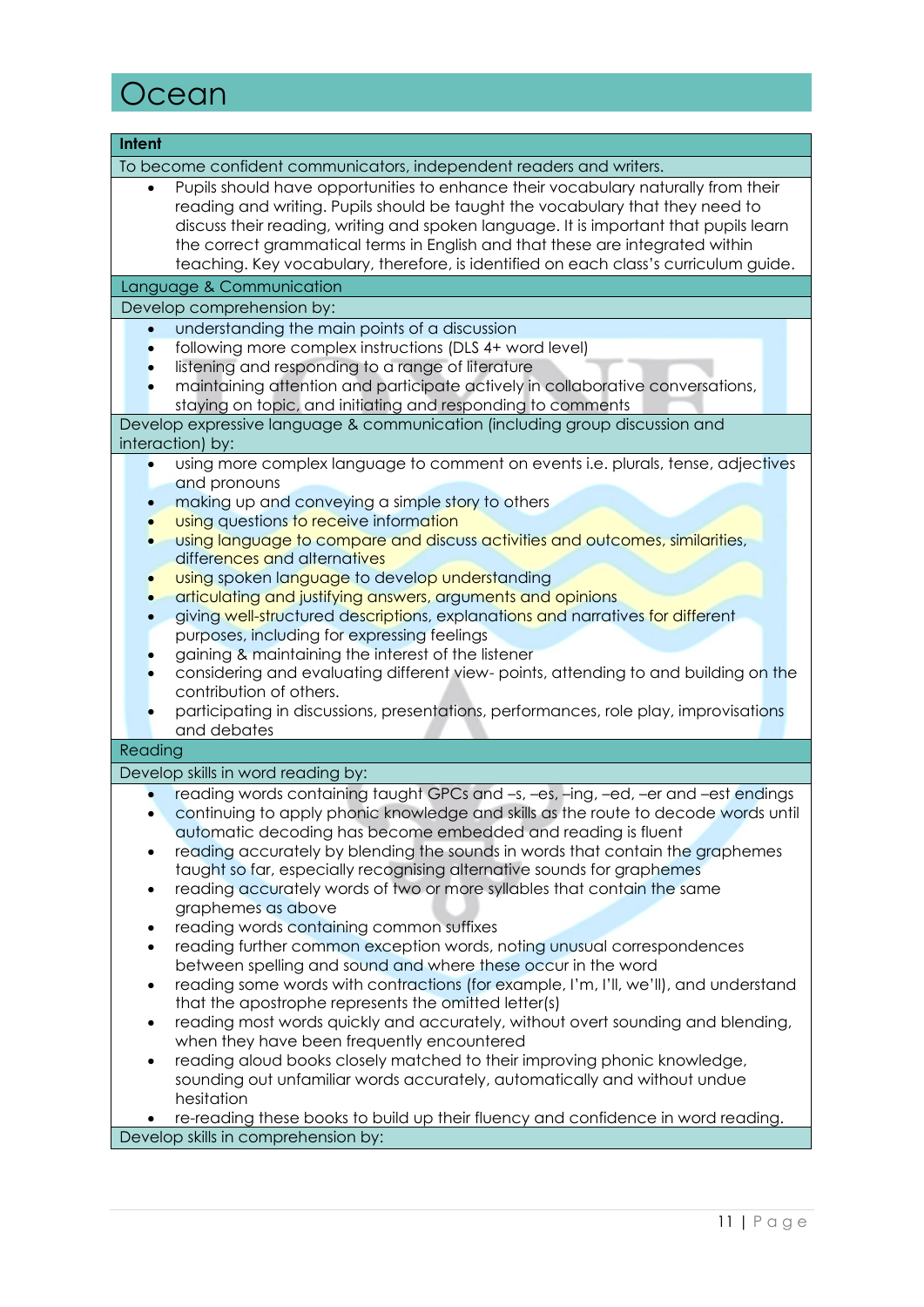## **Ocean**

| <b>Intent</b>                                                                                                                                                                                                                                                                                                                                                                                                                                     |
|---------------------------------------------------------------------------------------------------------------------------------------------------------------------------------------------------------------------------------------------------------------------------------------------------------------------------------------------------------------------------------------------------------------------------------------------------|
| To become confident communicators, independent readers and writers.                                                                                                                                                                                                                                                                                                                                                                               |
| Pupils should have opportunities to enhance their vocabulary naturally from their<br>$\bullet$<br>reading and writing. Pupils should be taught the vocabulary that they need to<br>discuss their reading, writing and spoken language. It is important that pupils learn<br>the correct grammatical terms in English and that these are integrated within<br>teaching. Key vocabulary, therefore, is identified on each class's curriculum guide. |
| Language & Communication                                                                                                                                                                                                                                                                                                                                                                                                                          |
| Develop comprehension by:                                                                                                                                                                                                                                                                                                                                                                                                                         |
| understanding the main points of a discussion<br>$\bullet$                                                                                                                                                                                                                                                                                                                                                                                        |
| following more complex instructions (DLS 4+ word level)                                                                                                                                                                                                                                                                                                                                                                                           |
| listening and responding to a range of literature                                                                                                                                                                                                                                                                                                                                                                                                 |
| maintaining attention and participate actively in collaborative conversations,                                                                                                                                                                                                                                                                                                                                                                    |
| staying on topic, and initiating and responding to comments                                                                                                                                                                                                                                                                                                                                                                                       |
| Develop expressive language & communication (including group discussion and                                                                                                                                                                                                                                                                                                                                                                       |
| interaction) by:                                                                                                                                                                                                                                                                                                                                                                                                                                  |
| using more complex language to comment on events i.e. plurals, tense, adjectives<br>$\bullet$                                                                                                                                                                                                                                                                                                                                                     |
| and pronouns<br>making up and conveying a simple story to others                                                                                                                                                                                                                                                                                                                                                                                  |
| using questions to receive information                                                                                                                                                                                                                                                                                                                                                                                                            |
| using language to compare and discuss activities and outcomes, similarities,                                                                                                                                                                                                                                                                                                                                                                      |
| differences and alternatives                                                                                                                                                                                                                                                                                                                                                                                                                      |
| using spoken language to develop understanding                                                                                                                                                                                                                                                                                                                                                                                                    |
| articulating and justifying answers, arguments and opinions                                                                                                                                                                                                                                                                                                                                                                                       |
| giving well-structured descriptions, explanations and narratives for different                                                                                                                                                                                                                                                                                                                                                                    |
| purposes, including for expressing feelings                                                                                                                                                                                                                                                                                                                                                                                                       |
| gaining & maintaining the interest of the listener                                                                                                                                                                                                                                                                                                                                                                                                |
| considering and evaluating different view- points, attending to and building on the<br>contribution of others.                                                                                                                                                                                                                                                                                                                                    |
| participating in discussions, presentations, performances, role play, improvisations                                                                                                                                                                                                                                                                                                                                                              |
| and debates                                                                                                                                                                                                                                                                                                                                                                                                                                       |
| Reading                                                                                                                                                                                                                                                                                                                                                                                                                                           |
| Develop skills in word reading by:                                                                                                                                                                                                                                                                                                                                                                                                                |
| reading words containing taught GPCs and -s, -es, -ing, -ed, -er and -est endings                                                                                                                                                                                                                                                                                                                                                                 |
| continuing to apply phonic knowledge and skills as the route to decode words until                                                                                                                                                                                                                                                                                                                                                                |
| automatic decoding has become embedded and reading is fluent                                                                                                                                                                                                                                                                                                                                                                                      |
| reading accurately by blending the sounds in words that contain the graphemes                                                                                                                                                                                                                                                                                                                                                                     |
| taught so far, especially recognising alternative sounds for graphemes                                                                                                                                                                                                                                                                                                                                                                            |
| reading accurately words of two or more syllables that contain the same<br>٠                                                                                                                                                                                                                                                                                                                                                                      |
| graphemes as above                                                                                                                                                                                                                                                                                                                                                                                                                                |
| reading words containing common suffixes<br>٠<br>reading further common exception words, noting unusual correspondences<br>$\bullet$                                                                                                                                                                                                                                                                                                              |
| between spelling and sound and where these occur in the word                                                                                                                                                                                                                                                                                                                                                                                      |
| reading some words with contractions (for example, I'm, I'll, we'll), and understand<br>$\bullet$                                                                                                                                                                                                                                                                                                                                                 |
| that the apostrophe represents the omitted letter(s)                                                                                                                                                                                                                                                                                                                                                                                              |
| reading most words quickly and accurately, without overt sounding and blending,<br>$\bullet$                                                                                                                                                                                                                                                                                                                                                      |
| when they have been frequently encountered                                                                                                                                                                                                                                                                                                                                                                                                        |
| reading aloud books closely matched to their improving phonic knowledge,<br>$\bullet$                                                                                                                                                                                                                                                                                                                                                             |
| sounding out unfamiliar words accurately, automatically and without undue                                                                                                                                                                                                                                                                                                                                                                         |
| hesitation                                                                                                                                                                                                                                                                                                                                                                                                                                        |
| re-reading these books to build up their fluency and confidence in word reading.<br>Develop skills in comprehension by:                                                                                                                                                                                                                                                                                                                           |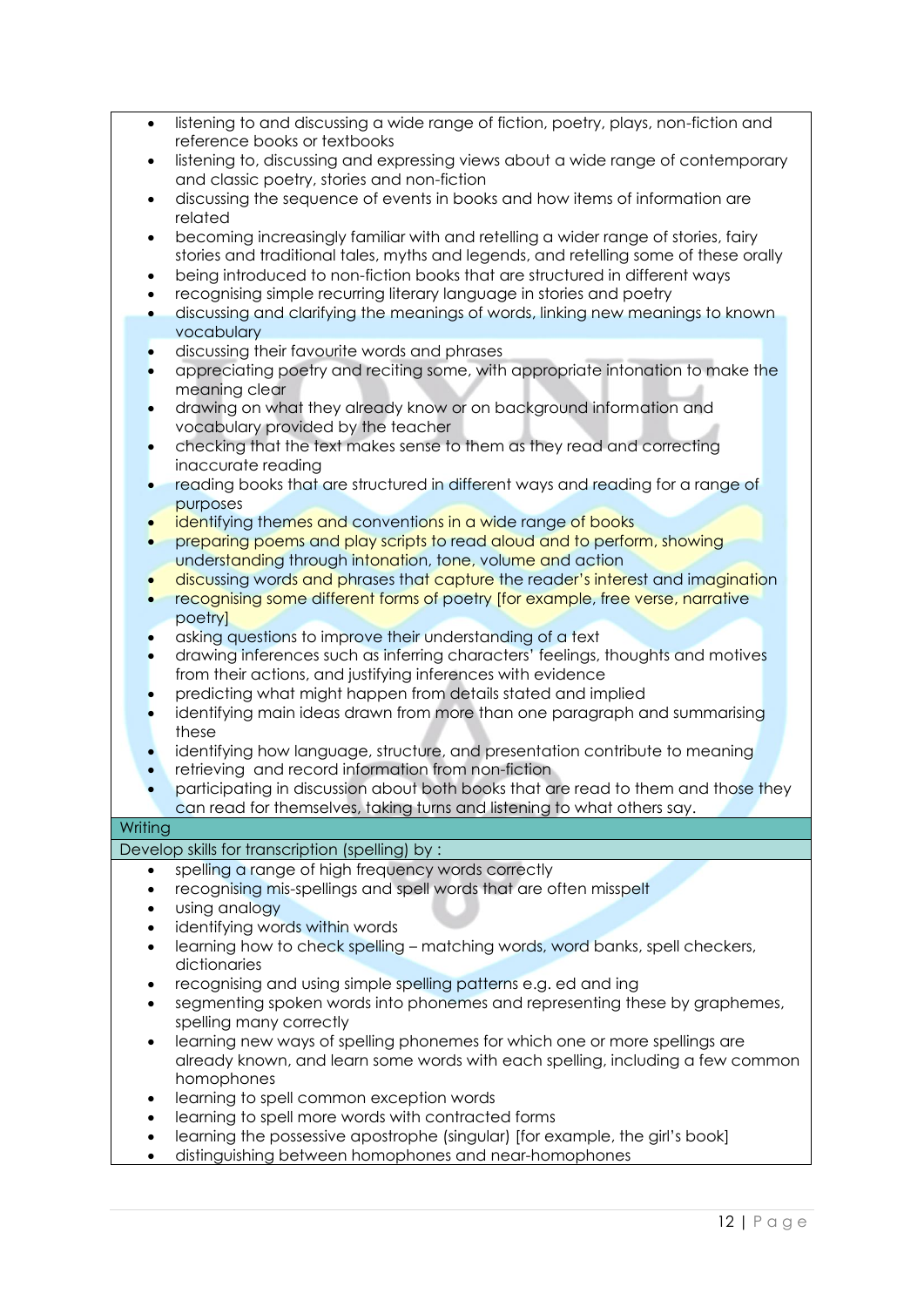| listening to and discussing a wide range of fiction, poetry, plays, non-fiction and |
|-------------------------------------------------------------------------------------|
| reference books or textbooks                                                        |

- listening to, discussing and expressing views about a wide range of contemporary and classic poetry, stories and non-fiction
- discussing the sequence of events in books and how items of information are related
- becoming increasingly familiar with and retelling a wider range of stories, fairy stories and traditional tales, myths and legends, and retelling some of these orally
- being introduced to non-fiction books that are structured in different ways
- recognising simple recurring literary language in stories and poetry
- discussing and clarifying the meanings of words, linking new meanings to known vocabulary
- discussing their favourite words and phrases
- appreciating poetry and reciting some, with appropriate intonation to make the meaning clear
- drawing on what they already know or on background information and vocabulary provided by the teacher
- checking that the text makes sense to them as they read and correcting inaccurate reading
- reading books that are structured in different ways and reading for a range of purposes
- identifying themes and conventions in a wide range of books
- preparing poems and play scripts to read aloud and to perform, showing understanding through intonation, tone, volume and action
- discussing words and phrases that capture the reader's interest and imagination
- recognising some different forms of poetry [for example, free verse, narrative poetry]
- asking questions to improve their understanding of a text
- drawing inferences such as inferring characters' feelings, thoughts and motives from their actions, and justifying inferences with evidence
- predicting what might happen from details stated and implied
- identifying main ideas drawn from more than one paragraph and summarising these
- identifying how language, structure, and presentation contribute to meaning
- retrieving and record information from non-fiction
- participating in discussion about both books that are read to them and those they can read for themselves, taking turns and listening to what others say.

#### **Writing**

Develop skills for transcription (spelling) by :

- spelling a range of high frequency words correctly
- recognising mis-spellings and spell words that are often misspelt
- using analogy
- identifying words within words
- learning how to check spelling matching words, word banks, spell checkers, dictionaries
- recognising and using simple spelling patterns e.g. ed and ing
- segmenting spoken words into phonemes and representing these by graphemes, spelling many correctly
- learning new ways of spelling phonemes for which one or more spellings are already known, and learn some words with each spelling, including a few common homophones
- learning to spell common exception words
- learning to spell more words with contracted forms
- learning the possessive apostrophe (singular) [for example, the girl's book]
- distinguishing between homophones and near-homophones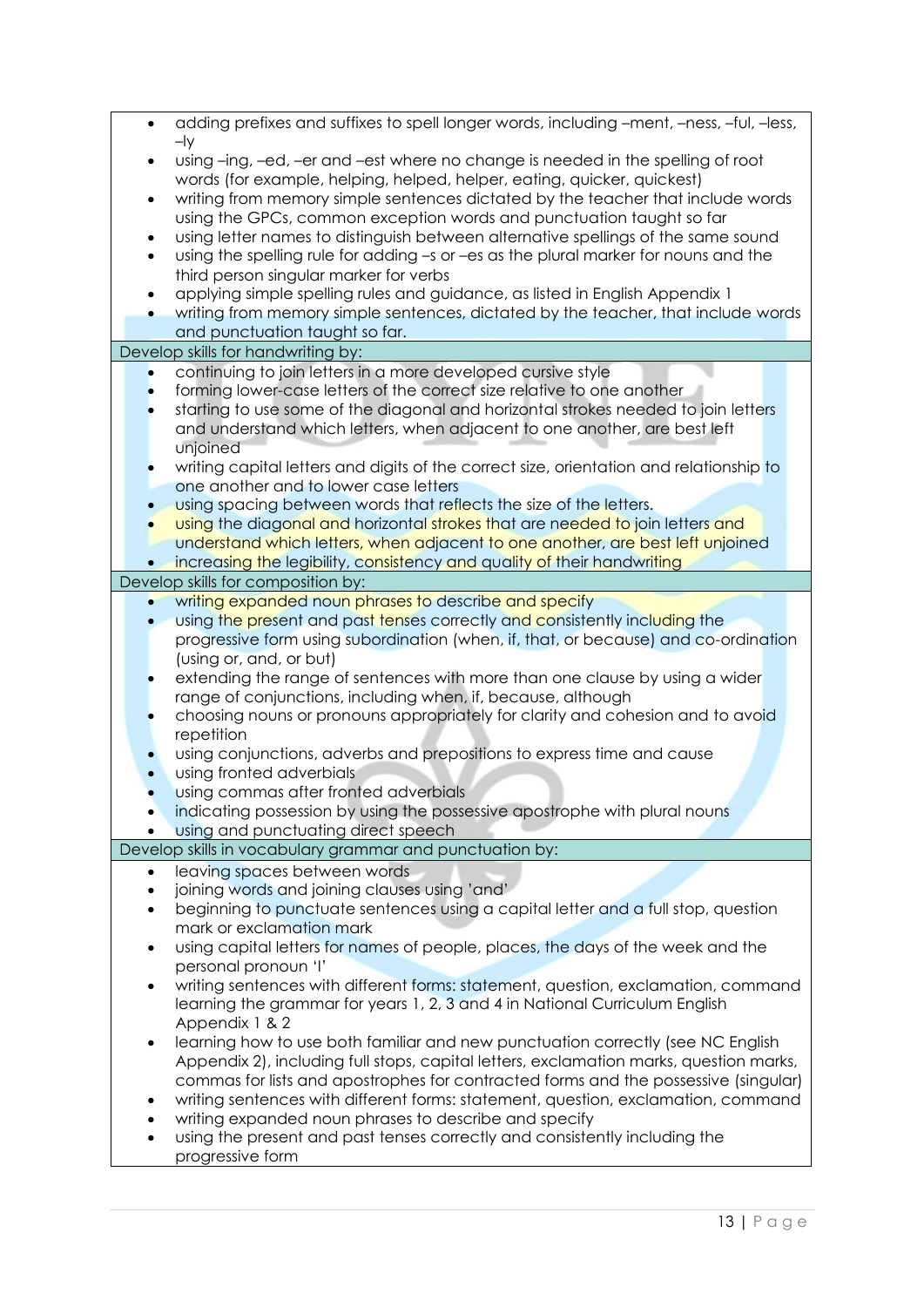| $\bullet$ | adding prefixes and suffixes to spell longer words, including -ment, -ness, -ful, -less,                      |
|-----------|---------------------------------------------------------------------------------------------------------------|
|           | $-$ ly                                                                                                        |
| $\bullet$ | using -ing, -ed, -er and -est where no change is needed in the spelling of root                               |
|           | words (for example, helping, helped, helper, eating, quicker, quickest)                                       |
| $\bullet$ | writing from memory simple sentences dictated by the teacher that include words                               |
|           | using the GPCs, common exception words and punctuation taught so far                                          |
| $\bullet$ | using letter names to distinguish between alternative spellings of the same sound                             |
| $\bullet$ | using the spelling rule for adding -s or -es as the plural marker for nouns and the                           |
|           | third person singular marker for verbs                                                                        |
|           | applying simple spelling rules and guidance, as listed in English Appendix 1                                  |
| $\bullet$ | writing from memory simple sentences, dictated by the teacher, that include words                             |
|           | and punctuation taught so far.                                                                                |
|           | Develop skills for handwriting by:                                                                            |
| $\bullet$ | continuing to join letters in a more developed cursive style                                                  |
|           | forming lower-case letters of the correct size relative to one another                                        |
|           | starting to use some of the diagonal and horizontal strokes needed to join letters                            |
|           | and understand which letters, when adjacent to one another, are best left                                     |
|           | unjoined                                                                                                      |
|           | writing capital letters and digits of the correct size, orientation and relationship to                       |
|           | one another and to lower case letters                                                                         |
|           | using spacing between words that reflects the size of the letters.                                            |
|           | using the diagonal and horizontal strokes that are needed to join letters and                                 |
|           | understand which letters, when adjacent to one another, are best left unjoined                                |
|           | increasing the legibility, consistency and quality of their handwriting<br>Develop skills for composition by: |
|           | writing expanded noun phrases to describe and specify                                                         |
|           | using the present and past tenses correctly and consistently including the                                    |
|           | progressive form using subordination (when, if, that, or because) and co-ordination                           |
|           | (using or, and, or but)                                                                                       |
|           | extending the range of sentences with more than one clause by using a wider                                   |
|           | range of conjunctions, including when, if, because, although                                                  |
|           | choosing nouns or pronouns appropriately for clarity and cohesion and to avoid                                |
|           | repetition                                                                                                    |
|           | using conjunctions, adverbs and prepositions to express time and cause                                        |
|           | using fronted adverbials                                                                                      |
|           | using commas after fronted adverbials                                                                         |
|           | indicating possession by using the possessive apostrophe with plural nouns                                    |
|           | using and punctuating direct speech                                                                           |
|           | Develop skills in vocabulary grammar and punctuation by:                                                      |
| $\bullet$ | leaving spaces between words                                                                                  |
| $\bullet$ | joining words and joining clauses using 'and'                                                                 |
| $\bullet$ | beginning to punctuate sentences using a capital letter and a full stop, question                             |
|           | mark or exclamation mark                                                                                      |
| $\bullet$ | using capital letters for names of people, places, the days of the week and the                               |
|           | personal pronoun 'l'                                                                                          |
| $\bullet$ | writing sentences with different forms: statement, question, exclamation, command                             |
|           | learning the grammar for years 1, 2, 3 and 4 in National Curriculum English                                   |
|           | Appendix 1 & 2                                                                                                |
| $\bullet$ | learning how to use both familiar and new punctuation correctly (see NC English                               |
|           | Appendix 2), including full stops, capital letters, exclamation marks, question marks,                        |
|           | commas for lists and apostrophes for contracted forms and the possessive (singular)                           |
| ٠         | writing sentences with different forms: statement, question, exclamation, command                             |
| $\bullet$ | writing expanded noun phrases to describe and specify                                                         |
| $\bullet$ | using the present and past tenses correctly and consistently including the                                    |
|           | progressive form                                                                                              |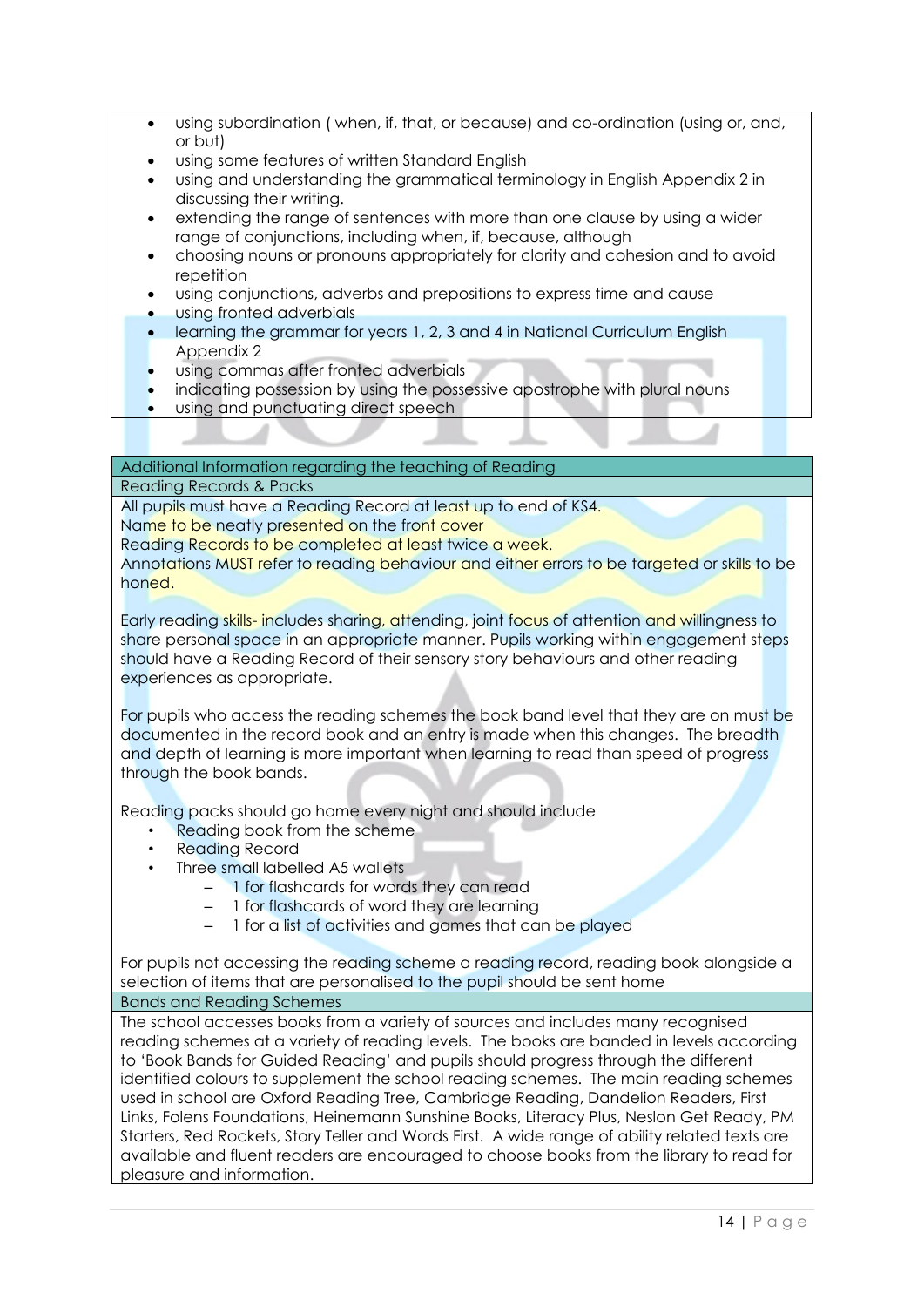- using subordination ( when, if, that, or because) and co-ordination (using or, and, or but)
- using some features of written Standard English
- using and understanding the grammatical terminology in English Appendix 2 in discussing their writing.
- extending the range of sentences with more than one clause by using a wider range of conjunctions, including when, if, because, although
- choosing nouns or pronouns appropriately for clarity and cohesion and to avoid repetition
- using conjunctions, adverbs and prepositions to express time and cause
- using fronted adverbials
- learning the grammar for years 1, 2, 3 and 4 in National Curriculum English Appendix 2
- using commas after fronted adverbials
- indicating possession by using the possessive apostrophe with plural nouns
- using and punctuating direct speech

Additional Information regarding the teaching of Reading

Reading Records & Packs

All pupils must have a Reading Record at least up to end of KS4. Name to be neatly presented on the front cover

Reading Records to be completed at least twice a week.

Annotations MUST refer to reading behaviour and either errors to be targeted or skills to be honed.

Early reading skills- includes sharing, attending, joint focus of attention and willingness to share personal space in an appropriate manner. Pupils working within engagement steps should have a Reading Record of their sensory story behaviours and other reading experiences as appropriate.

For pupils who access the reading schemes the book band level that they are on must be documented in the record book and an entry is made when this changes. The breadth and depth of learning is more important when learning to read than speed of progress through the book bands.

Reading packs should go home every night and should include

- Reading book from the scheme
- Reading Record
- Three small labelled A5 wallets
	- 1 for flashcards for words they can read
	- 1 for flashcards of word they are learning
	- 1 for a list of activities and games that can be played

For pupils not accessing the reading scheme a reading record, reading book alongside a selection of items that are personalised to the pupil should be sent home Bands and Reading Schemes

The school accesses books from a variety of sources and includes many recognised reading schemes at a variety of reading levels. The books are banded in levels according to 'Book Bands for Guided Reading' and pupils should progress through the different identified colours to supplement the school reading schemes. The main reading schemes used in school are Oxford Reading Tree, Cambridge Reading, Dandelion Readers, First Links, Folens Foundations, Heinemann Sunshine Books, Literacy Plus, Neslon Get Ready, PM Starters, Red Rockets, Story Teller and Words First. A wide range of ability related texts are available and fluent readers are encouraged to choose books from the library to read for pleasure and information.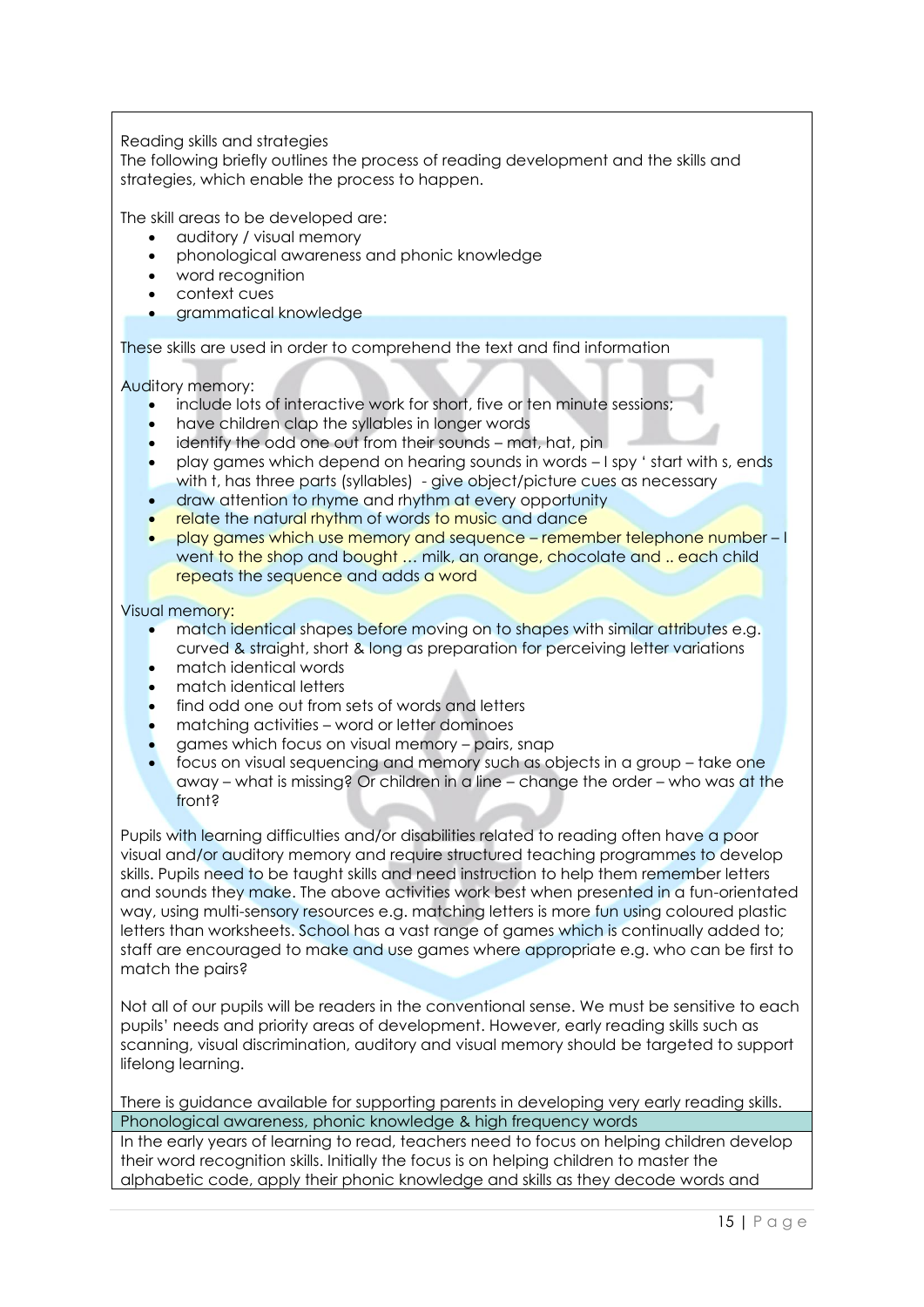Reading skills and strategies

The following briefly outlines the process of reading development and the skills and strategies, which enable the process to happen.

The skill areas to be developed are:

- auditory / visual memory
- phonological awareness and phonic knowledge
- word recognition
- context cues
- grammatical knowledge

These skills are used in order to comprehend the text and find information

Auditory memory:

- include lots of interactive work for short, five or ten minute sessions;
- have children clap the syllables in longer words
- identify the odd one out from their sounds mat, hat, pin
- play games which depend on hearing sounds in words I spy ' start with s, ends
- with t, has three parts (syllables) give object/picture cues as necessary
- draw attention to rhyme and rhythm at every opportunity relate the natural rhythm of words to music and dance
- play games which use memory and sequence remember telephone number I went to the shop and bought ... milk, an orange, chocolate and .. each child repeats the sequence and adds a word

#### Visual memory:

- match identical shapes before moving on to shapes with similar attributes e.g. curved & straight, short & long as preparation for perceiving letter variations
- match identical words
- match identical letters
- find odd one out from sets of words and letters
- matching activities word or letter dominoes
- games which focus on visual memory pairs, snap
- focus on visual sequencing and memory such as objects in a group take one away – what is missing? Or children in a line – change the order – who was at the front?

Pupils with learning difficulties and/or disabilities related to reading often have a poor visual and/or auditory memory and require structured teaching programmes to develop skills. Pupils need to be taught skills and need instruction to help them remember letters and sounds they make. The above activities work best when presented in a fun-orientated way, using multi-sensory resources e.g. matching letters is more fun using coloured plastic letters than worksheets. School has a vast range of games which is continually added to; staff are encouraged to make and use games where appropriate e.g. who can be first to match the pairs?

Not all of our pupils will be readers in the conventional sense. We must be sensitive to each pupils' needs and priority areas of development. However, early reading skills such as scanning, visual discrimination, auditory and visual memory should be targeted to support lifelong learning.

There is guidance available for supporting parents in developing very early reading skills. Phonological awareness, phonic knowledge & high frequency words

In the early years of learning to read, teachers need to focus on helping children develop their word recognition skills. Initially the focus is on helping children to master the alphabetic code, apply their phonic knowledge and skills as they decode words and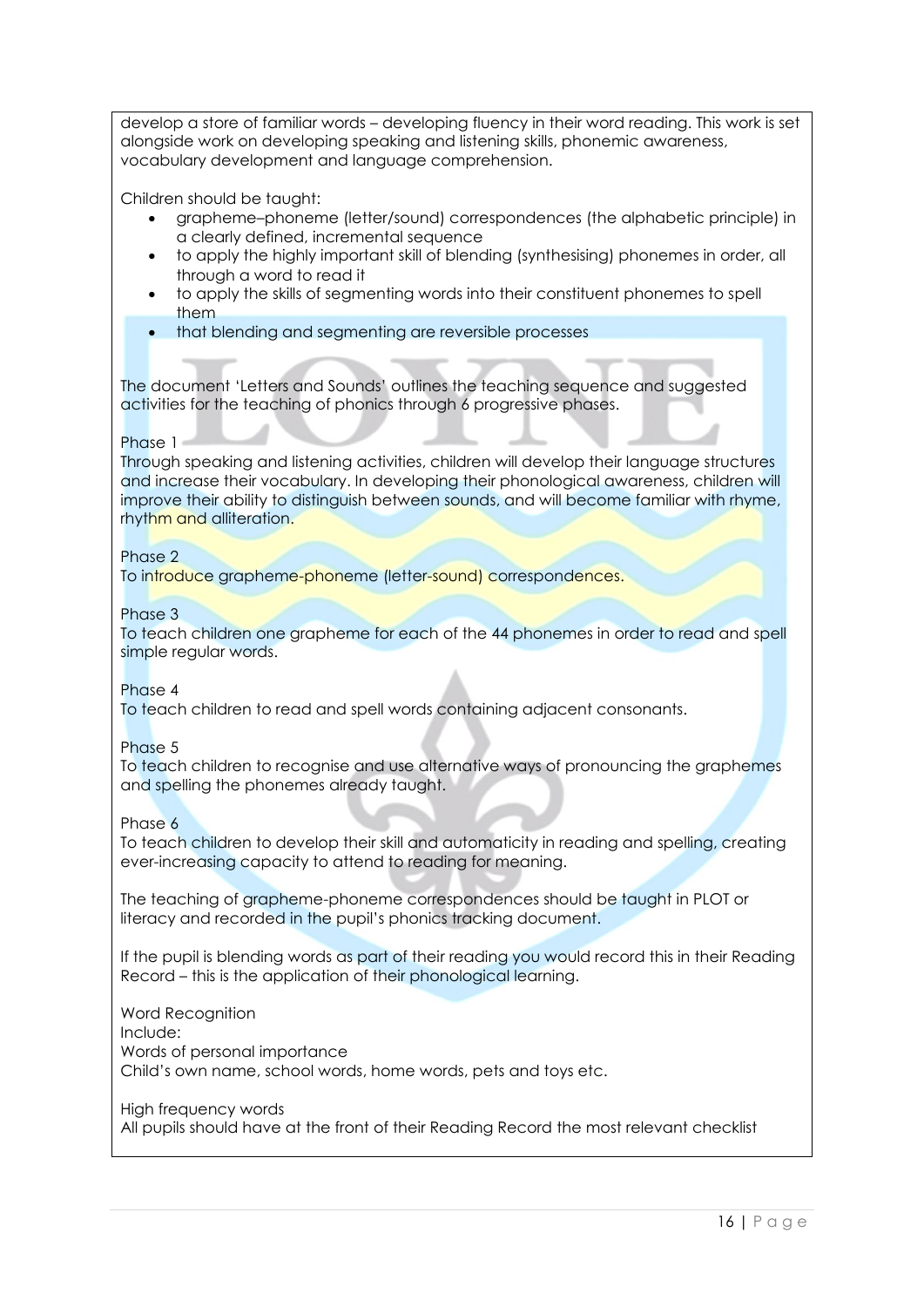develop a store of familiar words – developing fluency in their word reading. This work is set alongside work on developing speaking and listening skills, phonemic awareness, vocabulary development and language comprehension.

Children should be taught:

- grapheme–phoneme (letter/sound) correspondences (the alphabetic principle) in a clearly defined, incremental sequence
- to apply the highly important skill of blending (synthesising) phonemes in order, all through a word to read it
- to apply the skills of segmenting words into their constituent phonemes to spell them
- that blending and segmenting are reversible processes

The document 'Letters and Sounds' outlines the teaching sequence and suggested activities for the teaching of phonics through 6 progressive phases.

#### Phase 1

Through speaking and listening activities, children will develop their language structures and increase their vocabulary. In developing their phonological awareness, children will improve their ability to distinguish between sounds, and will become familiar with rhyme, rhythm and alliteration.

#### Phase 2

To introduce grapheme-phoneme (letter-sound) correspondences.

#### Phase 3

To teach children one grapheme for each of the 44 phonemes in order to read and spell simple regular words.

#### Phase 4

To teach children to read and spell words containing adjacent consonants.

#### Phase 5

To teach children to recognise and use alternative ways of pronouncing the graphemes and spelling the phonemes already taught.

#### Phase 6

To teach children to develop their skill and automaticity in reading and spelling, creating ever-increasing capacity to attend to reading for meaning.

The teaching of grapheme-phoneme correspondences should be taught in PLOT or literacy and recorded in the pupil's phonics tracking document.

If the pupil is blending words as part of their reading you would record this in their Reading Record – this is the application of their phonological learning.

Word Recognition Include: Words of personal importance Child's own name, school words, home words, pets and toys etc.

High frequency words

All pupils should have at the front of their Reading Record the most relevant checklist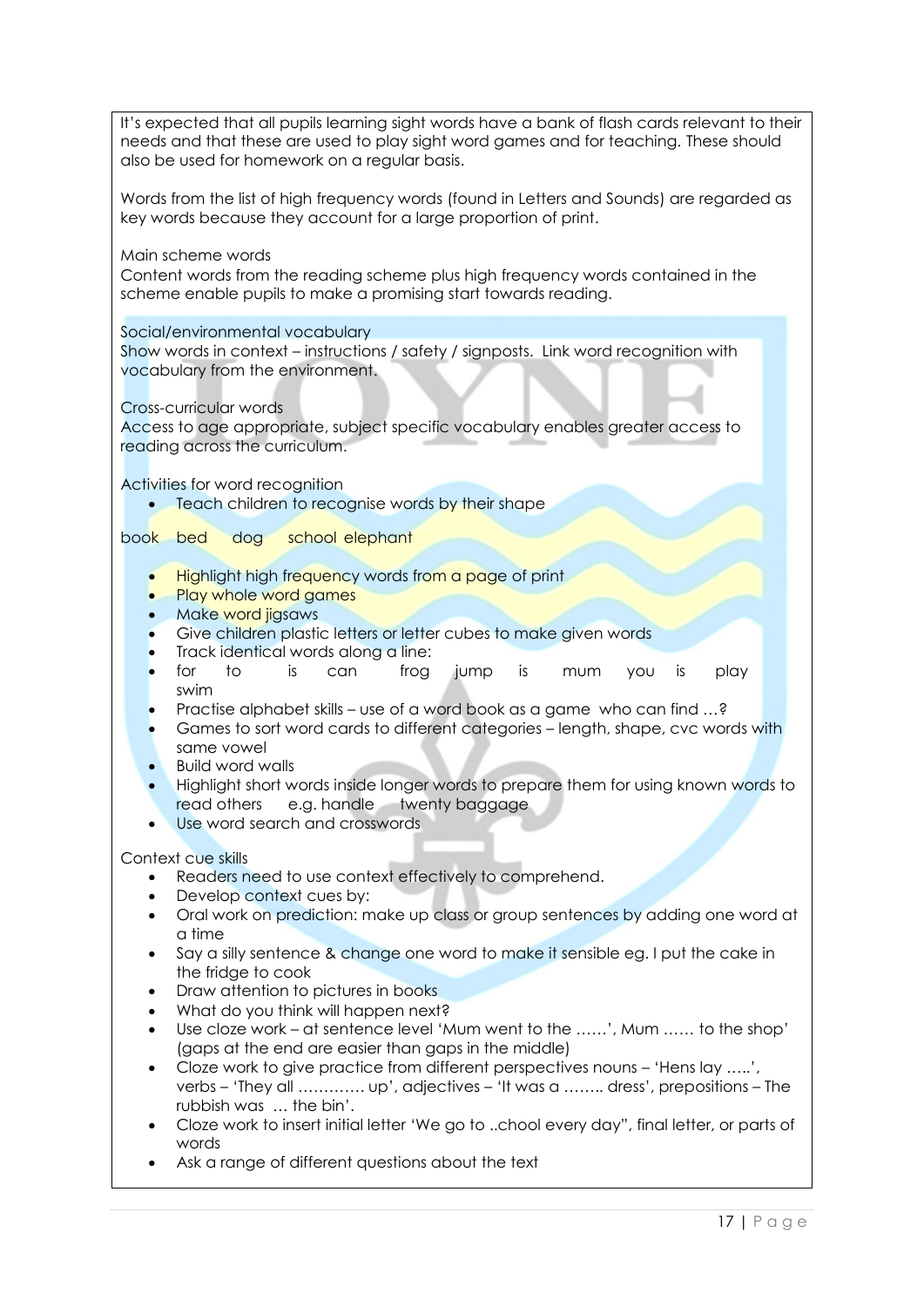| It's expected that all pupils learning sight words have a bank of flash cards relevant to their<br>needs and that these are used to play sight word games and for teaching. These should<br>also be used for homework on a regular basis.                                                                                |
|--------------------------------------------------------------------------------------------------------------------------------------------------------------------------------------------------------------------------------------------------------------------------------------------------------------------------|
| Words from the list of high frequency words (found in Letters and Sounds) are regarded as<br>key words because they account for a large proportion of print.                                                                                                                                                             |
| Main scheme words<br>Content words from the reading scheme plus high frequency words contained in the<br>scheme enable pupils to make a promising start towards reading.                                                                                                                                                 |
| Social/environmental vocabulary<br>Show words in context - instructions / safety / signposts. Link word recognition with<br>vocabulary from the environment.                                                                                                                                                             |
| Cross-curricular words<br>Access to age appropriate, subject specific vocabulary enables greater access to<br>reading across the curriculum.                                                                                                                                                                             |
| Activities for word recognition<br>Teach children to recognise words by their shape                                                                                                                                                                                                                                      |
| school elephant<br>book bed<br>dog<br>Highlight high frequency words from a page of print<br>Play whole word games<br>Make word jigsaws<br>$\bullet$                                                                                                                                                                     |
| Give children plastic letters or letter cubes to make given words<br>$\bullet$<br>Track identical words along a line:<br>$\bullet$<br>$\overline{\phantom{a}}$<br>for<br>jump<br>play<br>is<br>frog<br>is<br>is<br>can<br><b>YOU</b><br>mum<br>$\bullet$                                                                 |
| swim<br>Practise alphabet skills - use of a word book as a game who can find ?<br>Games to sort word cards to different categories - length, shape, cvc words with<br>same vowel<br><b>Build word walls</b>                                                                                                              |
| Highlight short words inside longer words to prepare them for using known words to<br>read others<br>e.g. handle<br>twenty baggage<br>Use word search and crosswords                                                                                                                                                     |
| Context cue skills<br>Readers need to use context effectively to comprehend.<br>٠<br>Develop context cues by:<br>٠<br>Oral work on prediction: make up class or group sentences by adding one word at<br>$\bullet$<br>a time                                                                                             |
| Say a silly sentence & change one word to make it sensible eg. I put the cake in<br>$\bullet$<br>the fridge to cook<br>Draw attention to pictures in books<br>$\bullet$<br>What do you think will happen next?<br>٠                                                                                                      |
| Use cloze work – at sentence level 'Mum went to the ', Mum  to the shop'<br>$\bullet$<br>(gaps at the end are easier than gaps in the middle)<br>Cloze work to give practice from different perspectives nouns – 'Hens lay ',<br>$\bullet$<br>verbs - 'They all  up', adjectives - 'It was a  dress', prepositions - The |
| rubbish was  the bin'.<br>Cloze work to insert initial letter 'We go to chool every day", final letter, or parts of<br>٠<br>words<br>Ask a range of different questions about the text                                                                                                                                   |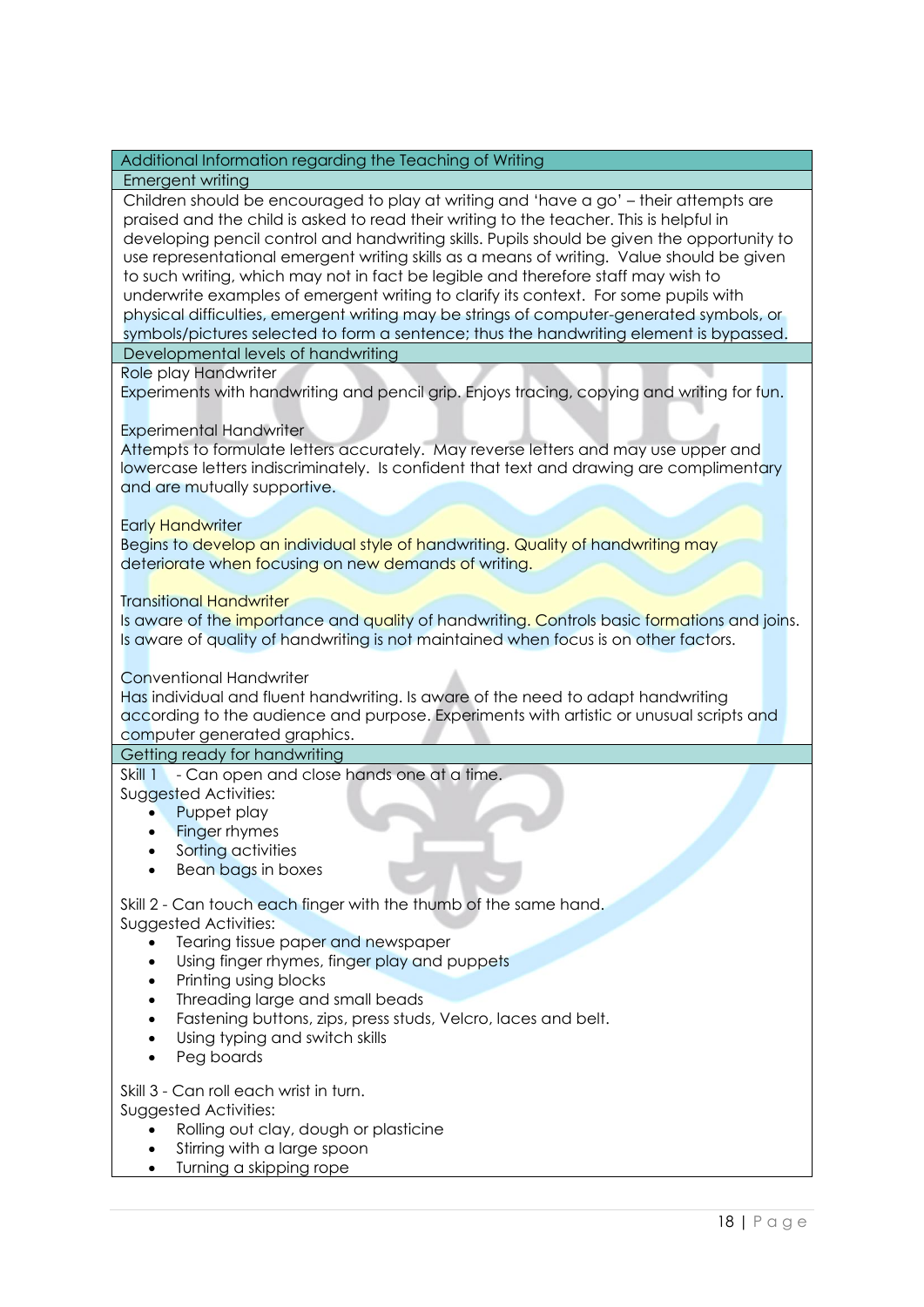#### Additional Information regarding the Teaching of Writing

#### Emergent writing

Children should be encouraged to play at writing and 'have a go' – their attempts are praised and the child is asked to read their writing to the teacher. This is helpful in developing pencil control and handwriting skills. Pupils should be given the opportunity to use representational emergent writing skills as a means of writing. Value should be given to such writing, which may not in fact be legible and therefore staff may wish to underwrite examples of emergent writing to clarify its context. For some pupils with physical difficulties, emergent writing may be strings of computer-generated symbols, or symbols/pictures selected to form a sentence; thus the handwriting element is bypassed.

Developmental levels of handwriting

Role play Handwriter

Experiments with handwriting and pencil grip. Enjoys tracing, copying and writing for fun.

#### Experimental Handwriter

Attempts to formulate letters accurately. May reverse letters and may use upper and lowercase letters indiscriminately. Is confident that text and drawing are complimentary and are mutually supportive.

#### Early Handwriter

Begins to develop an individual style of handwriting. Quality of handwriting may deteriorate when focusing on new demands of writing.

Transitional Handwriter

Is aware of the *importance and quality* of handwriting. Controls basic formations and joins. Is aware of quality of handwriting is not maintained when focus is on other factors.

#### Conventional Handwriter

Has individual and fluent handwriting. Is aware of the need to adapt handwriting according to the audience and purpose. Experiments with artistic or unusual scripts and computer generated graphics.

#### Getting ready for handwriting

Skill 1 - Can open and close hands one at a time.

Suggested Activities:

- Puppet play
- **Finger rhymes**
- Sorting activities
- Bean bags in boxes

#### Skill 2 - Can touch each finger with the thumb of the same hand. Suggested Activities:

- Tearing tissue paper and newspaper
- Using finger rhymes, finger play and puppets
- Printing using blocks
- Threading large and small beads
- Fastening buttons, zips, press studs, Velcro, laces and belt.
- Using typing and switch skills
- Peg boards

#### Skill 3 - Can roll each wrist in turn.

Suggested Activities:

- Rolling out clay, dough or plasticine
- Stirring with a large spoon
- Turning a skipping rope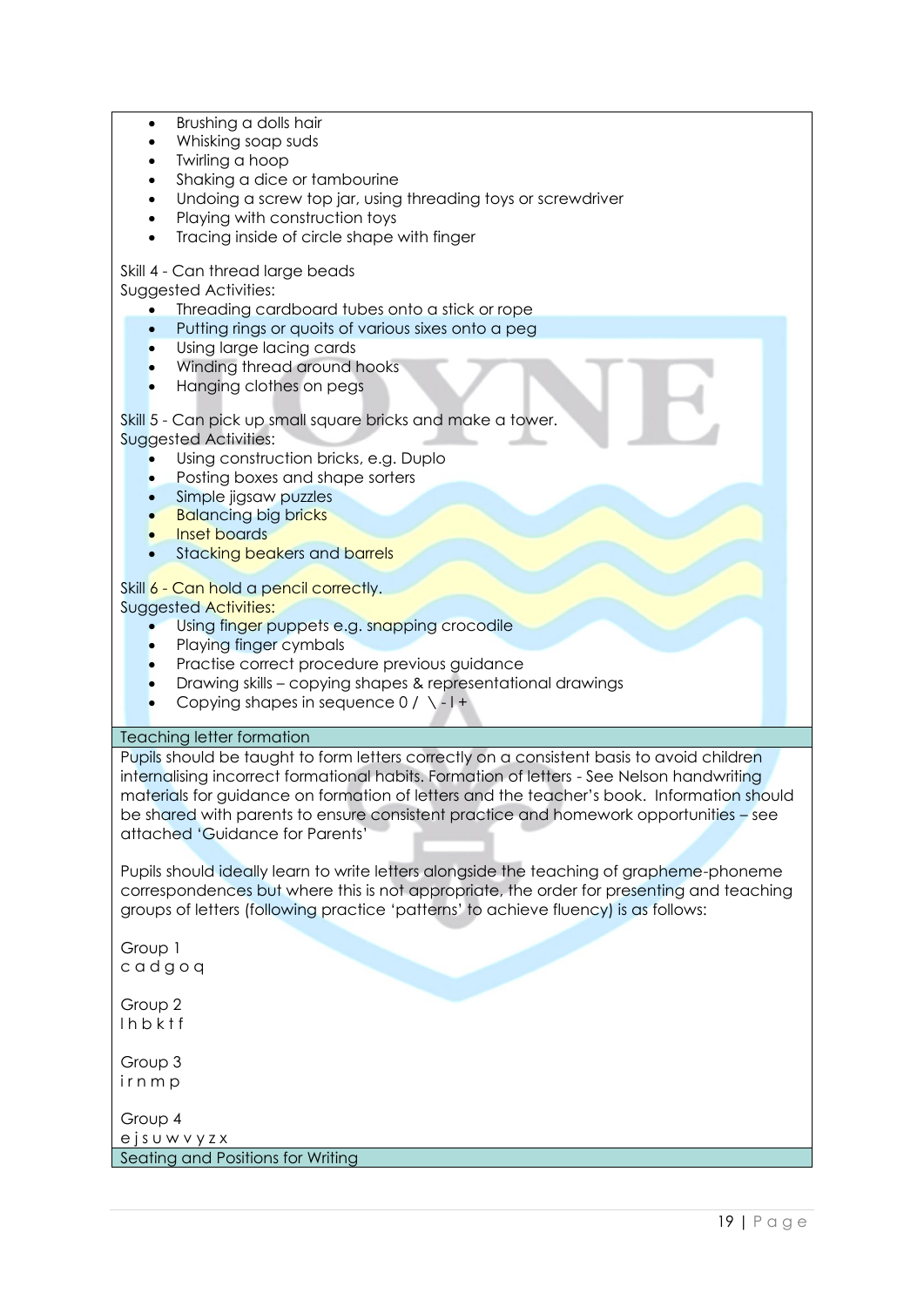| Brushing a dolls hair<br>Whisking soap suds<br>Twirling a hoop<br>Shaking a dice or tambourine<br>Undoing a screw top jar, using threading toys or screwdriver<br>Playing with construction toys<br>Tracing inside of circle shape with finger                                                                                                                                                                                                                                                                                                                                                         |
|--------------------------------------------------------------------------------------------------------------------------------------------------------------------------------------------------------------------------------------------------------------------------------------------------------------------------------------------------------------------------------------------------------------------------------------------------------------------------------------------------------------------------------------------------------------------------------------------------------|
| Skill 4 - Can thread large beads<br>Suggested Activities:<br>Threading cardboard tubes onto a stick or rope<br>Putting rings or quoits of various sixes onto a peg<br>Using large lacing cards<br>Winding thread around hooks<br>Hanging clothes on pegs                                                                                                                                                                                                                                                                                                                                               |
| Skill 5 - Can pick up small square bricks and make a tower.<br><b>Suggested Activities:</b><br>Using construction bricks, e.g. Duplo<br>Posting boxes and shape sorters<br>Simple jigsaw puzzles<br><b>Balancing big bricks</b><br>Inset boards<br>Stacking beakers and barrels                                                                                                                                                                                                                                                                                                                        |
| Skill 6 - Can hold a pencil correctly.<br><b>Suggested Activities:</b><br>Using finger puppets e.g. snapping crocodile<br>Playing finger cymbals<br>Practise correct procedure previous guidance<br>Drawing skills - copying shapes & representational drawings<br>Copying shapes in sequence $0 / \setminus -1 +$                                                                                                                                                                                                                                                                                     |
| <b>Teaching letter formation</b>                                                                                                                                                                                                                                                                                                                                                                                                                                                                                                                                                                       |
| Pupils should be taught to form letters correctly on a consistent basis to avoid children<br>internalising incorrect formational habits. Formation of letters - See Nelson handwriting<br>materials for guidance on formation of letters and the teacher's book. Information should<br>be shared with parents to ensure consistent practice and homework opportunities - see<br>attached 'Guidance for Parents'<br>Pupils should ideally learn to write letters alongside the teaching of grapheme-phoneme<br>correspondences but where this is not appropriate, the order for presenting and teaching |
| groups of letters (following practice 'patterns' to achieve fluency) is as follows:                                                                                                                                                                                                                                                                                                                                                                                                                                                                                                                    |
| Group 1<br>cadgoq                                                                                                                                                                                                                                                                                                                                                                                                                                                                                                                                                                                      |
| Group 2<br>Ihbktf                                                                                                                                                                                                                                                                                                                                                                                                                                                                                                                                                                                      |
| Group 3<br>irnmp                                                                                                                                                                                                                                                                                                                                                                                                                                                                                                                                                                                       |
| Group 4<br>ejsuwvyzx                                                                                                                                                                                                                                                                                                                                                                                                                                                                                                                                                                                   |
| Seating and Positions for Writing                                                                                                                                                                                                                                                                                                                                                                                                                                                                                                                                                                      |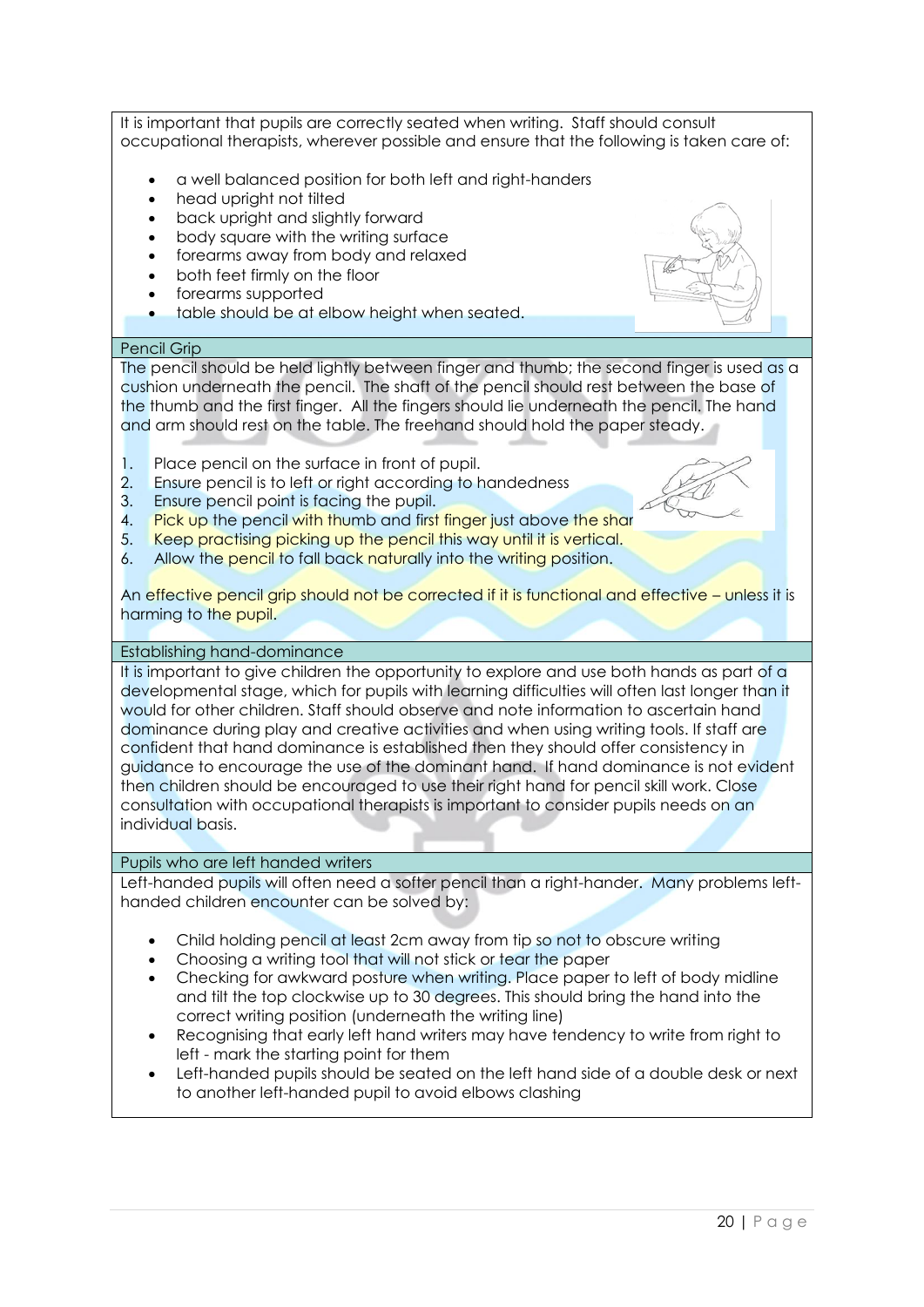It is important that pupils are correctly seated when writing. Staff should consult occupational therapists, wherever possible and ensure that the following is taken care of:

- a well balanced position for both left and right-handers
- head upright not tilted
- back upright and slightly forward
- body square with the writing surface
- forearms away from body and relaxed
- both feet firmly on the floor
- forearms supported
- table should be at elbow height when seated.

#### Pencil Grip

The pencil should be held lightly between finger and thumb; the second finger is used as a cushion underneath the pencil. The shaft of the pencil should rest between the base of the thumb and the first finger. All the fingers should lie underneath the pencil. The hand and arm should rest on the table. The freehand should hold the paper steady.

- 1. Place pencil on the surface in front of pupil.
- 2. Ensure pencil is to left or right according to handedness
- 3. Ensure pencil point is facing the pupil.
- 4. Pick up the pencil with thumb and first finger just above the shar
- 5. Keep practising picking up the pencil this way until it is vertical.
- 6. Allow the pencil to fall back naturally into the writing position.

An effective pencil grip should not be corrected if it is functional and effective – unless it is harming to the pupil.

#### Establishing hand-dominance

It is important to give children the opportunity to explore and use both hands as part of a developmental stage, which for pupils with learning difficulties will often last longer than it would for other children. Staff should observe and note information to ascertain hand dominance during play and creative activities and when using writing tools. If staff are confident that hand dominance is established then they should offer consistency in guidance to encourage the use of the dominant hand. If hand dominance is not evident then children should be encouraged to use their right hand for pencil skill work. Close consultation with occupational therapists is important to consider pupils needs on an individual basis.

#### Pupils who are left handed writers

Left-handed pupils will often need a softer pencil than a right-hander. Many problems lefthanded children encounter can be solved by:

- Child holding pencil at least 2cm away from tip so not to obscure writing
- Choosing a writing tool that will not stick or tear the paper
- Checking for awkward posture when writing. Place paper to left of body midline and tilt the top clockwise up to 30 degrees. This should bring the hand into the correct writing position (underneath the writing line)
- Recognising that early left hand writers may have tendency to write from right to left - mark the starting point for them
- Left-handed pupils should be seated on the left hand side of a double desk or next to another left-handed pupil to avoid elbows clashing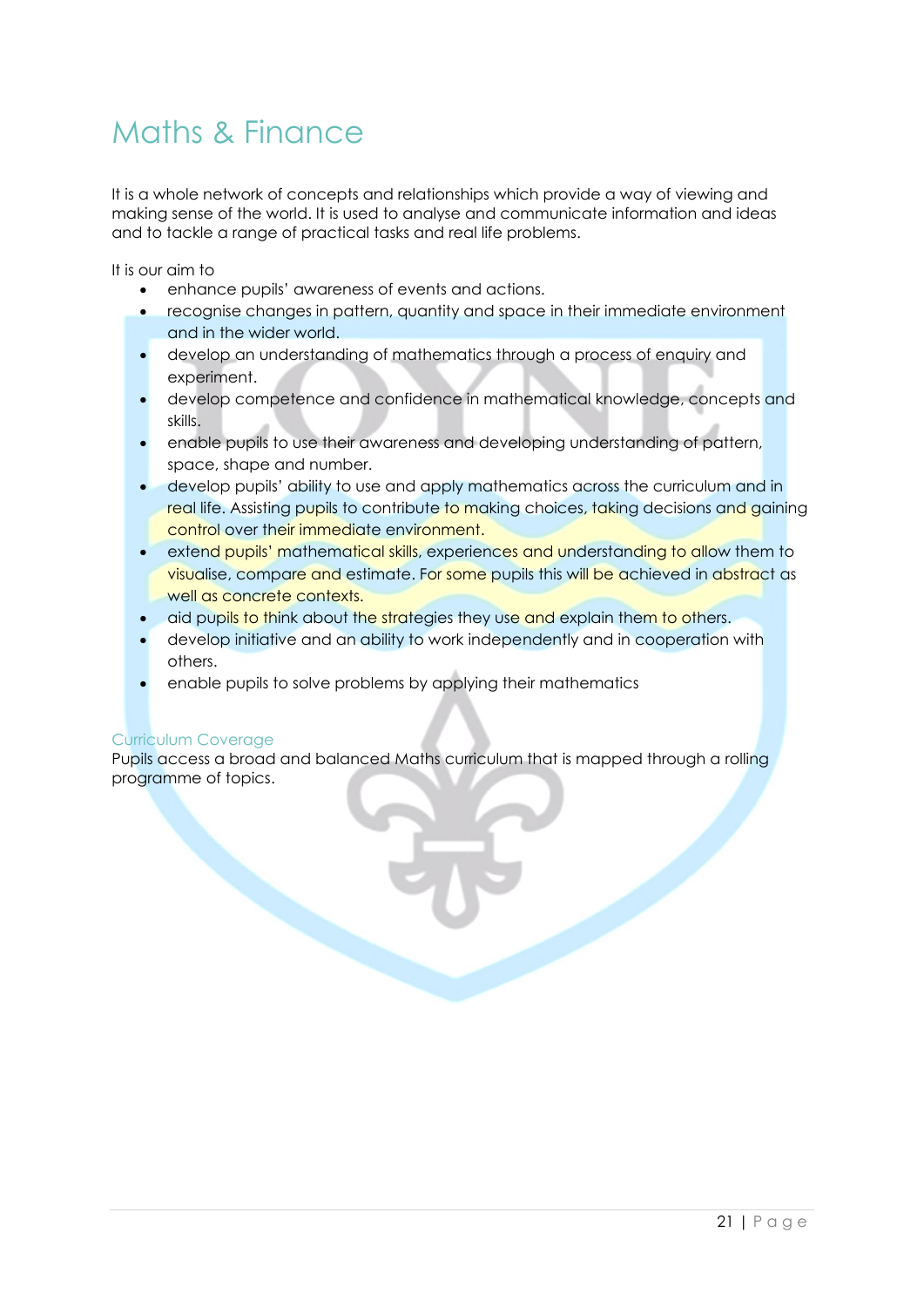## Maths & Finance

It is a whole network of concepts and relationships which provide a way of viewing and making sense of the world. It is used to analyse and communicate information and ideas and to tackle a range of practical tasks and real life problems.

It is our aim to

- enhance pupils' awareness of events and actions.
- recognise changes in pattern, quantity and space in their immediate environment and in the wider world.
- develop an understanding of mathematics through a process of enquiry and experiment.
- develop competence and confidence in mathematical knowledge, concepts and skills.
- enable pupils to use their awareness and developing understanding of pattern, space, shape and number.
- develop pupils' ability to use and apply mathematics across the curriculum and in real life. Assisting pupils to contribute to making choices, taking decisions and gaining control over their immediate environment.
- extend pupils' mathematical skills, experiences and understanding to allow them to visualise, compare and estimate. For some pupils this will be achieved in abstract as well as concrete contexts.
- aid pupils to think about the strategies they use and explain them to others.
- develop initiative and an ability to work independently and in cooperation with others.
- enable pupils to solve problems by applying their mathematics

#### Curriculum Coverage

Pupils access a broad and balanced Maths curriculum that is mapped through a rolling programme of topics.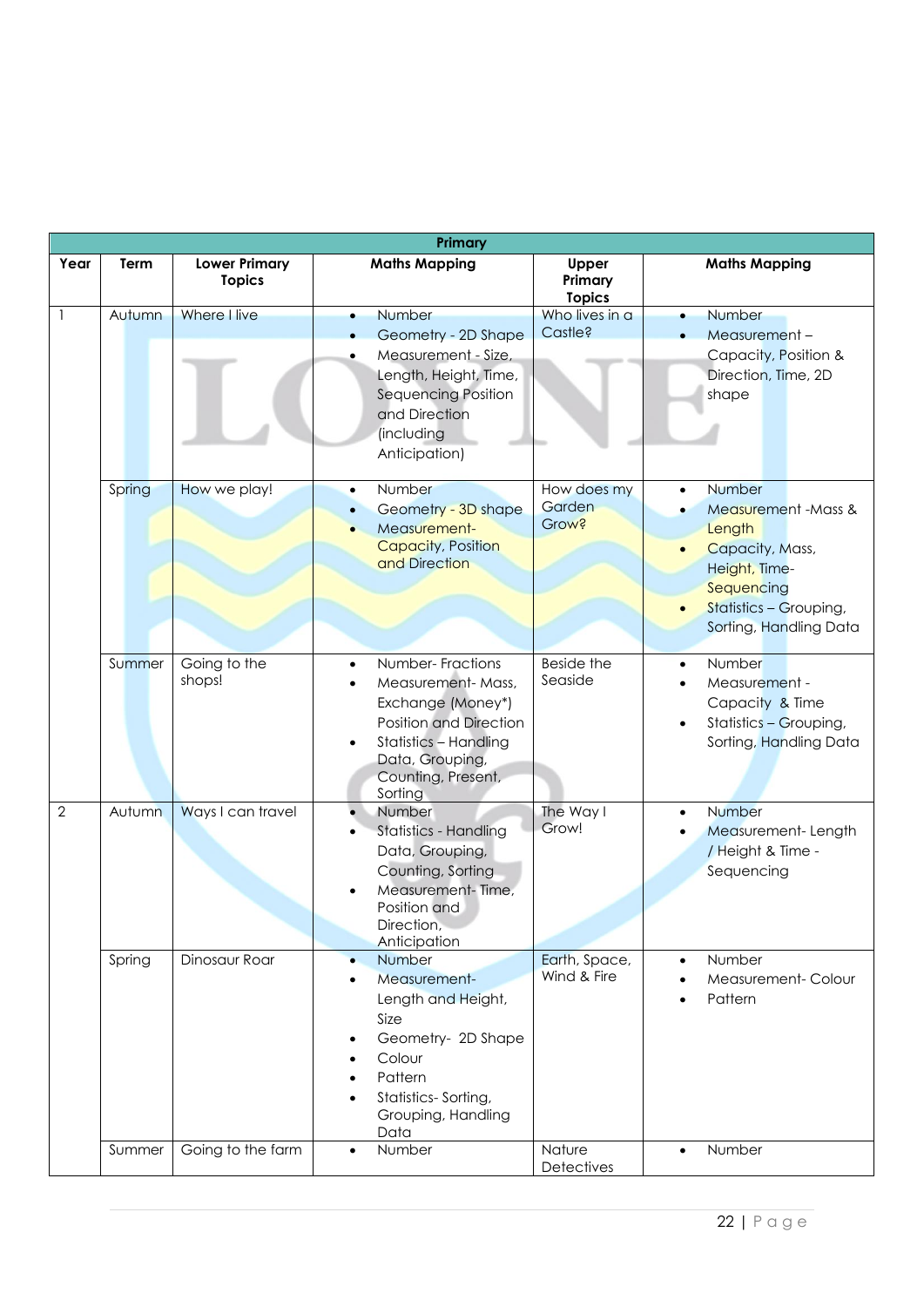| Primary      |                  |                                       |                                                                                                                                                                                                                                              |                                        |                                                                                                                                                                          |  |
|--------------|------------------|---------------------------------------|----------------------------------------------------------------------------------------------------------------------------------------------------------------------------------------------------------------------------------------------|----------------------------------------|--------------------------------------------------------------------------------------------------------------------------------------------------------------------------|--|
| Year         | Term             | <b>Lower Primary</b><br><b>Topics</b> | <b>Maths Mapping</b>                                                                                                                                                                                                                         | Upper<br>Primary<br><b>Topics</b>      | <b>Maths Mapping</b>                                                                                                                                                     |  |
|              | Autumn           | Where I live                          | Number<br>$\bullet$<br>Geometry - 2D Shape<br>Measurement - Size,<br>$\bullet$<br>Length, Height, Time,<br>Sequencing Position<br>and Direction<br>(including<br>Anticipation)                                                               | Who lives in a<br>Castle?              | Number<br>$\bullet$<br>Measurement-<br>Capacity, Position &<br>Direction, Time, 2D<br>shape                                                                              |  |
|              | Spring           | How we play!                          | Number<br>$\bullet$<br>Geometry - 3D shape<br>$\bullet$<br>Measurement-<br><b>Capacity, Position</b><br>and Direction                                                                                                                        | How does my<br>Garden<br>Grow?         | Number<br>$\bullet$<br>Measurement - Mass &<br>$\bullet$<br>Length<br>Capacity, Mass,<br>Height, Time-<br>Sequencing<br>Statistics - Grouping,<br>Sorting, Handling Data |  |
|              | Summer           | Going to the<br>shops!                | Number-Fractions<br>$\bullet$<br>Measurement-Mass,<br>$\bullet$<br>Exchange (Money*)<br>Position and Direction<br><b>Statistics - Handling</b><br>$\bullet$<br>Data, Grouping,<br>Counting, Present,<br>Sorting                              | Beside the<br>Seaside                  | Number<br>$\bullet$<br>Measurement -<br>$\bullet$<br>Capacity & Time<br>Statistics - Grouping,<br>Sorting, Handling Data                                                 |  |
| $\mathbf{2}$ | Autumn           | Ways I can travel                     | Number<br>$\bullet$<br>Statistics - Handling<br>$\bullet$<br>Data, Grouping,<br>Counting, Sorting<br>Measurement-Time,<br>Position and<br>Direction.<br>Anticipation                                                                         | The Way I<br>Grow!                     | Number<br>$\bullet$<br>Measurement-Length<br>/ Height & Time -<br>Sequencing                                                                                             |  |
|              | Spring<br>Summer | Dinosaur Roar<br>Going to the farm    | Number<br>$\bullet$<br>Measurement-<br>$\bullet$<br>Length and Height,<br>Size<br>Geometry- 2D Shape<br>Colour<br>$\bullet$<br>Pattern<br>$\bullet$<br>Statistics-Sorting,<br>$\bullet$<br>Grouping, Handling<br>Data<br>Number<br>$\bullet$ | Earth, Space,<br>Wind & Fire<br>Nature | Number<br>$\bullet$<br>Measurement-Colour<br>Pattern<br>Number<br>$\bullet$                                                                                              |  |
|              |                  |                                       |                                                                                                                                                                                                                                              | Detectives                             |                                                                                                                                                                          |  |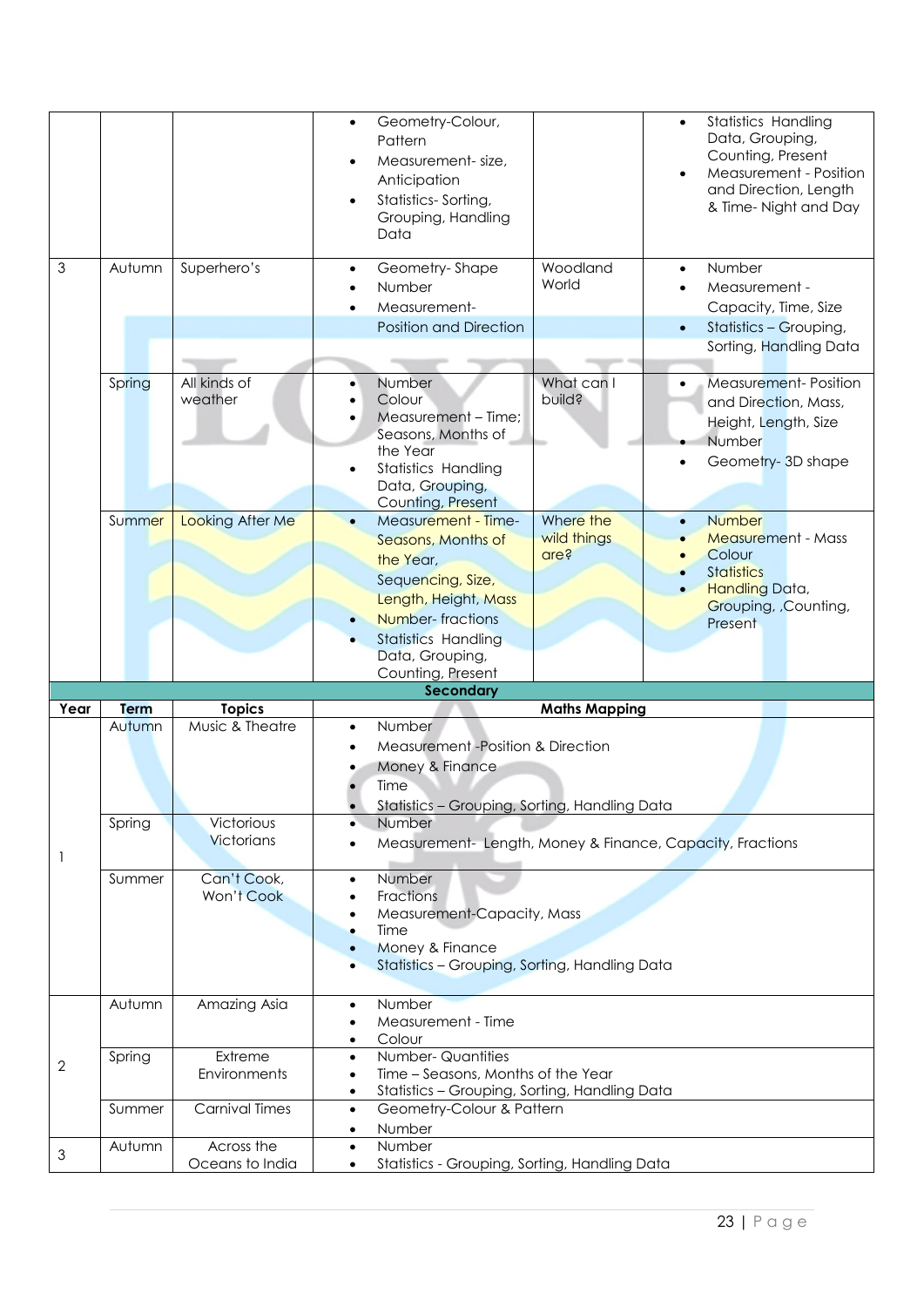|                |                                                                                                                                            |                                                                                               | <b>Statistics Handling</b><br>Geometry-Colour,<br>$\bullet$<br>Data, Grouping,<br>Pattern<br>Counting, Present<br>Measurement-size,<br>$\bullet$<br>Measurement - Position<br>$\bullet$<br>Anticipation<br>and Direction, Length<br>Statistics-Sorting,<br>$\bullet$<br>& Time-Night and Day<br>Grouping, Handling<br>Data                                                             |  |  |  |
|----------------|--------------------------------------------------------------------------------------------------------------------------------------------|-----------------------------------------------------------------------------------------------|----------------------------------------------------------------------------------------------------------------------------------------------------------------------------------------------------------------------------------------------------------------------------------------------------------------------------------------------------------------------------------------|--|--|--|
| $\mathfrak{Z}$ | Autumn                                                                                                                                     | Superhero's                                                                                   | Woodland<br>Geometry-Shape<br>Number<br>$\bullet$<br>$\bullet$<br>World<br>Number<br>Measurement -<br>Measurement-<br>Capacity, Time, Size<br><b>Position and Direction</b><br>Statistics - Grouping,<br>$\bullet$<br>Sorting, Handling Data                                                                                                                                           |  |  |  |
|                | Spring                                                                                                                                     | All kinds of<br>weather                                                                       | What can I<br>Number<br><b>Measurement-Position</b><br>$\bullet$<br>pnild?<br>Colour<br>and Direction, Mass,<br>Measurement - Time;<br>Height, Length, Size<br>Seasons, Months of<br>Number<br>the Year<br>Geometry-3D shape<br><b>Statistics Handling</b><br>$\bullet$<br>Data, Grouping,<br>Counting, Present                                                                        |  |  |  |
|                | Summer                                                                                                                                     | Looking After Me                                                                              | Where the<br>Measurement - Time-<br><b>Number</b><br>$\bullet$<br>wild things<br><b>Measurement - Mass</b><br>Seasons, Months of<br>Colour<br>are?<br>the Year,<br><b>Statistics</b><br>Sequencing, Size,<br>Handling Data,<br>Length, Height, Mass<br>Grouping, Counting,<br><b>Number-fractions</b><br>Present<br><b>Statistics Handling</b><br>Data, Grouping,<br>Counting, Present |  |  |  |
|                |                                                                                                                                            |                                                                                               | <b>Secondary</b>                                                                                                                                                                                                                                                                                                                                                                       |  |  |  |
| Year           | Term                                                                                                                                       | <b>Topics</b>                                                                                 | <b>Maths Mapping</b>                                                                                                                                                                                                                                                                                                                                                                   |  |  |  |
|                | Autumn                                                                                                                                     | Music & Theatre                                                                               | Number<br>$\bullet$<br>Measurement -Position & Direction<br>Money & Finance<br>Time<br>Statistics - Grouping, Sorting, Handling Data                                                                                                                                                                                                                                                   |  |  |  |
| 1              | Spring                                                                                                                                     | Number<br>$\bullet$<br>Measurement- Length, Money & Finance, Capacity, Fractions<br>$\bullet$ |                                                                                                                                                                                                                                                                                                                                                                                        |  |  |  |
|                | Number<br>$\bullet$<br>Fractions<br>Measurement-Capacity, Mass<br>Time<br>Money & Finance<br>Statistics - Grouping, Sorting, Handling Data |                                                                                               |                                                                                                                                                                                                                                                                                                                                                                                        |  |  |  |
|                | Autumn                                                                                                                                     | Amazing Asia                                                                                  | Number<br>$\bullet$<br>Measurement - Time<br>Colour<br>$\bullet$                                                                                                                                                                                                                                                                                                                       |  |  |  |
| $\overline{2}$ | Spring                                                                                                                                     | Extreme<br>Environments                                                                       | Number-Quantities<br>$\bullet$<br>Time - Seasons, Months of the Year<br>$\bullet$<br>Statistics - Grouping, Sorting, Handling Data<br>٠                                                                                                                                                                                                                                                |  |  |  |
|                | Summer                                                                                                                                     | <b>Carnival Times</b>                                                                         | Geometry-Colour & Pattern<br>$\bullet$                                                                                                                                                                                                                                                                                                                                                 |  |  |  |
| $\mathfrak 3$  | Autumn                                                                                                                                     | Across the                                                                                    | Number<br>٠<br>Number<br>$\bullet$                                                                                                                                                                                                                                                                                                                                                     |  |  |  |
|                |                                                                                                                                            | Oceans to India                                                                               | Statistics - Grouping, Sorting, Handling Data                                                                                                                                                                                                                                                                                                                                          |  |  |  |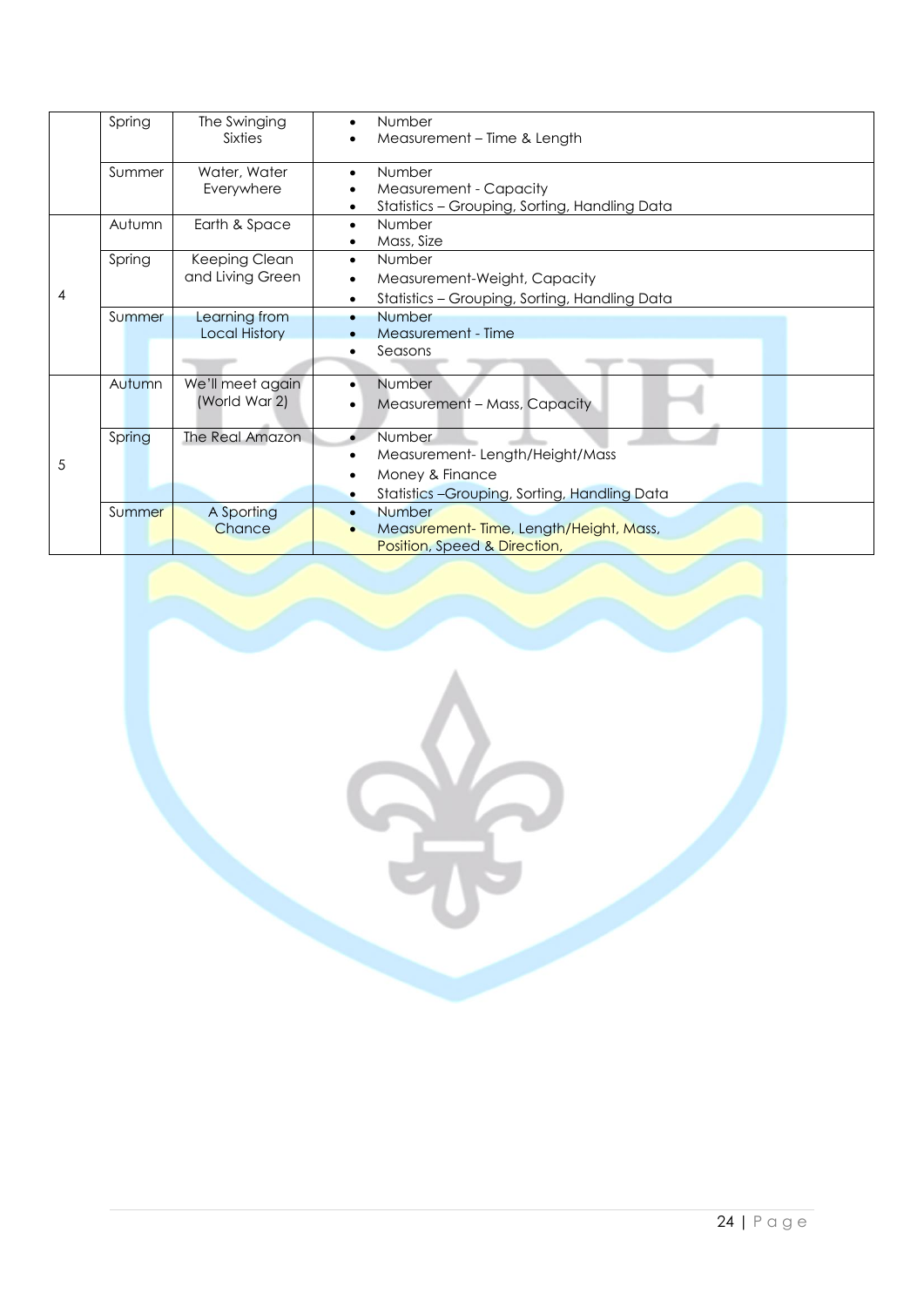|   | Spring | The Swinging<br><b>Sixties</b>        | Number<br>$\bullet$<br>Measurement – Time & Length                                                                                   |  |  |
|---|--------|---------------------------------------|--------------------------------------------------------------------------------------------------------------------------------------|--|--|
|   | Summer | Water, Water<br>Everywhere            | Number<br>$\bullet$<br>Measurement - Capacity<br>Statistics - Grouping, Sorting, Handling Data                                       |  |  |
| 4 | Autumn | Earth & Space                         | Number<br>$\bullet$<br>Mass, Size                                                                                                    |  |  |
|   | Spring | Keeping Clean<br>and Living Green     | Number<br>$\bullet$<br>Measurement-Weight, Capacity<br>$\bullet$<br>Statistics - Grouping, Sorting, Handling Data<br>$\bullet$       |  |  |
|   | Summer | Learning from<br><b>Local History</b> | Number<br>$\bullet$<br>Measurement - Time<br>Seasons<br>$\bullet$                                                                    |  |  |
| 5 | Autumn | We'll meet again<br>(World War 2)     | Number<br>$\bullet$<br>Measurement - Mass, Capacity<br>$\bullet$                                                                     |  |  |
|   | Spring | The Real Amazon                       | Number<br>Measurement-Length/Height/Mass<br>$\bullet$<br>Money & Finance<br>Statistics-Grouping, Sorting, Handling Data<br>$\bullet$ |  |  |
|   | Summer | A Sporting<br>Chance                  | <b>Number</b><br>$\bullet$<br>Measurement-Time, Length/Height, Mass,<br>Position, Speed & Direction,                                 |  |  |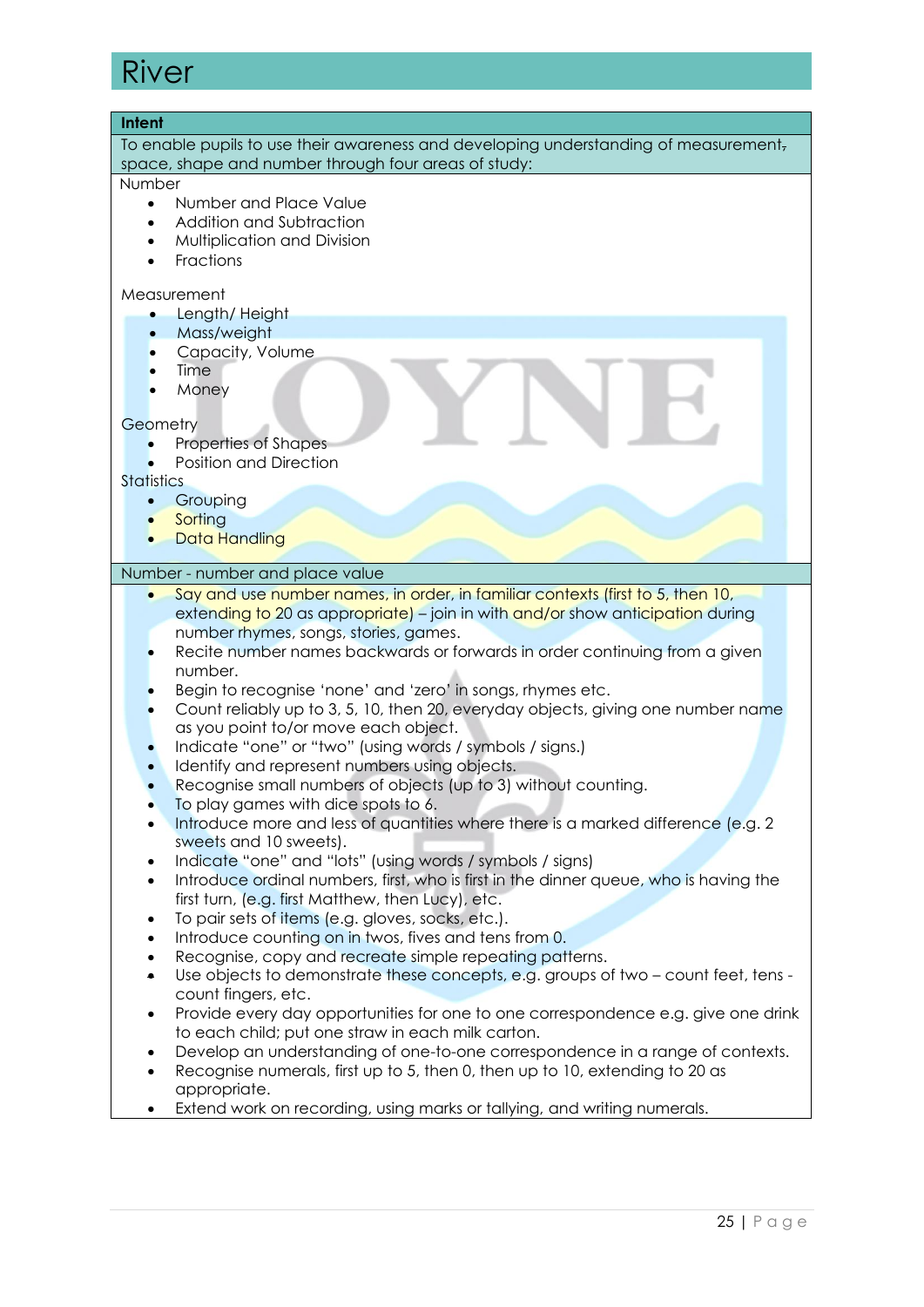### River

| Intent                                                                                                                                                                                                                                                                                                                                                                                                                                                                                                                                                                                                                                                                                                                                                                                                                                                                                                                                                                                                                                                                                                                                                                                                                                                                                                                                                                                                                                                                                                                                                                                                                                                                                                                                                                                                                                                   |  |  |  |  |
|----------------------------------------------------------------------------------------------------------------------------------------------------------------------------------------------------------------------------------------------------------------------------------------------------------------------------------------------------------------------------------------------------------------------------------------------------------------------------------------------------------------------------------------------------------------------------------------------------------------------------------------------------------------------------------------------------------------------------------------------------------------------------------------------------------------------------------------------------------------------------------------------------------------------------------------------------------------------------------------------------------------------------------------------------------------------------------------------------------------------------------------------------------------------------------------------------------------------------------------------------------------------------------------------------------------------------------------------------------------------------------------------------------------------------------------------------------------------------------------------------------------------------------------------------------------------------------------------------------------------------------------------------------------------------------------------------------------------------------------------------------------------------------------------------------------------------------------------------------|--|--|--|--|
| To enable pupils to use their awareness and developing understanding of measurement,<br>space, shape and number through four areas of study:                                                                                                                                                                                                                                                                                                                                                                                                                                                                                                                                                                                                                                                                                                                                                                                                                                                                                                                                                                                                                                                                                                                                                                                                                                                                                                                                                                                                                                                                                                                                                                                                                                                                                                             |  |  |  |  |
| Number                                                                                                                                                                                                                                                                                                                                                                                                                                                                                                                                                                                                                                                                                                                                                                                                                                                                                                                                                                                                                                                                                                                                                                                                                                                                                                                                                                                                                                                                                                                                                                                                                                                                                                                                                                                                                                                   |  |  |  |  |
| Number and Place Value<br>$\bullet$<br>Addition and Subtraction<br>$\bullet$<br>Multiplication and Division<br>$\bullet$<br>Fractions<br>$\bullet$                                                                                                                                                                                                                                                                                                                                                                                                                                                                                                                                                                                                                                                                                                                                                                                                                                                                                                                                                                                                                                                                                                                                                                                                                                                                                                                                                                                                                                                                                                                                                                                                                                                                                                       |  |  |  |  |
| Measurement                                                                                                                                                                                                                                                                                                                                                                                                                                                                                                                                                                                                                                                                                                                                                                                                                                                                                                                                                                                                                                                                                                                                                                                                                                                                                                                                                                                                                                                                                                                                                                                                                                                                                                                                                                                                                                              |  |  |  |  |
| Length/Height                                                                                                                                                                                                                                                                                                                                                                                                                                                                                                                                                                                                                                                                                                                                                                                                                                                                                                                                                                                                                                                                                                                                                                                                                                                                                                                                                                                                                                                                                                                                                                                                                                                                                                                                                                                                                                            |  |  |  |  |
| Mass/weight<br>$\bullet$<br>Capacity, Volume                                                                                                                                                                                                                                                                                                                                                                                                                                                                                                                                                                                                                                                                                                                                                                                                                                                                                                                                                                                                                                                                                                                                                                                                                                                                                                                                                                                                                                                                                                                                                                                                                                                                                                                                                                                                             |  |  |  |  |
| Time                                                                                                                                                                                                                                                                                                                                                                                                                                                                                                                                                                                                                                                                                                                                                                                                                                                                                                                                                                                                                                                                                                                                                                                                                                                                                                                                                                                                                                                                                                                                                                                                                                                                                                                                                                                                                                                     |  |  |  |  |
| Money                                                                                                                                                                                                                                                                                                                                                                                                                                                                                                                                                                                                                                                                                                                                                                                                                                                                                                                                                                                                                                                                                                                                                                                                                                                                                                                                                                                                                                                                                                                                                                                                                                                                                                                                                                                                                                                    |  |  |  |  |
|                                                                                                                                                                                                                                                                                                                                                                                                                                                                                                                                                                                                                                                                                                                                                                                                                                                                                                                                                                                                                                                                                                                                                                                                                                                                                                                                                                                                                                                                                                                                                                                                                                                                                                                                                                                                                                                          |  |  |  |  |
| Geometry                                                                                                                                                                                                                                                                                                                                                                                                                                                                                                                                                                                                                                                                                                                                                                                                                                                                                                                                                                                                                                                                                                                                                                                                                                                                                                                                                                                                                                                                                                                                                                                                                                                                                                                                                                                                                                                 |  |  |  |  |
| Properties of Shapes                                                                                                                                                                                                                                                                                                                                                                                                                                                                                                                                                                                                                                                                                                                                                                                                                                                                                                                                                                                                                                                                                                                                                                                                                                                                                                                                                                                                                                                                                                                                                                                                                                                                                                                                                                                                                                     |  |  |  |  |
| <b>Position and Direction</b><br>$\bullet$<br><b>Statistics</b>                                                                                                                                                                                                                                                                                                                                                                                                                                                                                                                                                                                                                                                                                                                                                                                                                                                                                                                                                                                                                                                                                                                                                                                                                                                                                                                                                                                                                                                                                                                                                                                                                                                                                                                                                                                          |  |  |  |  |
| Grouping                                                                                                                                                                                                                                                                                                                                                                                                                                                                                                                                                                                                                                                                                                                                                                                                                                                                                                                                                                                                                                                                                                                                                                                                                                                                                                                                                                                                                                                                                                                                                                                                                                                                                                                                                                                                                                                 |  |  |  |  |
| Sorting                                                                                                                                                                                                                                                                                                                                                                                                                                                                                                                                                                                                                                                                                                                                                                                                                                                                                                                                                                                                                                                                                                                                                                                                                                                                                                                                                                                                                                                                                                                                                                                                                                                                                                                                                                                                                                                  |  |  |  |  |
| <b>Data Handling</b>                                                                                                                                                                                                                                                                                                                                                                                                                                                                                                                                                                                                                                                                                                                                                                                                                                                                                                                                                                                                                                                                                                                                                                                                                                                                                                                                                                                                                                                                                                                                                                                                                                                                                                                                                                                                                                     |  |  |  |  |
|                                                                                                                                                                                                                                                                                                                                                                                                                                                                                                                                                                                                                                                                                                                                                                                                                                                                                                                                                                                                                                                                                                                                                                                                                                                                                                                                                                                                                                                                                                                                                                                                                                                                                                                                                                                                                                                          |  |  |  |  |
| Number - number and place value                                                                                                                                                                                                                                                                                                                                                                                                                                                                                                                                                                                                                                                                                                                                                                                                                                                                                                                                                                                                                                                                                                                                                                                                                                                                                                                                                                                                                                                                                                                                                                                                                                                                                                                                                                                                                          |  |  |  |  |
| Say and use number names, in order, in familiar contexts (first to 5, then 10,<br>extending to 20 as appropriate) - join in with and/or show anticipation during<br>number rhymes, songs, stories, games.<br>Recite number names backwards or forwards in order continuing from a given<br>number.<br>Begin to recognise 'none' and 'zero' in songs, rhymes etc.<br>Count reliably up to 3, 5, 10, then 20, everyday objects, giving one number name<br>as you point to/or move each object.<br>Indicate "one" or "two" (using words / symbols / signs.)<br>Identify and represent numbers using objects.<br>Recognise small numbers of objects (up to 3) without counting.<br>To play games with dice spots to 6.<br>Introduce more and less of quantities where there is a marked difference (e.g. 2)<br>٠<br>sweets and 10 sweets).<br>Indicate "one" and "lots" (using words / symbols / signs)<br>٠<br>Introduce ordinal numbers, first, who is first in the dinner queue, who is having the<br>$\bullet$<br>first turn, (e.g. first Matthew, then Lucy), etc.<br>To pair sets of items (e.g. gloves, socks, etc.).<br>$\bullet$<br>Introduce counting on in twos, fives and tens from 0.<br>$\bullet$<br>Recognise, copy and recreate simple repeating patterns.<br>$\bullet$<br>Use objects to demonstrate these concepts, e.g. groups of two – count feet, tens -<br>$\bullet$<br>count fingers, etc.<br>Provide every day opportunities for one to one correspondence e.g. give one drink<br>$\bullet$<br>to each child; put one straw in each milk carton.<br>Develop an understanding of one-to-one correspondence in a range of contexts.<br>٠<br>Recognise numerals, first up to 5, then 0, then up to 10, extending to 20 as<br>$\bullet$<br>appropriate.<br>Extend work on recording, using marks or tallying, and writing numerals.<br>٠ |  |  |  |  |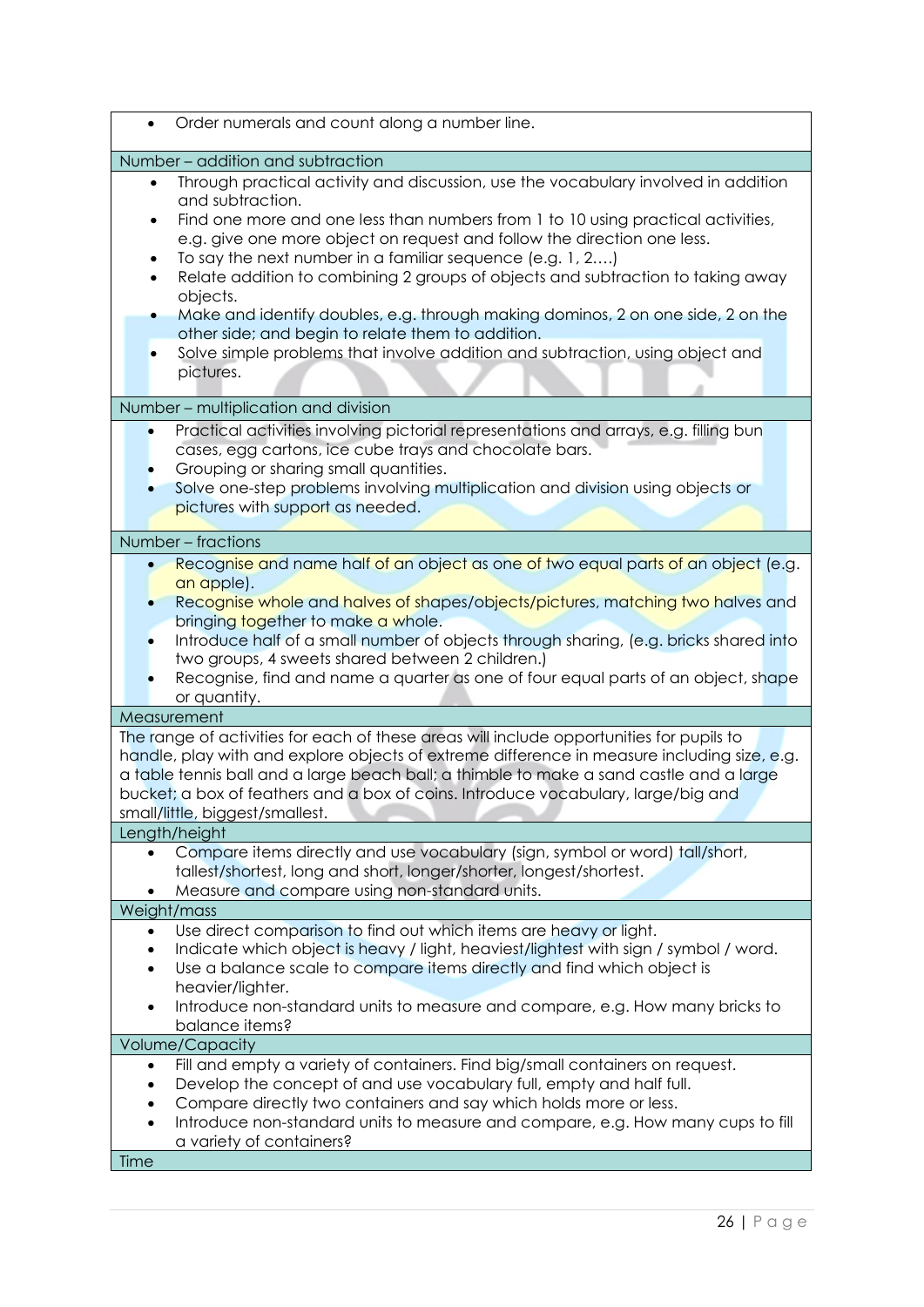| Order numerals and count along a number line.                                                                                                                                                                                                                                                                                                                                                                                                                                                                                                                                                                                                                                                                                                                                                                                                                                                                                                                        |
|----------------------------------------------------------------------------------------------------------------------------------------------------------------------------------------------------------------------------------------------------------------------------------------------------------------------------------------------------------------------------------------------------------------------------------------------------------------------------------------------------------------------------------------------------------------------------------------------------------------------------------------------------------------------------------------------------------------------------------------------------------------------------------------------------------------------------------------------------------------------------------------------------------------------------------------------------------------------|
| Number - addition and subtraction                                                                                                                                                                                                                                                                                                                                                                                                                                                                                                                                                                                                                                                                                                                                                                                                                                                                                                                                    |
| Through practical activity and discussion, use the vocabulary involved in addition<br>$\bullet$<br>and subtraction.<br>Find one more and one less than numbers from 1 to 10 using practical activities,<br>$\bullet$<br>e.g. give one more object on request and follow the direction one less.<br>To say the next number in a familiar sequence (e.g. 1, 2)<br>Relate addition to combining 2 groups of objects and subtraction to taking away<br>$\bullet$<br>objects.<br>Make and identify doubles, e.g. through making dominos, 2 on one side, 2 on the<br>۰<br>other side; and begin to relate them to addition.<br>Solve simple problems that involve addition and subtraction, using object and<br>$\bullet$<br>pictures.<br>Number - multiplication and division<br>Practical activities involving pictorial representations and arrays, e.g. filling bun<br>cases, egg cartons, ice cube trays and chocolate bars.<br>Grouping or sharing small quantities. |
| Solve one-step problems involving multiplication and division using objects or<br>pictures with support as needed.                                                                                                                                                                                                                                                                                                                                                                                                                                                                                                                                                                                                                                                                                                                                                                                                                                                   |
| Number - fractions                                                                                                                                                                                                                                                                                                                                                                                                                                                                                                                                                                                                                                                                                                                                                                                                                                                                                                                                                   |
| Recognise and name half of an object as one of two equal parts of an object (e.g.<br>an apple).<br>Recognise whole and halves of shapes/objects/pictures, matching two halves and<br>bringing together to make a whole.<br>Introduce half of a small number of objects through sharing, (e.g. bricks shared into<br>two groups, 4 sweets shared between 2 children.)<br>Recognise, find and name a quarter as one of four equal parts of an object, shape<br>or quantity.                                                                                                                                                                                                                                                                                                                                                                                                                                                                                            |
| Measurement                                                                                                                                                                                                                                                                                                                                                                                                                                                                                                                                                                                                                                                                                                                                                                                                                                                                                                                                                          |
| The range of activities for each of these areas will include opportunities for pupils to<br>handle, play with and explore objects of extreme difference in measure including size, e.g.<br>a table tennis ball and a large beach ball; a thimble to make a sand castle and a large<br>bucket; a box of feathers and a box of coins. Introduce vocabulary, large/big and<br>small/little, biggest/smallest.                                                                                                                                                                                                                                                                                                                                                                                                                                                                                                                                                           |
| Length/height                                                                                                                                                                                                                                                                                                                                                                                                                                                                                                                                                                                                                                                                                                                                                                                                                                                                                                                                                        |
| Compare items directly and use vocabulary (sign, symbol or word) tall/short,<br>tallest/shortest, long and short, longer/shorter, longest/shortest.<br>Measure and compare using non-standard units.                                                                                                                                                                                                                                                                                                                                                                                                                                                                                                                                                                                                                                                                                                                                                                 |
| Weight/mass                                                                                                                                                                                                                                                                                                                                                                                                                                                                                                                                                                                                                                                                                                                                                                                                                                                                                                                                                          |
| Use direct comparison to find out which items are heavy or light.<br>$\bullet$<br>Indicate which object is heavy / light, heaviest/lightest with sign / symbol / word.<br>$\bullet$<br>Use a balance scale to compare items directly and find which object is<br>$\bullet$<br>heavier/lighter.<br>Introduce non-standard units to measure and compare, e.g. How many bricks to<br>$\bullet$<br>balance items?                                                                                                                                                                                                                                                                                                                                                                                                                                                                                                                                                        |
| Volume/Capacity                                                                                                                                                                                                                                                                                                                                                                                                                                                                                                                                                                                                                                                                                                                                                                                                                                                                                                                                                      |
| Fill and empty a variety of containers. Find big/small containers on request.<br>$\bullet$<br>Develop the concept of and use vocabulary full, empty and half full.<br>Compare directly two containers and say which holds more or less.<br>Introduce non-standard units to measure and compare, e.g. How many cups to fill<br>a variety of containers?                                                                                                                                                                                                                                                                                                                                                                                                                                                                                                                                                                                                               |
| Time                                                                                                                                                                                                                                                                                                                                                                                                                                                                                                                                                                                                                                                                                                                                                                                                                                                                                                                                                                 |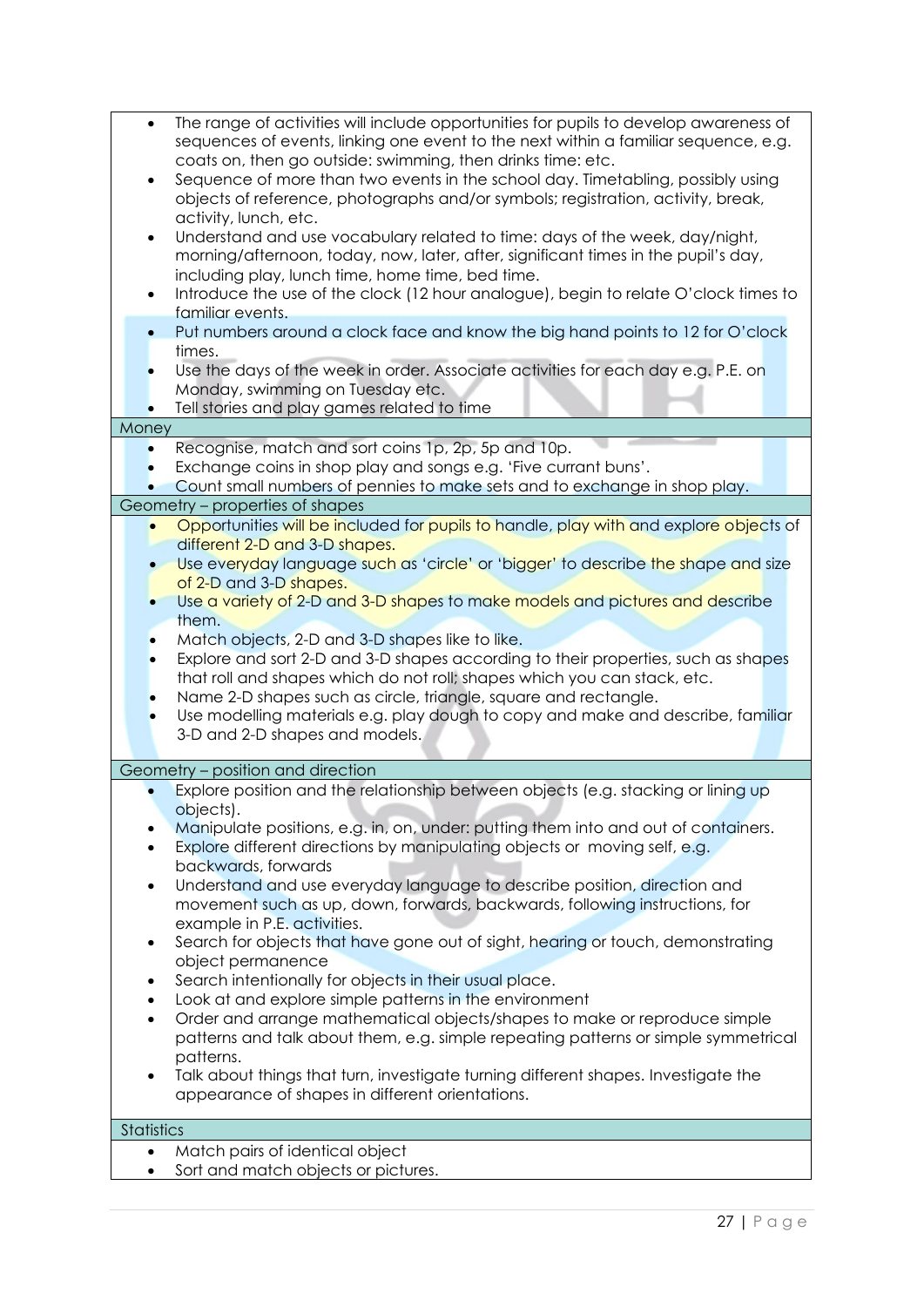| ٠<br>$\bullet$<br>$\bullet$                      | Search intentionally for objects in their usual place.<br>Look at and explore simple patterns in the environment<br>Order and arrange mathematical objects/shapes to make or reproduce simple<br>patterns and talk about them, e.g. simple repeating patterns or simple symmetrical<br>patterns.<br>Talk about things that turn, investigate turning different shapes. Investigate the<br>appearance of shapes in different orientations.                                                                                                                                                  |
|--------------------------------------------------|--------------------------------------------------------------------------------------------------------------------------------------------------------------------------------------------------------------------------------------------------------------------------------------------------------------------------------------------------------------------------------------------------------------------------------------------------------------------------------------------------------------------------------------------------------------------------------------------|
| $\bullet$<br>$\bullet$<br>$\bullet$<br>$\bullet$ | Explore position and the relationship between objects (e.g. stacking or lining up<br>objects).<br>Manipulate positions, e.g. in, on, under: putting them into and out of containers.<br>Explore different directions by manipulating objects or moving self, e.g.<br>backwards, forwards<br>Understand and use everyday language to describe position, direction and<br>movement such as up, down, forwards, backwards, following instructions, for<br>example in P.E. activities.<br>Search for objects that have gone out of sight, hearing or touch, demonstrating<br>object permanence |
|                                                  |                                                                                                                                                                                                                                                                                                                                                                                                                                                                                                                                                                                            |
|                                                  | 3-D and 2-D shapes and models.<br>Geometry - position and direction                                                                                                                                                                                                                                                                                                                                                                                                                                                                                                                        |
|                                                  | them.<br>Match objects, 2-D and 3-D shapes like to like.<br>Explore and sort 2-D and 3-D shapes according to their properties, such as shapes<br>that roll and shapes which do not roll; shapes which you can stack, etc.<br>Name 2-D shapes such as circle, triangle, square and rectangle.<br>Use modelling materials e.g. play dough to copy and make and describe, familiar                                                                                                                                                                                                            |
|                                                  | Opportunities will be included for pupils to handle, play with and explore objects of<br>different 2-D and 3-D shapes.<br>Use everyday language such as 'circle' or 'bigger' to describe the shape and size<br>of 2-D and 3-D shapes.<br>Use a variety of 2-D and 3-D shapes to make models and pictures and describe                                                                                                                                                                                                                                                                      |
|                                                  | Count small numbers of pennies to make sets and to exchange in shop play.<br>Geometry - properties of shapes                                                                                                                                                                                                                                                                                                                                                                                                                                                                               |
| $\bullet$                                        | Recognise, match and sort coins 1p, 2p, 5p and 10p.<br>Exchange coins in shop play and songs e.g. 'Five currant buns'.                                                                                                                                                                                                                                                                                                                                                                                                                                                                     |
| Money                                            |                                                                                                                                                                                                                                                                                                                                                                                                                                                                                                                                                                                            |
|                                                  | Put numbers around a clock face and know the big hand points to 12 for O'clock<br>times.<br>Use the days of the week in order. Associate activities for each day e.g. P.E. on<br>Monday, swimming on Tuesday etc.<br>Tell stories and play games related to time                                                                                                                                                                                                                                                                                                                           |
| $\bullet$<br>$\bullet$                           | activity, lunch, etc.<br>Understand and use vocabulary related to time: days of the week, day/night,<br>morning/afternoon, today, now, later, after, significant times in the pupil's day,<br>including play, lunch time, home time, bed time.<br>Introduce the use of the clock (12 hour analogue), begin to relate O'clock times to<br>familiar events.                                                                                                                                                                                                                                  |
| $\bullet$                                        | The range of activities will include opportunities for pupils to develop awareness of<br>$\bullet$<br>sequences of events, linking one event to the next within a familiar sequence, e.g.<br>coats on, then go outside: swimming, then drinks time: etc.<br>Sequence of more than two events in the school day. Timetabling, possibly using<br>objects of reference, photographs and/or symbols; registration, activity, break,                                                                                                                                                            |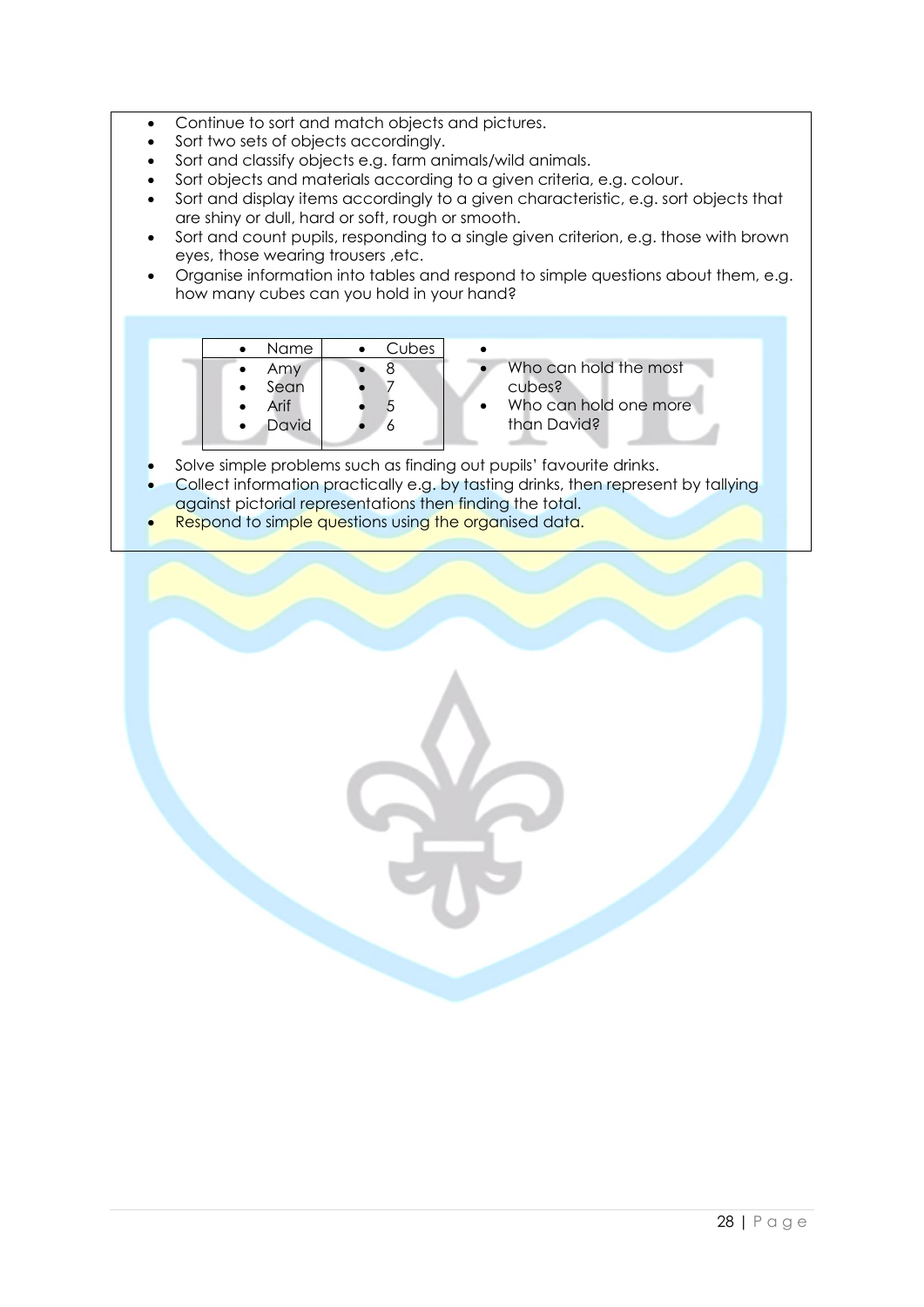- Continue to sort and match objects and pictures.
- Sort two sets of objects accordingly.
- Sort and classify objects e.g. farm animals/wild animals.
- Sort objects and materials according to a given criteria, e.g. colour.
- Sort and display items accordingly to a given characteristic, e.g. sort objects that are shiny or dull, hard or soft, rough or smooth.
- Sort and count pupils, responding to a single given criterion, e.g. those with brown eyes, those wearing trousers ,etc.
- Organise information into tables and respond to simple questions about them, e.g. how many cubes can you hold in your hand?

|           | Name  | Cubes |  |
|-----------|-------|-------|--|
| $\bullet$ | Amy   |       |  |
| $\bullet$ | Sean  |       |  |
| $\bullet$ | Arif  |       |  |
| $\bullet$ | David |       |  |
|           |       |       |  |

- Who can hold the most cubes?
- Who can hold one more than David?
- Solve simple problems such as finding out pupils' favourite drinks.
- Collect information practically e.g. by tasting drinks, then represent by tallying against pictorial representations then finding the total.
- **Respond to simple questions using the organised data.**

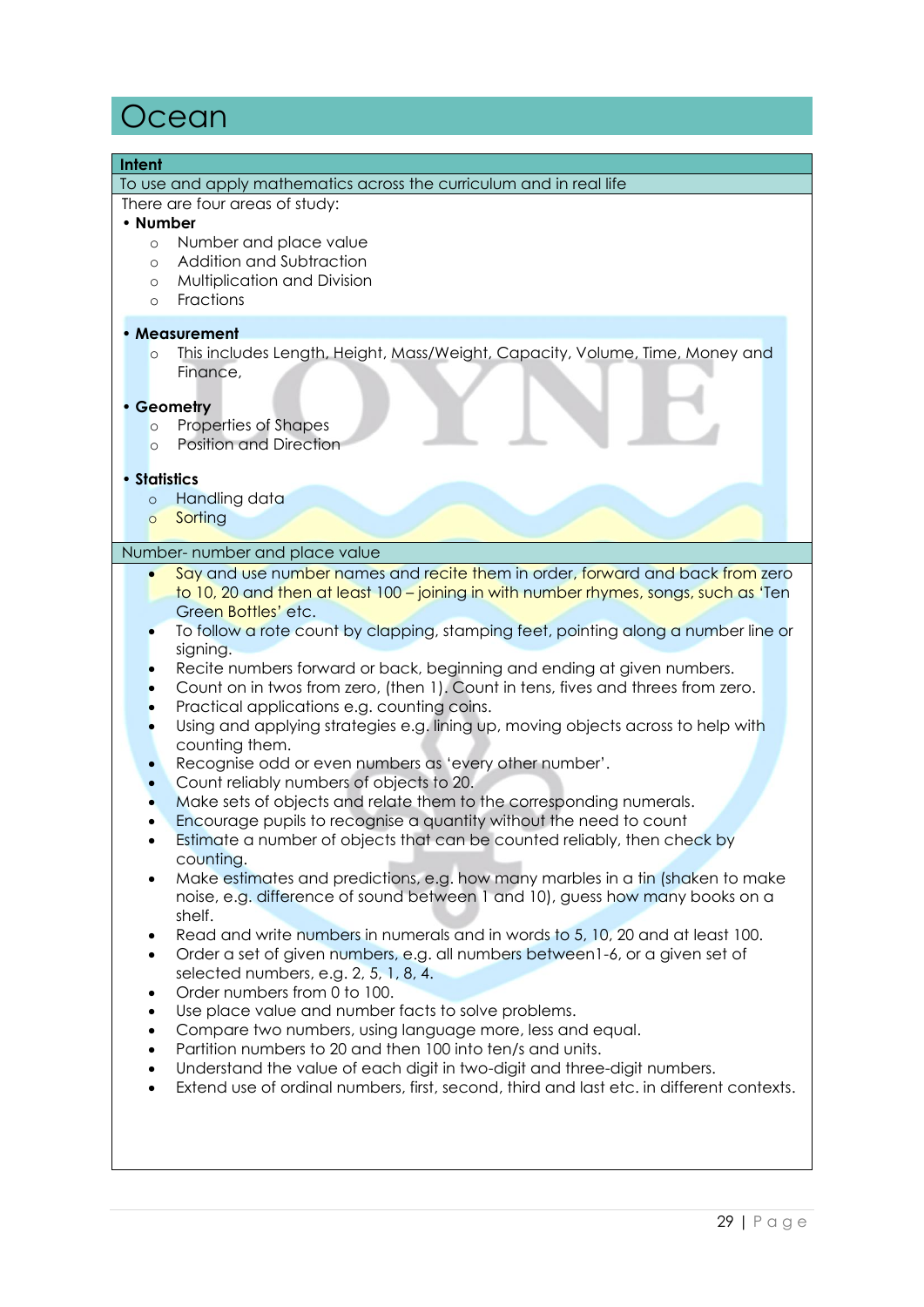### **Ocean**

#### **Intent**

To use and apply mathematics across the curriculum and in real life

There are four areas of study:

#### • **Number**

- o Number and place value
- o Addition and Subtraction
- o Multiplication and Division
- o Fractions

#### • **Measurement**

o This includes Length, Height, Mass/Weight, Capacity, Volume, Time, Money and Finance,

#### • **Geometry**

- o Properties of Shapes
- o Position and Direction

#### • **Statistics**

- o Handling data
- o Sorting

#### Number- number and place value

- Say and use number names and recite them in order, forward and back from zero
- to 10, 20 and then at least 100 joining in with number rhymes, songs, such as 'Ten Green Bottles' etc.
- To follow a rote count by clapping, stamping feet, pointing along a number line or sianing.
- Recite numbers forward or back, beginning and ending at given numbers.
- Count on in twos from zero, (then 1). Count in tens, fives and threes from zero.
- Practical applications e.g. counting coins.
- Using and applying strategies e.g. lining up, moving objects across to help with counting them.
- Recognise odd or even numbers as 'every other number'.
- Count reliably numbers of objects to 20.
- Make sets of objects and relate them to the corresponding numerals.
- Encourage pupils to recognise a quantity without the need to count
- Estimate a number of objects that can be counted reliably, then check by counting.
- Make estimates and predictions, e.g. how many marbles in a tin (shaken to make noise, e.g. difference of sound between 1 and 10), guess how many books on a shelf.
- Read and write numbers in numerals and in words to 5, 10, 20 and at least 100.
- Order a set of given numbers, e.g. all numbers between1-6, or a given set of selected numbers, e.g. 2, 5, 1, 8, 4.
- Order numbers from 0 to 100.
- Use place value and number facts to solve problems.
- Compare two numbers, using language more, less and equal.
- Partition numbers to 20 and then 100 into ten/s and units.
- Understand the value of each digit in two-digit and three-digit numbers.
- Extend use of ordinal numbers, first, second, third and last etc. in different contexts.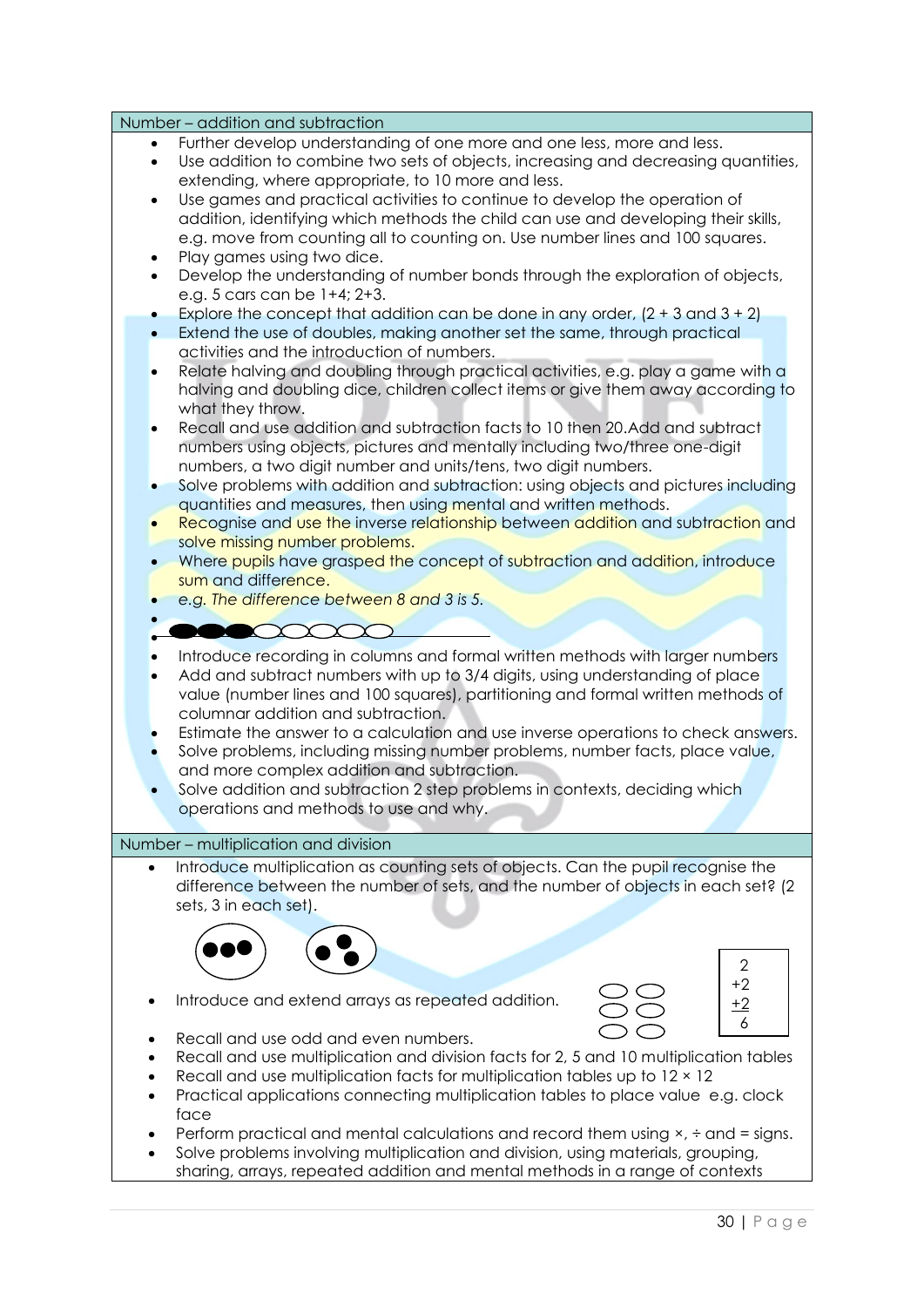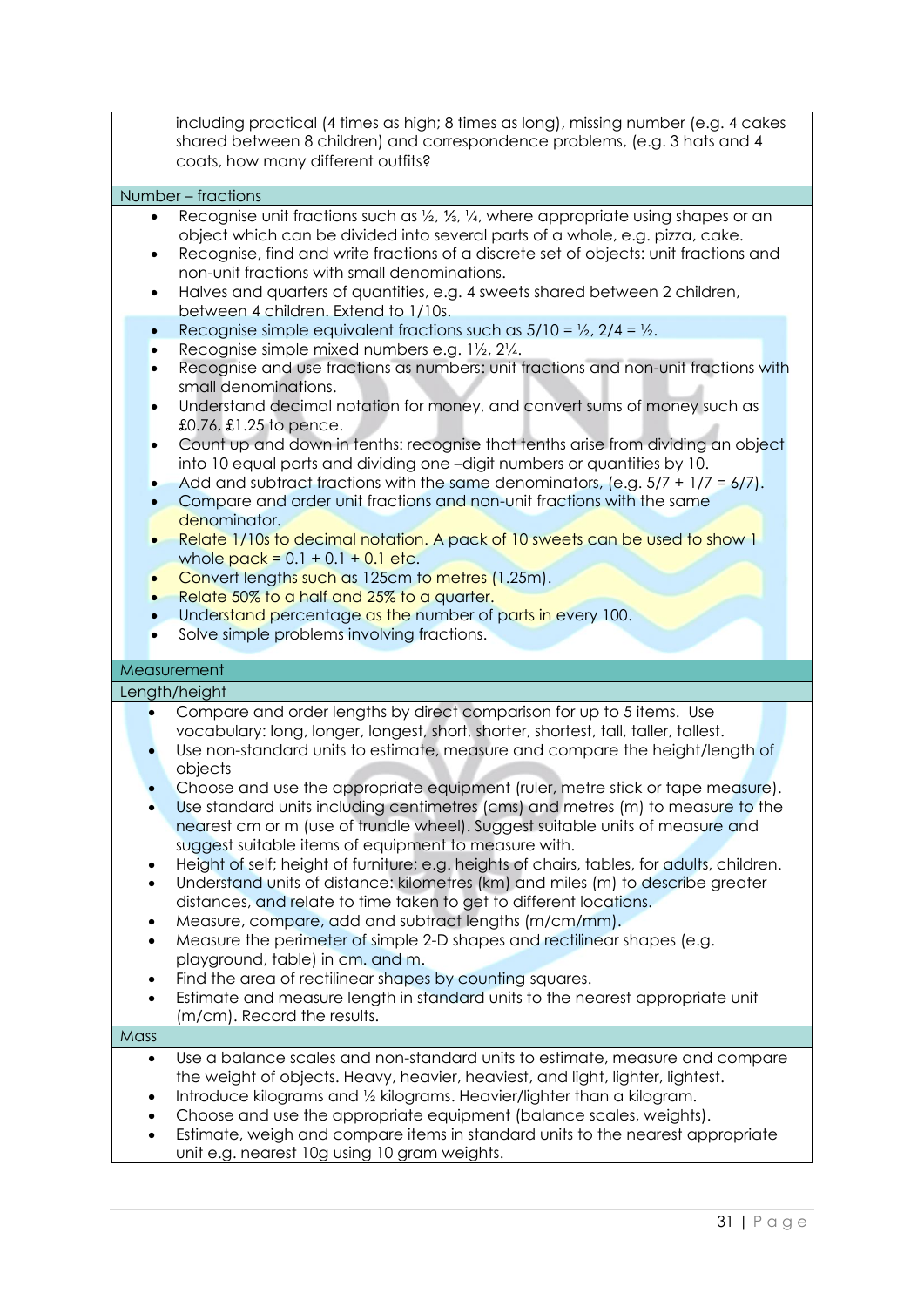including practical (4 times as high; 8 times as long), missing number (e.g. 4 cakes shared between 8 children) and correspondence problems, (e.g. 3 hats and 4 coats, how many different outfits?

#### Number – fractions

- Recognise unit fractions such as ½, ¼, ¼, where appropriate using shapes or an object which can be divided into several parts of a whole, e.g. pizza, cake.
- Recognise, find and write fractions of a discrete set of objects: unit fractions and non-unit fractions with small denominations.
- Halves and quarters of quantities, e.g. 4 sweets shared between 2 children, between 4 children. Extend to 1/10s.
- Recognise simple equivalent fractions such as  $5/10 = \frac{1}{2}$ ,  $2/4 = \frac{1}{2}$ .
- Recognise simple mixed numbers e.g. 1½, 2¼.
- Recognise and use fractions as numbers: unit fractions and non-unit fractions with small denominations.
- Understand decimal notation for money, and convert sums of money such as £0.76, £1.25 to pence.
- Count up and down in tenths: recognise that tenths arise from dividing an object into 10 equal parts and dividing one –digit numbers or quantities by 10.
- Add and subtract fractions with the same denominators, (e.g.  $5/7 + 1/7 = 6/7$ ).
- Compare and order unit fractions and non-unit fractions with the same denominator.
- Relate 1/10s to decimal notation. A pack of 10 sweets can be used to show 1 whole  $pack = 0.1 + 0.1 + 0.1$  etc.
- Convert lengths such as 125cm to metres (1.25m).
- Relate 50% to a half and 25% to a quarter.
- Understand percentage as the number of parts in every 100.
- Solve simple problems involving fractions.

#### **Measurement**

#### Length/height

- Compare and order lengths by direct comparison for up to 5 items. Use vocabulary: long, longer, longest, short, shorter, shortest, tall, taller, tallest. • Use non-standard units to estimate, measure and compare the height/length of
- objects
- Choose and use the appropriate equipment (ruler, metre stick or tape measure).
- Use standard units including centimetres (cms) and metres (m) to measure to the nearest cm or m (use of trundle wheel). Suggest suitable units of measure and suggest suitable items of equipment to measure with.
- Height of self; height of furniture; e.g. heights of chairs, tables, for adults, children.
- Understand units of distance: kilometres (km) and miles (m) to describe greater distances, and relate to time taken to get to different locations.
- Measure, compare, add and subtract lengths (m/cm/mm).
- Measure the perimeter of simple 2-D shapes and rectilinear shapes (e.g. playground, table) in cm. and m.
- Find the area of rectilinear shapes by counting squares.
- Estimate and measure length in standard units to the nearest appropriate unit (m/cm). Record the results.

### **Mass**

- Use a balance scales and non-standard units to estimate, measure and compare the weight of objects. Heavy, heavier, heaviest, and light, lighter, lightest.
- Introduce kilograms and ½ kilograms. Heavier/lighter than a kilogram.
- Choose and use the appropriate equipment (balance scales, weights).
- Estimate, weigh and compare items in standard units to the nearest appropriate unit e.g. nearest 10g using 10 gram weights.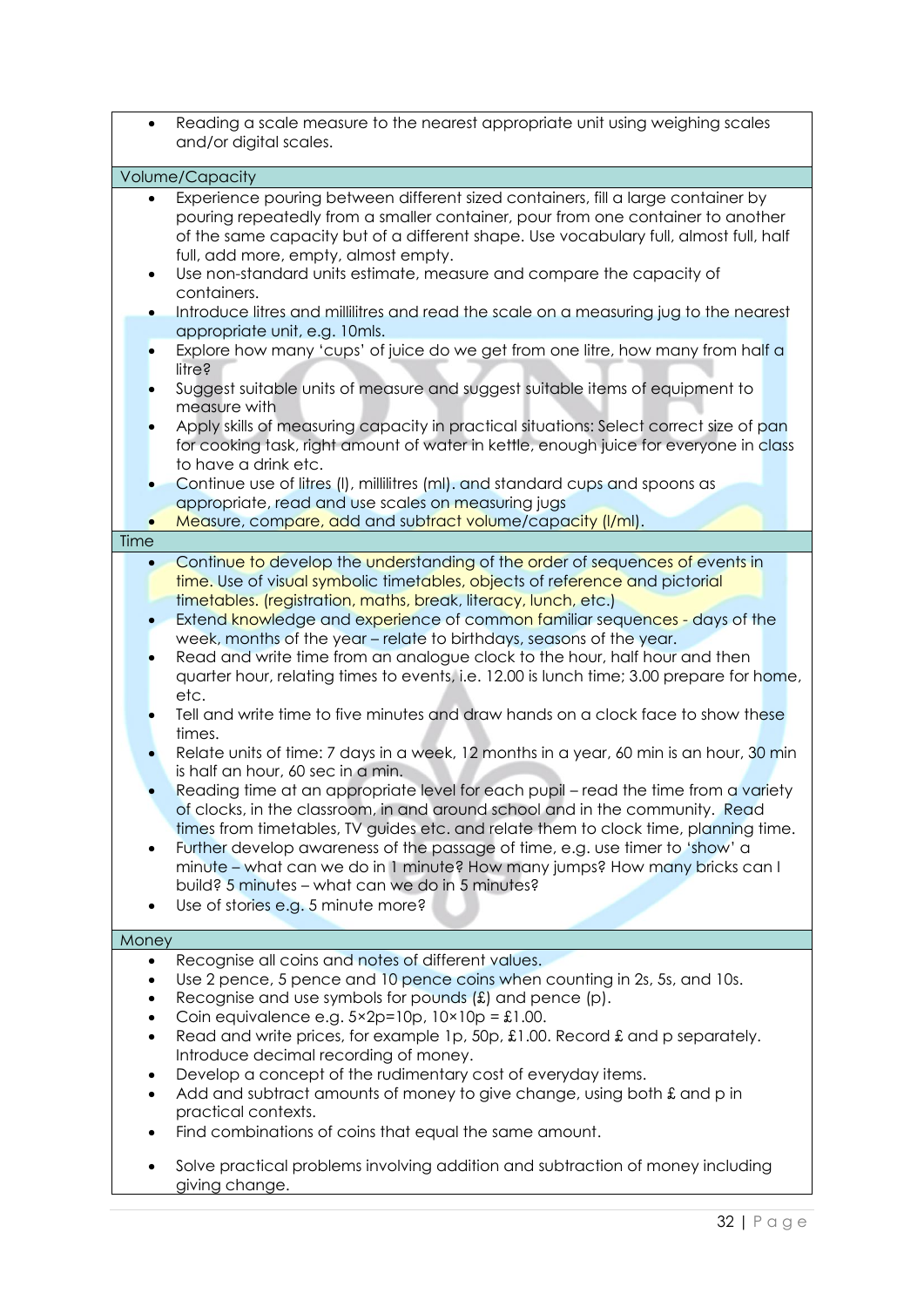| $\bullet$                                                                       | Reading a scale measure to the nearest appropriate unit using weighing scales<br>and/or digital scales.                                                                                                                                                                                                                                                                                                                                                                                                                                                                                                                                                                                                                                                                                                                                                                                                                                                                                                                                                                                                                                                                                                                                                                                                                 |
|---------------------------------------------------------------------------------|-------------------------------------------------------------------------------------------------------------------------------------------------------------------------------------------------------------------------------------------------------------------------------------------------------------------------------------------------------------------------------------------------------------------------------------------------------------------------------------------------------------------------------------------------------------------------------------------------------------------------------------------------------------------------------------------------------------------------------------------------------------------------------------------------------------------------------------------------------------------------------------------------------------------------------------------------------------------------------------------------------------------------------------------------------------------------------------------------------------------------------------------------------------------------------------------------------------------------------------------------------------------------------------------------------------------------|
|                                                                                 | Volume/Capacity                                                                                                                                                                                                                                                                                                                                                                                                                                                                                                                                                                                                                                                                                                                                                                                                                                                                                                                                                                                                                                                                                                                                                                                                                                                                                                         |
| $\bullet$                                                                       | Experience pouring between different sized containers, fill a large container by<br>pouring repeatedly from a smaller container, pour from one container to another<br>of the same capacity but of a different shape. Use vocabulary full, almost full, half<br>full, add more, empty, almost empty.<br>Use non-standard units estimate, measure and compare the capacity of<br>containers.<br>Introduce litres and millilitres and read the scale on a measuring jug to the nearest<br>appropriate unit, e.g. 10mls.<br>Explore how many 'cups' of juice do we get from one litre, how many from half a<br>litre?<br>Suggest suitable units of measure and suggest suitable items of equipment to<br>measure with<br>Apply skills of measuring capacity in practical situations: Select correct size of pan<br>for cooking task, right amount of water in kettle, enough juice for everyone in class<br>to have a drink etc.<br>Continue use of litres (I), millilitres (mI). and standard cups and spoons as<br>appropriate, read and use scales on measuring jugs                                                                                                                                                                                                                                                    |
| Time                                                                            | Measure, compare, add and subtract volume/capacity (I/mI).                                                                                                                                                                                                                                                                                                                                                                                                                                                                                                                                                                                                                                                                                                                                                                                                                                                                                                                                                                                                                                                                                                                                                                                                                                                              |
| ٠                                                                               | Continue to develop the understanding of the order of sequences of events in<br>time. Use of visual symbolic timetables, objects of reference and pictorial<br>timetables. (registration, maths, break, literacy, lunch, etc.)<br>Extend knowledge and experience of common familiar sequences - days of the<br>week, months of the year - relate to birthdays, seasons of the year.<br>Read and write time from an analogue clock to the hour, half hour and then<br>quarter hour, relating times to events, i.e. 12.00 is lunch time; 3.00 prepare for home,<br>etc.<br>Tell and write time to five minutes and draw hands on a clock face to show these<br>times.<br>Relate units of time: 7 days in a week, 12 months in a year, 60 min is an hour, 30 min<br>is half an hour, 60 sec in a min.<br>Reading time at an appropriate level for each pupil - read the time from a variety<br>of clocks, in the classroom, in and around school and in the community. Read<br>times from timetables, TV guides etc. and relate them to clock time, planning time.<br>Further develop awareness of the passage of time, e.g. use timer to 'show' a<br>minute – what can we do in 1 minute? How many jumps? How many bricks can I<br>build? 5 minutes - what can we do in 5 minutes?<br>Use of stories e.g. 5 minute more? |
| Money                                                                           |                                                                                                                                                                                                                                                                                                                                                                                                                                                                                                                                                                                                                                                                                                                                                                                                                                                                                                                                                                                                                                                                                                                                                                                                                                                                                                                         |
| $\bullet$<br>$\bullet$<br>$\bullet$<br>$\bullet$<br>$\bullet$<br>٠<br>$\bullet$ | Recognise all coins and notes of different values.<br>Use 2 pence, 5 pence and 10 pence coins when counting in 2s, 5s, and 10s.<br>Recognise and use symbols for pounds $(E)$ and pence $(p)$ .<br>Coin equivalence e.g. $5 \times 2p = 10p$ , $10 \times 10p = \text{\textsterling}1.00$ .<br>Read and write prices, for example 1p, 50p, £1.00. Record £ and p separately.<br>Introduce decimal recording of money.<br>Develop a concept of the rudimentary cost of everyday items.<br>Add and subtract amounts of money to give change, using both £ and p in<br>practical contexts.<br>Find combinations of coins that equal the same amount.<br>Solve practical problems involving addition and subtraction of money including<br>giving change.                                                                                                                                                                                                                                                                                                                                                                                                                                                                                                                                                                   |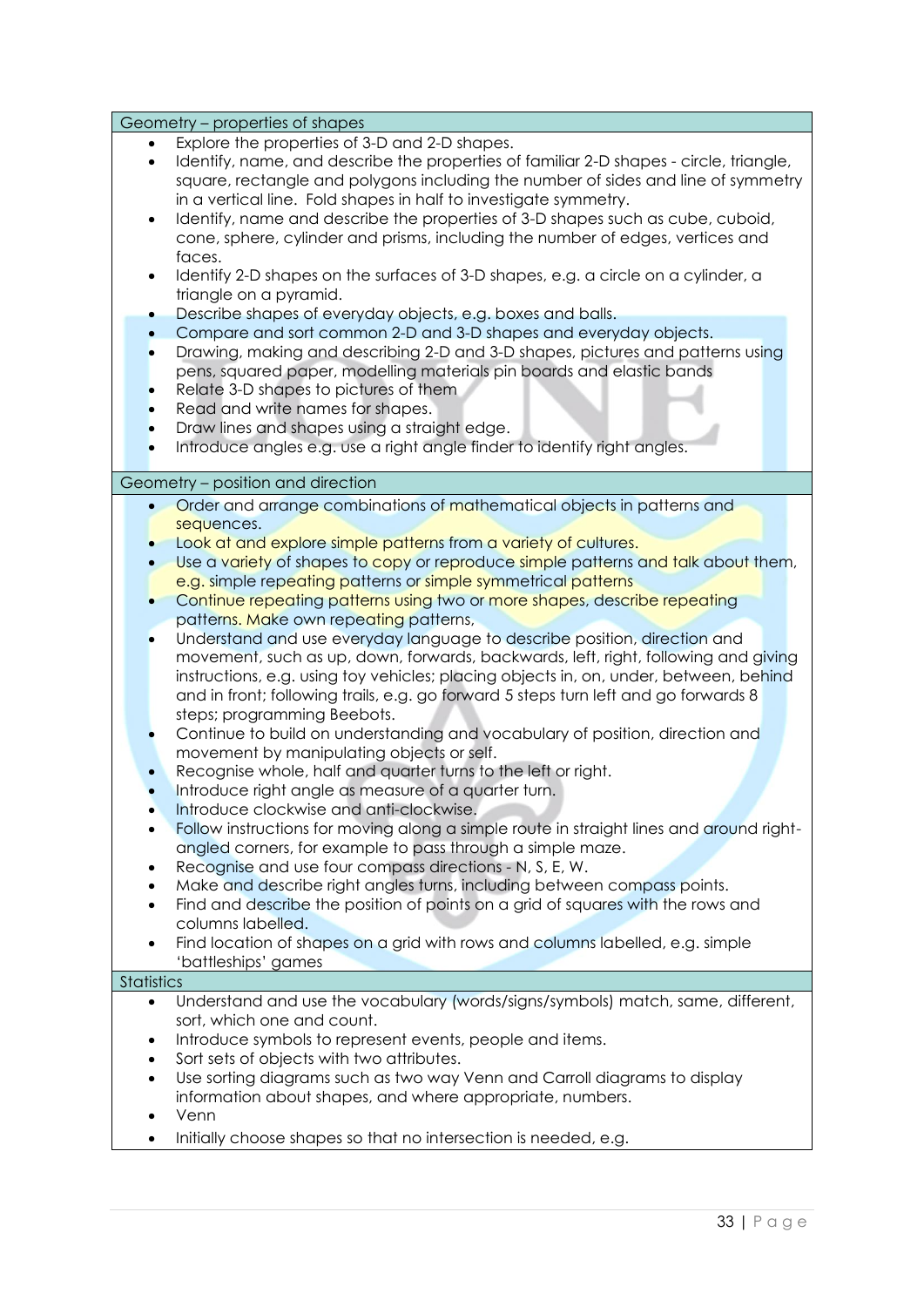| Geometry – properties of shapes                                                                                                                          |
|----------------------------------------------------------------------------------------------------------------------------------------------------------|
| Explore the properties of 3-D and 2-D shapes.                                                                                                            |
| Identify, name, and describe the properties of familiar 2-D shapes - circle, triangle,<br>$\bullet$                                                      |
| square, rectangle and polygons including the number of sides and line of symmetry                                                                        |
| in a vertical line. Fold shapes in half to investigate symmetry.                                                                                         |
| Identify, name and describe the properties of 3-D shapes such as cube, cuboid,<br>$\bullet$                                                              |
| cone, sphere, cylinder and prisms, including the number of edges, vertices and                                                                           |
| faces.                                                                                                                                                   |
| Identify 2-D shapes on the surfaces of 3-D shapes, e.g. a circle on a cylinder, a                                                                        |
| triangle on a pyramid.                                                                                                                                   |
| Describe shapes of everyday objects, e.g. boxes and balls.<br>$\bullet$<br>Compare and sort common 2-D and 3-D shapes and everyday objects.<br>$\bullet$ |
| Drawing, making and describing 2-D and 3-D shapes, pictures and patterns using<br>$\bullet$                                                              |
| pens, squared paper, modelling materials pin boards and elastic bands                                                                                    |
| Relate 3-D shapes to pictures of them                                                                                                                    |
| Read and write names for shapes.                                                                                                                         |
| Draw lines and shapes using a straight edge.<br>$\bullet$                                                                                                |
| Introduce angles e.g. use a right angle finder to identify right angles.<br>$\bullet$                                                                    |
|                                                                                                                                                          |
| Geometry - position and direction                                                                                                                        |
| Order and arrange combinations of mathematical objects in patterns and<br>$\bullet$                                                                      |
| sequences.                                                                                                                                               |
| Look at and explore simple patterns from a variety of cultures.                                                                                          |
| Use a variety of shapes to copy or reproduce simple patterns and talk about them,                                                                        |
| e.g. simple repeating patterns or simple symmetrical patterns                                                                                            |
| Continue repeating patterns using two or more shapes, describe repeating<br>$\bullet$                                                                    |
| patterns. Make own repeating patterns,                                                                                                                   |
| Understand and use everyday language to describe position, direction and                                                                                 |
| movement, such as up, down, forwards, backwards, left, right, following and giving                                                                       |
| instructions, e.g. using toy vehicles; placing objects in, on, under, between, behind                                                                    |
| and in front; following trails, e.g. go forward 5 steps turn left and go forwards 8<br>steps; programming Beebots.                                       |
| Continue to build on understanding and vocabulary of position, direction and                                                                             |
| movement by manipulating objects or self.                                                                                                                |
| Recognise whole, half and quarter turns to the left or right.                                                                                            |
| Introduce right angle as measure of a quarter turn.                                                                                                      |
| Introduce clockwise and anti-clockwise.                                                                                                                  |
| Follow instructions for moving along a simple route in straight lines and around right-                                                                  |
| angled corners, for example to pass through a simple maze.                                                                                               |
| Recognise and use four compass directions - N, S, E, W.                                                                                                  |
| Make and describe right angles turns, including between compass points.                                                                                  |
| Find and describe the position of points on a grid of squares with the rows and                                                                          |
| columns labelled.                                                                                                                                        |
| Find location of shapes on a grid with rows and columns labelled, e.g. simple                                                                            |
| 'battleships' games                                                                                                                                      |
| Statistics                                                                                                                                               |
| Understand and use the vocabulary (words/signs/symbols) match, same, different,<br>$\bullet$                                                             |
| sort, which one and count.                                                                                                                               |
| Introduce symbols to represent events, people and items.<br>٠                                                                                            |
| Sort sets of objects with two attributes.<br>$\bullet$                                                                                                   |
| Use sorting diagrams such as two way Venn and Carroll diagrams to display<br>$\bullet$                                                                   |
| information about shapes, and where appropriate, numbers.<br>Venn                                                                                        |
|                                                                                                                                                          |
| Initially choose shapes so that no intersection is needed, e.g.                                                                                          |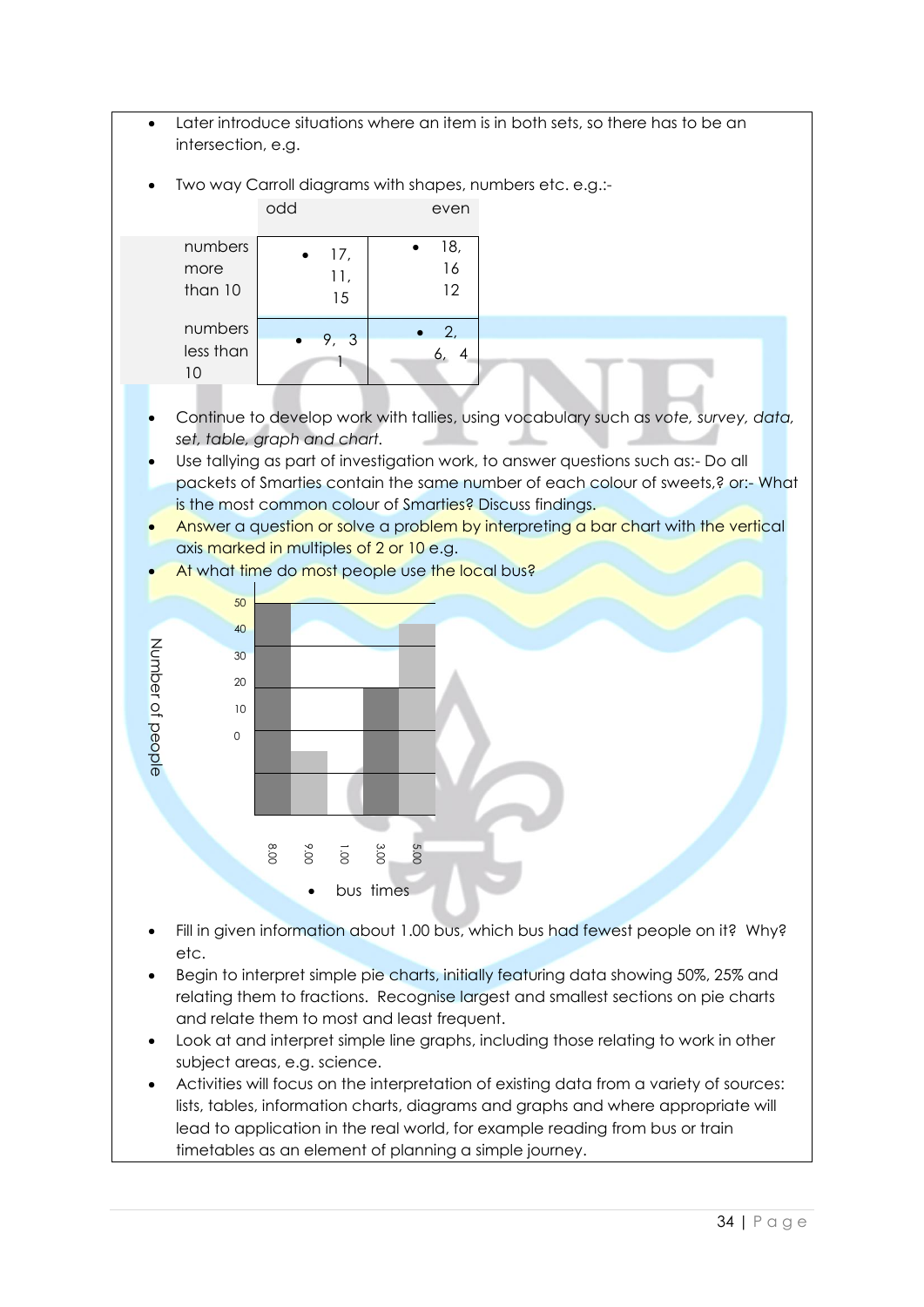- Later introduce situations where an item is in both sets, so there has to be an intersection, e.g.
- Two way Carroll diagrams with shapes, numbers etc. e.g.:-

|                            | odd              | even            |  |
|----------------------------|------------------|-----------------|--|
| numbers<br>more<br>than 10 | 17,<br>11,<br>15 | 18,<br>16<br>12 |  |
| numbers<br>less than<br>10 | 9, 3             | 2,              |  |

- Continue to develop work with tallies, using vocabulary such as *vote, survey, data, set, table, graph and chart.*
- Use tallying as part of investigation work, to answer questions such as:- Do all packets of Smarties contain the same number of each colour of sweets,? or:- What is the most common colour of Smarties? Discuss findings.
- Answer a question or solve a problem by interpreting a bar chart with the vertical axis marked in multiples of 2 or 10 e.g.



- Fill in given information about 1.00 bus, which bus had fewest people on it? Why? etc.
- Begin to interpret simple pie charts, initially featuring data showing 50%, 25% and relating them to fractions. Recognise largest and smallest sections on pie charts and relate them to most and least frequent.
- Look at and interpret simple line graphs, including those relating to work in other subject areas, e.g. science.
- Activities will focus on the interpretation of existing data from a variety of sources: lists, tables, information charts, diagrams and graphs and where appropriate will lead to application in the real world, for example reading from bus or train timetables as an element of planning a simple journey.